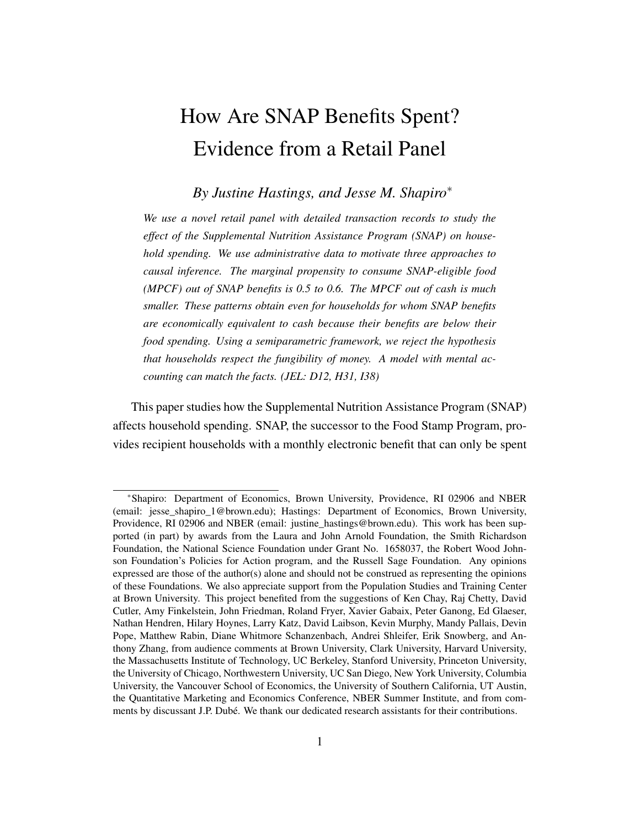# How Are SNAP Benefits Spent? Evidence from a Retail Panel

*By Justine Hastings, and Jesse M. Shapiro*<sup>∗</sup>

*We use a novel retail panel with detailed transaction records to study the effect of the Supplemental Nutrition Assistance Program (SNAP) on household spending. We use administrative data to motivate three approaches to causal inference. The marginal propensity to consume SNAP-eligible food (MPCF) out of SNAP benefits is 0.5 to 0.6. The MPCF out of cash is much smaller. These patterns obtain even for households for whom SNAP benefits are economically equivalent to cash because their benefits are below their food spending. Using a semiparametric framework, we reject the hypothesis that households respect the fungibility of money. A model with mental accounting can match the facts. (JEL: D12, H31, I38)*

This paper studies how the Supplemental Nutrition Assistance Program (SNAP) affects household spending. SNAP, the successor to the Food Stamp Program, provides recipient households with a monthly electronic benefit that can only be spent

<sup>∗</sup>Shapiro: Department of Economics, Brown University, Providence, RI 02906 and NBER (email: jesse\_shapiro\_1@brown.edu); Hastings: Department of Economics, Brown University, Providence, RI 02906 and NBER (email: justine hastings@brown.edu). This work has been supported (in part) by awards from the Laura and John Arnold Foundation, the Smith Richardson Foundation, the National Science Foundation under Grant No. 1658037, the Robert Wood Johnson Foundation's Policies for Action program, and the Russell Sage Foundation. Any opinions expressed are those of the author(s) alone and should not be construed as representing the opinions of these Foundations. We also appreciate support from the Population Studies and Training Center at Brown University. This project benefited from the suggestions of Ken Chay, Raj Chetty, David Cutler, Amy Finkelstein, John Friedman, Roland Fryer, Xavier Gabaix, Peter Ganong, Ed Glaeser, Nathan Hendren, Hilary Hoynes, Larry Katz, David Laibson, Kevin Murphy, Mandy Pallais, Devin Pope, Matthew Rabin, Diane Whitmore Schanzenbach, Andrei Shleifer, Erik Snowberg, and Anthony Zhang, from audience comments at Brown University, Clark University, Harvard University, the Massachusetts Institute of Technology, UC Berkeley, Stanford University, Princeton University, the University of Chicago, Northwestern University, UC San Diego, New York University, Columbia University, the Vancouver School of Economics, the University of Southern California, UT Austin, the Quantitative Marketing and Economics Conference, NBER Summer Institute, and from comments by discussant J.P. Dubé. We thank our dedicated research assistants for their contributions.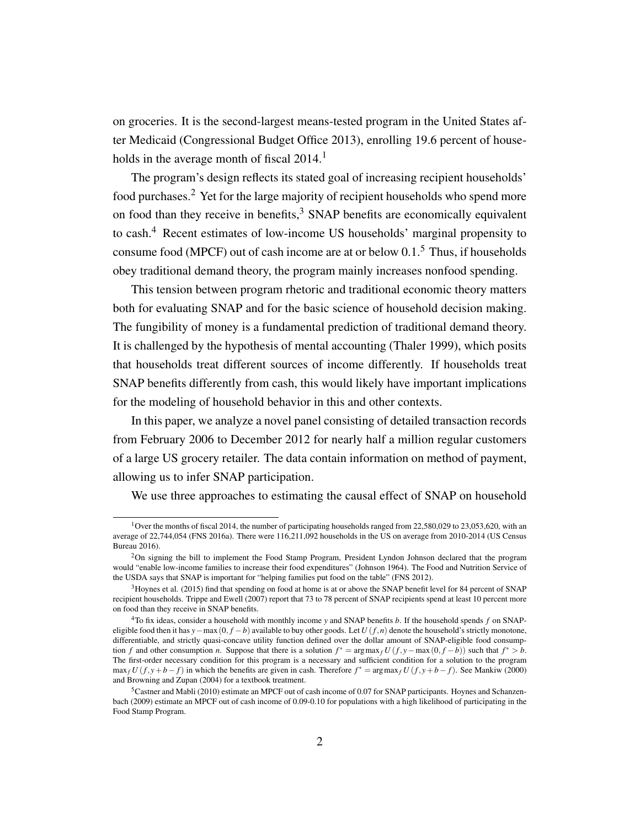on groceries. It is the second-largest means-tested program in the United States after Medicaid (Congressional Budget Office 2013), enrolling 19.6 percent of households in the average month of fiscal  $2014$ <sup>1</sup>

The program's design reflects its stated goal of increasing recipient households' food purchases.<sup>2</sup> Yet for the large majority of recipient households who spend more on food than they receive in benefits,  $3$  SNAP benefits are economically equivalent to cash.<sup>4</sup> Recent estimates of low-income US households' marginal propensity to consume food (MPCF) out of cash income are at or below  $0.1<sup>5</sup>$  Thus, if households obey traditional demand theory, the program mainly increases nonfood spending.

This tension between program rhetoric and traditional economic theory matters both for evaluating SNAP and for the basic science of household decision making. The fungibility of money is a fundamental prediction of traditional demand theory. It is challenged by the hypothesis of mental accounting (Thaler 1999), which posits that households treat different sources of income differently. If households treat SNAP benefits differently from cash, this would likely have important implications for the modeling of household behavior in this and other contexts.

In this paper, we analyze a novel panel consisting of detailed transaction records from February 2006 to December 2012 for nearly half a million regular customers of a large US grocery retailer. The data contain information on method of payment, allowing us to infer SNAP participation.

We use three approaches to estimating the causal effect of SNAP on household

<sup>&</sup>lt;sup>1</sup>Over the months of fiscal 2014, the number of participating households ranged from 22,580,029 to 23,053,620, with an average of 22,744,054 (FNS 2016a). There were 116,211,092 households in the US on average from 2010-2014 (US Census Bureau 2016).

<sup>&</sup>lt;sup>2</sup>On signing the bill to implement the Food Stamp Program, President Lyndon Johnson declared that the program would "enable low-income families to increase their food expenditures" (Johnson 1964). The Food and Nutrition Service of the USDA says that SNAP is important for "helping families put food on the table" (FNS 2012).

 $3H\omega$ nes et al. (2015) find that spending on food at home is at or above the SNAP benefit level for 84 percent of SNAP recipient households. Trippe and Ewell (2007) report that 73 to 78 percent of SNAP recipients spend at least 10 percent more on food than they receive in SNAP benefits.

<sup>4</sup>To fix ideas, consider a household with monthly income *y* and SNAP benefits *b*. If the household spends *f* on SNAPeligible food then it has *y*−max(0, *f* −*b*) available to buy other goods. Let *U* (*f*,*n*) denote the household's strictly monotone, differentiable, and strictly quasi-concave utility function defined over the dollar amount of SNAP-eligible food consumption *f* and other consumption *n*. Suppose that there is a solution  $f^* = \arg \max_f U(f, y - \max(0, f - \overline{b}))$  such that  $f^* > \overline{b}$ . The first-order necessary condition for this program is a necessary and sufficient condition for a solution to the program  $\max_f U(f, y + b - f)$  in which the benefits are given in cash. Therefore  $f^* = \arg \max_f U(f, y + b - f)$ . See Mankiw (2000) and Browning and Zupan (2004) for a textbook treatment.

 ${}^5$ Castner and Mabli (2010) estimate an MPCF out of cash income of 0.07 for SNAP participants. Hoynes and Schanzenbach (2009) estimate an MPCF out of cash income of 0.09-0.10 for populations with a high likelihood of participating in the Food Stamp Program.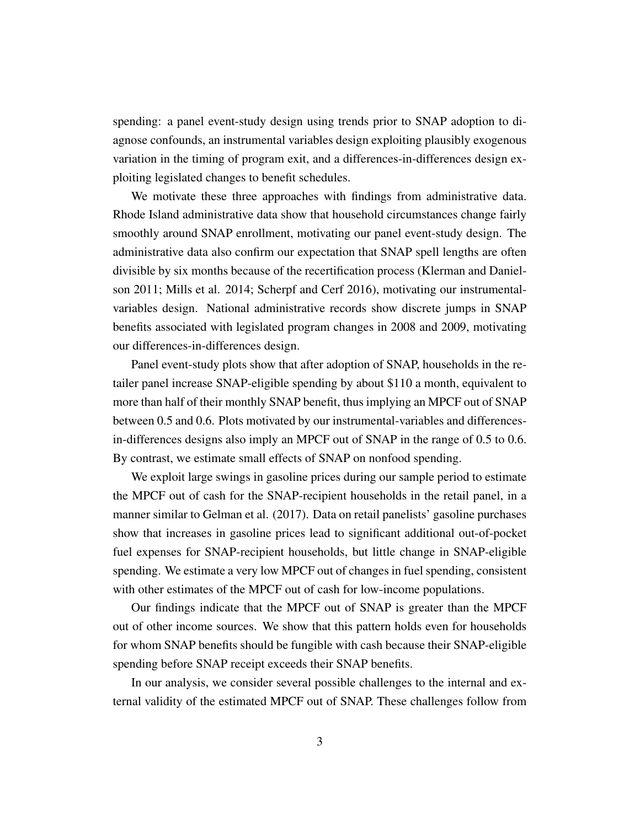spending: a panel event-study design using trends prior to SNAP adoption to diagnose confounds, an instrumental variables design exploiting plausibly exogenous variation in the timing of program exit, and a differences-in-differences design exploiting legislated changes to benefit schedules.

We motivate these three approaches with findings from administrative data. Rhode Island administrative data show that household circumstances change fairly smoothly around SNAP enrollment, motivating our panel event-study design. The administrative data also confirm our expectation that SNAP spell lengths are often divisible by six months because of the recertification process (Klerman and Danielson 2011; Mills et al. 2014; Scherpf and Cerf 2016), motivating our instrumentalvariables design. National administrative records show discrete jumps in SNAP benefits associated with legislated program changes in 2008 and 2009, motivating our differences-in-differences design.

Panel event-study plots show that after adoption of SNAP, households in the retailer panel increase SNAP-eligible spending by about \$110 a month, equivalent to more than half of their monthly SNAP benefit, thus implying an MPCF out of SNAP between 0.5 and 0.6. Plots motivated by our instrumental-variables and differencesin-differences designs also imply an MPCF out of SNAP in the range of 0.5 to 0.6. By contrast, we estimate small effects of SNAP on nonfood spending.

We exploit large swings in gasoline prices during our sample period to estimate the MPCF out of cash for the SNAP-recipient households in the retail panel, in a manner similar to Gelman et al. (2017). Data on retail panelists' gasoline purchases show that increases in gasoline prices lead to significant additional out-of-pocket fuel expenses for SNAP-recipient households, but little change in SNAP-eligible spending. We estimate a very low MPCF out of changes in fuel spending, consistent with other estimates of the MPCF out of cash for low-income populations.

Our findings indicate that the MPCF out of SNAP is greater than the MPCF out of other income sources. We show that this pattern holds even for households for whom SNAP benefits should be fungible with cash because their SNAP-eligible spending before SNAP receipt exceeds their SNAP benefits.

In our analysis, we consider several possible challenges to the internal and external validity of the estimated MPCF out of SNAP. These challenges follow from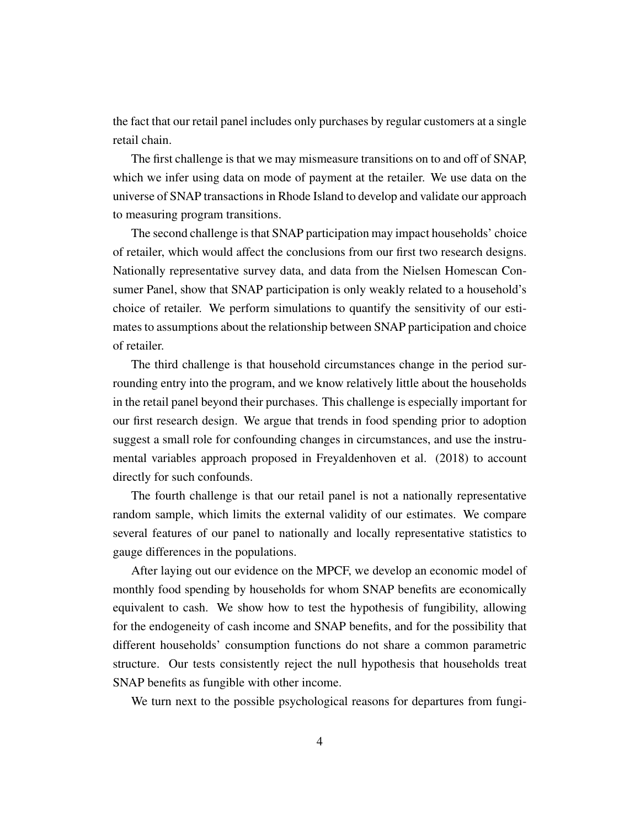the fact that our retail panel includes only purchases by regular customers at a single retail chain.

The first challenge is that we may mismeasure transitions on to and off of SNAP, which we infer using data on mode of payment at the retailer. We use data on the universe of SNAP transactions in Rhode Island to develop and validate our approach to measuring program transitions.

The second challenge is that SNAP participation may impact households' choice of retailer, which would affect the conclusions from our first two research designs. Nationally representative survey data, and data from the Nielsen Homescan Consumer Panel, show that SNAP participation is only weakly related to a household's choice of retailer. We perform simulations to quantify the sensitivity of our estimates to assumptions about the relationship between SNAP participation and choice of retailer.

The third challenge is that household circumstances change in the period surrounding entry into the program, and we know relatively little about the households in the retail panel beyond their purchases. This challenge is especially important for our first research design. We argue that trends in food spending prior to adoption suggest a small role for confounding changes in circumstances, and use the instrumental variables approach proposed in Freyaldenhoven et al. (2018) to account directly for such confounds.

The fourth challenge is that our retail panel is not a nationally representative random sample, which limits the external validity of our estimates. We compare several features of our panel to nationally and locally representative statistics to gauge differences in the populations.

After laying out our evidence on the MPCF, we develop an economic model of monthly food spending by households for whom SNAP benefits are economically equivalent to cash. We show how to test the hypothesis of fungibility, allowing for the endogeneity of cash income and SNAP benefits, and for the possibility that different households' consumption functions do not share a common parametric structure. Our tests consistently reject the null hypothesis that households treat SNAP benefits as fungible with other income.

We turn next to the possible psychological reasons for departures from fungi-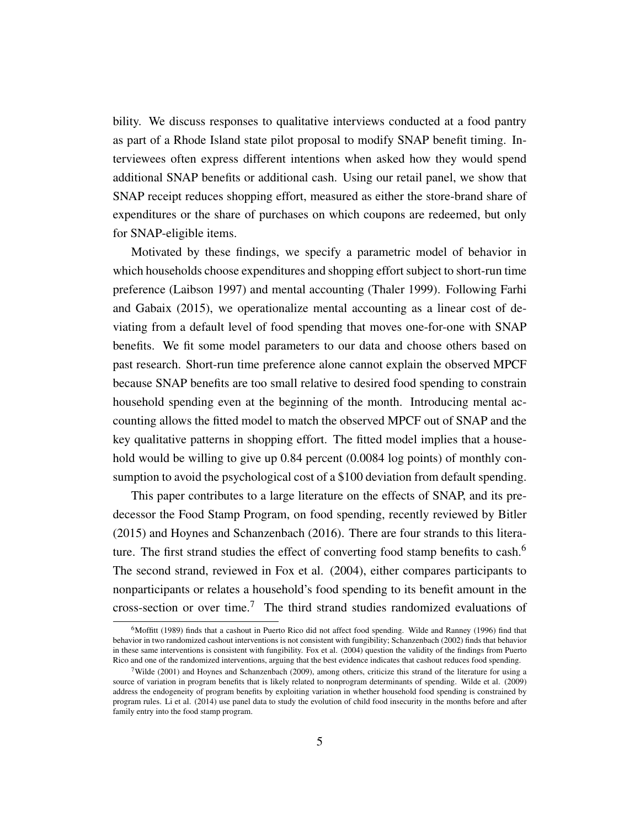bility. We discuss responses to qualitative interviews conducted at a food pantry as part of a Rhode Island state pilot proposal to modify SNAP benefit timing. Interviewees often express different intentions when asked how they would spend additional SNAP benefits or additional cash. Using our retail panel, we show that SNAP receipt reduces shopping effort, measured as either the store-brand share of expenditures or the share of purchases on which coupons are redeemed, but only for SNAP-eligible items.

Motivated by these findings, we specify a parametric model of behavior in which households choose expenditures and shopping effort subject to short-run time preference (Laibson 1997) and mental accounting (Thaler 1999). Following Farhi and Gabaix (2015), we operationalize mental accounting as a linear cost of deviating from a default level of food spending that moves one-for-one with SNAP benefits. We fit some model parameters to our data and choose others based on past research. Short-run time preference alone cannot explain the observed MPCF because SNAP benefits are too small relative to desired food spending to constrain household spending even at the beginning of the month. Introducing mental accounting allows the fitted model to match the observed MPCF out of SNAP and the key qualitative patterns in shopping effort. The fitted model implies that a household would be willing to give up 0.84 percent (0.0084 log points) of monthly consumption to avoid the psychological cost of a \$100 deviation from default spending.

This paper contributes to a large literature on the effects of SNAP, and its predecessor the Food Stamp Program, on food spending, recently reviewed by Bitler (2015) and Hoynes and Schanzenbach (2016). There are four strands to this literature. The first strand studies the effect of converting food stamp benefits to cash.<sup>6</sup> The second strand, reviewed in Fox et al. (2004), either compares participants to nonparticipants or relates a household's food spending to its benefit amount in the cross-section or over time.<sup>7</sup> The third strand studies randomized evaluations of

<sup>6</sup>Moffitt (1989) finds that a cashout in Puerto Rico did not affect food spending. Wilde and Ranney (1996) find that behavior in two randomized cashout interventions is not consistent with fungibility; Schanzenbach (2002) finds that behavior in these same interventions is consistent with fungibility. Fox et al. (2004) question the validity of the findings from Puerto Rico and one of the randomized interventions, arguing that the best evidence indicates that cashout reduces food spending.

 $7$ Wilde (2001) and Hoynes and Schanzenbach (2009), among others, criticize this strand of the literature for using a source of variation in program benefits that is likely related to nonprogram determinants of spending. Wilde et al. (2009) address the endogeneity of program benefits by exploiting variation in whether household food spending is constrained by program rules. Li et al. (2014) use panel data to study the evolution of child food insecurity in the months before and after family entry into the food stamp program.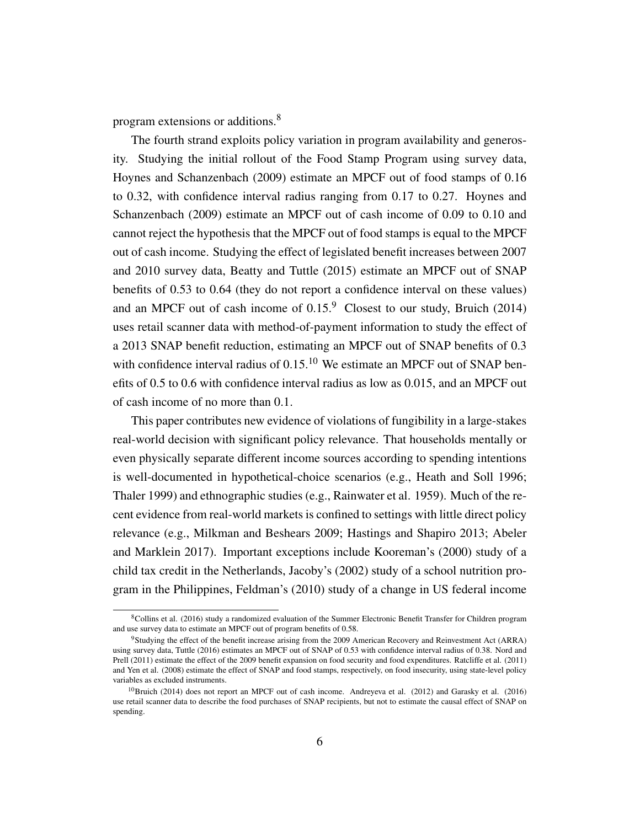program extensions or additions.<sup>8</sup>

The fourth strand exploits policy variation in program availability and generosity. Studying the initial rollout of the Food Stamp Program using survey data, Hoynes and Schanzenbach (2009) estimate an MPCF out of food stamps of 0.16 to 0.32, with confidence interval radius ranging from 0.17 to 0.27. Hoynes and Schanzenbach (2009) estimate an MPCF out of cash income of 0.09 to 0.10 and cannot reject the hypothesis that the MPCF out of food stamps is equal to the MPCF out of cash income. Studying the effect of legislated benefit increases between 2007 and 2010 survey data, Beatty and Tuttle (2015) estimate an MPCF out of SNAP benefits of 0.53 to 0.64 (they do not report a confidence interval on these values) and an MPCF out of cash income of  $0.15<sup>9</sup>$  Closest to our study, Bruich (2014) uses retail scanner data with method-of-payment information to study the effect of a 2013 SNAP benefit reduction, estimating an MPCF out of SNAP benefits of 0.3 with confidence interval radius of 0.15.<sup>10</sup> We estimate an MPCF out of SNAP benefits of 0.5 to 0.6 with confidence interval radius as low as 0.015, and an MPCF out of cash income of no more than 0.1.

This paper contributes new evidence of violations of fungibility in a large-stakes real-world decision with significant policy relevance. That households mentally or even physically separate different income sources according to spending intentions is well-documented in hypothetical-choice scenarios (e.g., Heath and Soll 1996; Thaler 1999) and ethnographic studies (e.g., Rainwater et al. 1959). Much of the recent evidence from real-world markets is confined to settings with little direct policy relevance (e.g., Milkman and Beshears 2009; Hastings and Shapiro 2013; Abeler and Marklein 2017). Important exceptions include Kooreman's (2000) study of a child tax credit in the Netherlands, Jacoby's (2002) study of a school nutrition program in the Philippines, Feldman's (2010) study of a change in US federal income

<sup>8</sup>Collins et al. (2016) study a randomized evaluation of the Summer Electronic Benefit Transfer for Children program and use survey data to estimate an MPCF out of program benefits of 0.58.

<sup>9</sup>Studying the effect of the benefit increase arising from the 2009 American Recovery and Reinvestment Act (ARRA) using survey data, Tuttle (2016) estimates an MPCF out of SNAP of 0.53 with confidence interval radius of 0.38. Nord and Prell (2011) estimate the effect of the 2009 benefit expansion on food security and food expenditures. Ratcliffe et al. (2011) and Yen et al. (2008) estimate the effect of SNAP and food stamps, respectively, on food insecurity, using state-level policy variables as excluded instruments.

<sup>10</sup>Bruich (2014) does not report an MPCF out of cash income. Andreyeva et al. (2012) and Garasky et al. (2016) use retail scanner data to describe the food purchases of SNAP recipients, but not to estimate the causal effect of SNAP on spending.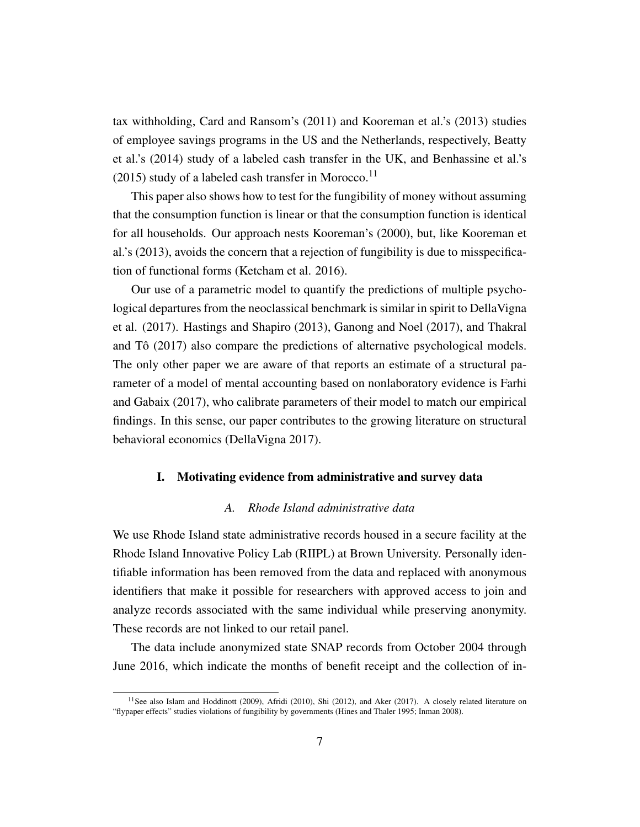tax withholding, Card and Ransom's (2011) and Kooreman et al.'s (2013) studies of employee savings programs in the US and the Netherlands, respectively, Beatty et al.'s (2014) study of a labeled cash transfer in the UK, and Benhassine et al.'s  $(2015)$  study of a labeled cash transfer in Morocco.<sup>11</sup>

This paper also shows how to test for the fungibility of money without assuming that the consumption function is linear or that the consumption function is identical for all households. Our approach nests Kooreman's (2000), but, like Kooreman et al.'s (2013), avoids the concern that a rejection of fungibility is due to misspecification of functional forms (Ketcham et al. 2016).

Our use of a parametric model to quantify the predictions of multiple psychological departures from the neoclassical benchmark is similar in spirit to DellaVigna et al. (2017). Hastings and Shapiro (2013), Ganong and Noel (2017), and Thakral and Tô (2017) also compare the predictions of alternative psychological models. The only other paper we are aware of that reports an estimate of a structural parameter of a model of mental accounting based on nonlaboratory evidence is Farhi and Gabaix (2017), who calibrate parameters of their model to match our empirical findings. In this sense, our paper contributes to the growing literature on structural behavioral economics (DellaVigna 2017).

#### I. Motivating evidence from administrative and survey data

#### *A. Rhode Island administrative data*

We use Rhode Island state administrative records housed in a secure facility at the Rhode Island Innovative Policy Lab (RIIPL) at Brown University. Personally identifiable information has been removed from the data and replaced with anonymous identifiers that make it possible for researchers with approved access to join and analyze records associated with the same individual while preserving anonymity. These records are not linked to our retail panel.

The data include anonymized state SNAP records from October 2004 through June 2016, which indicate the months of benefit receipt and the collection of in-

<sup>&</sup>lt;sup>11</sup>See also Islam and Hoddinott (2009), Afridi (2010), Shi (2012), and Aker (2017). A closely related literature on "flypaper effects" studies violations of fungibility by governments (Hines and Thaler 1995; Inman 2008).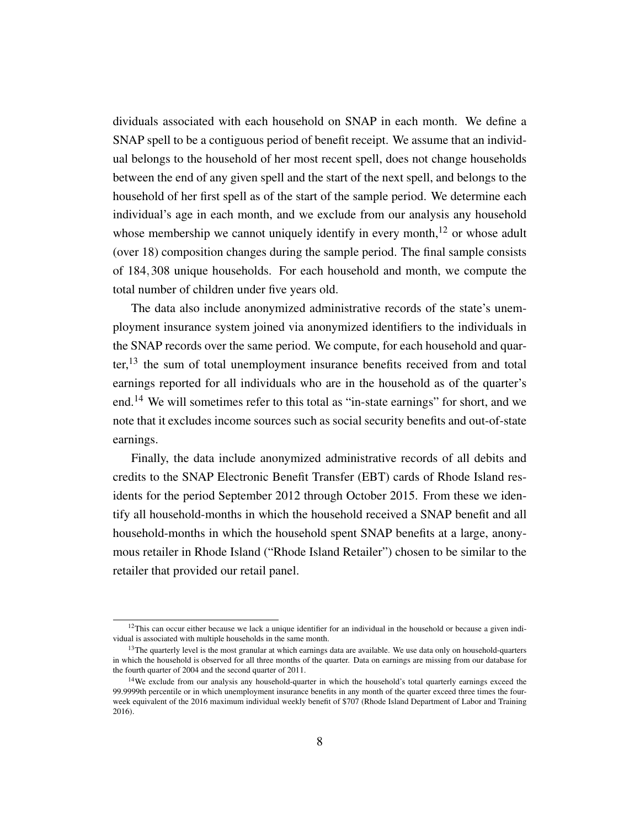dividuals associated with each household on SNAP in each month. We define a SNAP spell to be a contiguous period of benefit receipt. We assume that an individual belongs to the household of her most recent spell, does not change households between the end of any given spell and the start of the next spell, and belongs to the household of her first spell as of the start of the sample period. We determine each individual's age in each month, and we exclude from our analysis any household whose membership we cannot uniquely identify in every month,  $12$  or whose adult (over 18) composition changes during the sample period. The final sample consists of 184,308 unique households. For each household and month, we compute the total number of children under five years old.

The data also include anonymized administrative records of the state's unemployment insurance system joined via anonymized identifiers to the individuals in the SNAP records over the same period. We compute, for each household and quarter,<sup>13</sup> the sum of total unemployment insurance benefits received from and total earnings reported for all individuals who are in the household as of the quarter's end.<sup>14</sup> We will sometimes refer to this total as "in-state earnings" for short, and we note that it excludes income sources such as social security benefits and out-of-state earnings.

Finally, the data include anonymized administrative records of all debits and credits to the SNAP Electronic Benefit Transfer (EBT) cards of Rhode Island residents for the period September 2012 through October 2015. From these we identify all household-months in which the household received a SNAP benefit and all household-months in which the household spent SNAP benefits at a large, anonymous retailer in Rhode Island ("Rhode Island Retailer") chosen to be similar to the retailer that provided our retail panel.

 $12$ This can occur either because we lack a unique identifier for an individual in the household or because a given individual is associated with multiple households in the same month.

 $13$ The quarterly level is the most granular at which earnings data are available. We use data only on household-quarters in which the household is observed for all three months of the quarter. Data on earnings are missing from our database for the fourth quarter of 2004 and the second quarter of 2011.

<sup>&</sup>lt;sup>14</sup>We exclude from our analysis any household-quarter in which the household's total quarterly earnings exceed the 99.9999th percentile or in which unemployment insurance benefits in any month of the quarter exceed three times the fourweek equivalent of the 2016 maximum individual weekly benefit of \$707 (Rhode Island Department of Labor and Training 2016).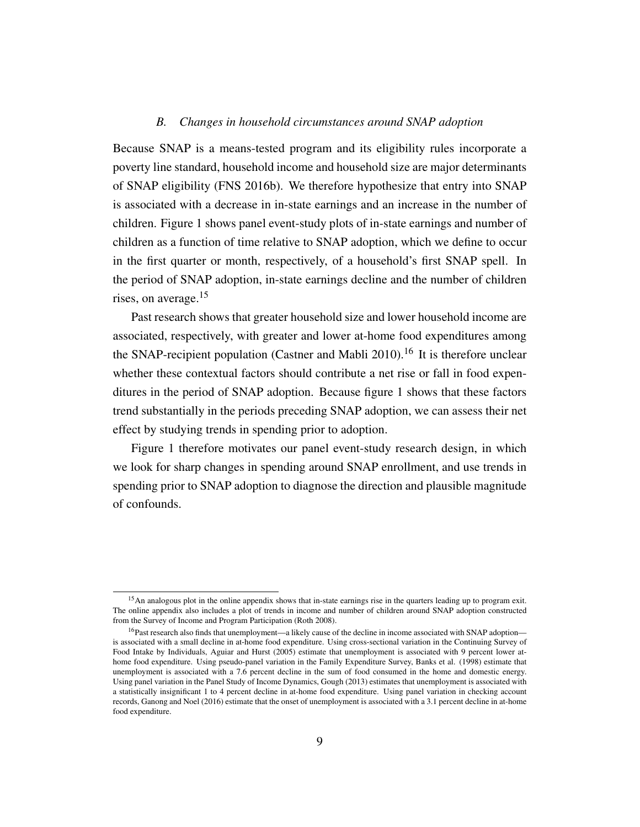#### *B. Changes in household circumstances around SNAP adoption*

Because SNAP is a means-tested program and its eligibility rules incorporate a poverty line standard, household income and household size are major determinants of SNAP eligibility (FNS 2016b). We therefore hypothesize that entry into SNAP is associated with a decrease in in-state earnings and an increase in the number of children. Figure 1 shows panel event-study plots of in-state earnings and number of children as a function of time relative to SNAP adoption, which we define to occur in the first quarter or month, respectively, of a household's first SNAP spell. In the period of SNAP adoption, in-state earnings decline and the number of children rises, on average.<sup>15</sup>

Past research shows that greater household size and lower household income are associated, respectively, with greater and lower at-home food expenditures among the SNAP-recipient population (Castner and Mabli 2010).<sup>16</sup> It is therefore unclear whether these contextual factors should contribute a net rise or fall in food expenditures in the period of SNAP adoption. Because figure 1 shows that these factors trend substantially in the periods preceding SNAP adoption, we can assess their net effect by studying trends in spending prior to adoption.

Figure 1 therefore motivates our panel event-study research design, in which we look for sharp changes in spending around SNAP enrollment, and use trends in spending prior to SNAP adoption to diagnose the direction and plausible magnitude of confounds.

 $<sup>15</sup>$ An analogous plot in the online appendix shows that in-state earnings rise in the quarters leading up to program exit.</sup> The online appendix also includes a plot of trends in income and number of children around SNAP adoption constructed from the Survey of Income and Program Participation (Roth 2008).

<sup>&</sup>lt;sup>16</sup>Past research also finds that unemployment—a likely cause of the decline in income associated with SNAP adoption is associated with a small decline in at-home food expenditure. Using cross-sectional variation in the Continuing Survey of Food Intake by Individuals, Aguiar and Hurst (2005) estimate that unemployment is associated with 9 percent lower athome food expenditure. Using pseudo-panel variation in the Family Expenditure Survey, Banks et al. (1998) estimate that unemployment is associated with a 7.6 percent decline in the sum of food consumed in the home and domestic energy. Using panel variation in the Panel Study of Income Dynamics, Gough (2013) estimates that unemployment is associated with a statistically insignificant 1 to 4 percent decline in at-home food expenditure. Using panel variation in checking account records, Ganong and Noel (2016) estimate that the onset of unemployment is associated with a 3.1 percent decline in at-home food expenditure.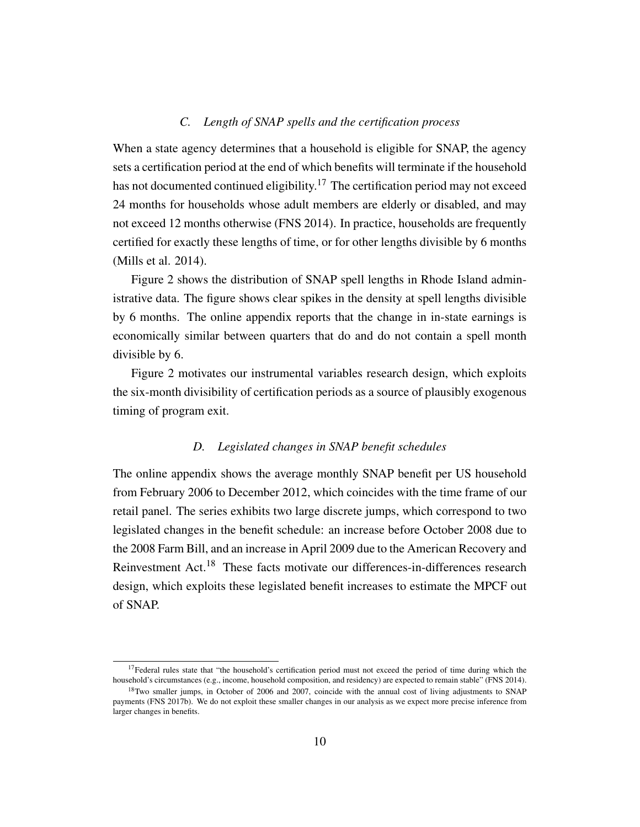#### *C. Length of SNAP spells and the certification process*

When a state agency determines that a household is eligible for SNAP, the agency sets a certification period at the end of which benefits will terminate if the household has not documented continued eligibility.<sup>17</sup> The certification period may not exceed 24 months for households whose adult members are elderly or disabled, and may not exceed 12 months otherwise (FNS 2014). In practice, households are frequently certified for exactly these lengths of time, or for other lengths divisible by 6 months (Mills et al. 2014).

Figure 2 shows the distribution of SNAP spell lengths in Rhode Island administrative data. The figure shows clear spikes in the density at spell lengths divisible by 6 months. The online appendix reports that the change in in-state earnings is economically similar between quarters that do and do not contain a spell month divisible by 6.

Figure 2 motivates our instrumental variables research design, which exploits the six-month divisibility of certification periods as a source of plausibly exogenous timing of program exit.

#### *D. Legislated changes in SNAP benefit schedules*

The online appendix shows the average monthly SNAP benefit per US household from February 2006 to December 2012, which coincides with the time frame of our retail panel. The series exhibits two large discrete jumps, which correspond to two legislated changes in the benefit schedule: an increase before October 2008 due to the 2008 Farm Bill, and an increase in April 2009 due to the American Recovery and Reinvestment Act.<sup>18</sup> These facts motivate our differences-in-differences research design, which exploits these legislated benefit increases to estimate the MPCF out of SNAP.

<sup>&</sup>lt;sup>17</sup>Federal rules state that "the household's certification period must not exceed the period of time during which the household's circumstances (e.g., income, household composition, and residency) are expected to remain stable" (FNS 2014).

<sup>&</sup>lt;sup>18</sup>Two smaller jumps, in October of 2006 and 2007, coincide with the annual cost of living adjustments to SNAP payments (FNS 2017b). We do not exploit these smaller changes in our analysis as we expect more precise inference from larger changes in benefits.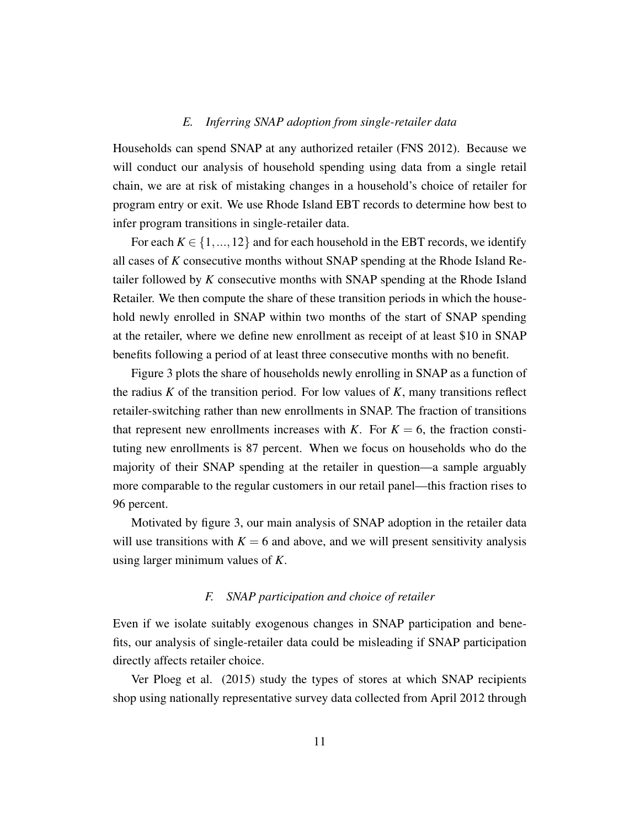#### *E. Inferring SNAP adoption from single-retailer data*

Households can spend SNAP at any authorized retailer (FNS 2012). Because we will conduct our analysis of household spending using data from a single retail chain, we are at risk of mistaking changes in a household's choice of retailer for program entry or exit. We use Rhode Island EBT records to determine how best to infer program transitions in single-retailer data.

For each  $K \in \{1, ..., 12\}$  and for each household in the EBT records, we identify all cases of *K* consecutive months without SNAP spending at the Rhode Island Retailer followed by *K* consecutive months with SNAP spending at the Rhode Island Retailer. We then compute the share of these transition periods in which the household newly enrolled in SNAP within two months of the start of SNAP spending at the retailer, where we define new enrollment as receipt of at least \$10 in SNAP benefits following a period of at least three consecutive months with no benefit.

Figure 3 plots the share of households newly enrolling in SNAP as a function of the radius *K* of the transition period. For low values of *K*, many transitions reflect retailer-switching rather than new enrollments in SNAP. The fraction of transitions that represent new enrollments increases with *K*. For  $K = 6$ , the fraction constituting new enrollments is 87 percent. When we focus on households who do the majority of their SNAP spending at the retailer in question—a sample arguably more comparable to the regular customers in our retail panel—this fraction rises to 96 percent.

Motivated by figure 3, our main analysis of SNAP adoption in the retailer data will use transitions with  $K = 6$  and above, and we will present sensitivity analysis using larger minimum values of *K*.

## *F. SNAP participation and choice of retailer*

Even if we isolate suitably exogenous changes in SNAP participation and benefits, our analysis of single-retailer data could be misleading if SNAP participation directly affects retailer choice.

Ver Ploeg et al. (2015) study the types of stores at which SNAP recipients shop using nationally representative survey data collected from April 2012 through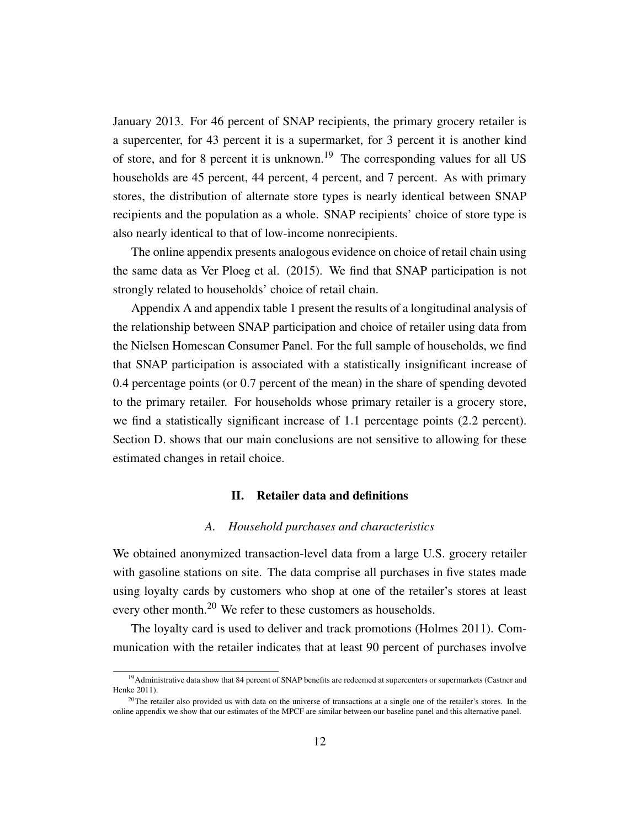January 2013. For 46 percent of SNAP recipients, the primary grocery retailer is a supercenter, for 43 percent it is a supermarket, for 3 percent it is another kind of store, and for 8 percent it is unknown.<sup>19</sup> The corresponding values for all US households are 45 percent, 44 percent, 4 percent, and 7 percent. As with primary stores, the distribution of alternate store types is nearly identical between SNAP recipients and the population as a whole. SNAP recipients' choice of store type is also nearly identical to that of low-income nonrecipients.

The online appendix presents analogous evidence on choice of retail chain using the same data as Ver Ploeg et al. (2015). We find that SNAP participation is not strongly related to households' choice of retail chain.

Appendix A and appendix table 1 present the results of a longitudinal analysis of the relationship between SNAP participation and choice of retailer using data from the Nielsen Homescan Consumer Panel. For the full sample of households, we find that SNAP participation is associated with a statistically insignificant increase of 0.4 percentage points (or 0.7 percent of the mean) in the share of spending devoted to the primary retailer. For households whose primary retailer is a grocery store, we find a statistically significant increase of 1.1 percentage points (2.2 percent). Section D. shows that our main conclusions are not sensitive to allowing for these estimated changes in retail choice.

#### II. Retailer data and definitions

#### *A. Household purchases and characteristics*

We obtained anonymized transaction-level data from a large U.S. grocery retailer with gasoline stations on site. The data comprise all purchases in five states made using loyalty cards by customers who shop at one of the retailer's stores at least every other month.<sup>20</sup> We refer to these customers as households.

The loyalty card is used to deliver and track promotions (Holmes 2011). Communication with the retailer indicates that at least 90 percent of purchases involve

 $<sup>19</sup>$ Administrative data show that 84 percent of SNAP benefits are redeemed at supercenters or supermarkets (Castner and</sup> Henke 2011).

 $^{20}$ The retailer also provided us with data on the universe of transactions at a single one of the retailer's stores. In the online appendix we show that our estimates of the MPCF are similar between our baseline panel and this alternative panel.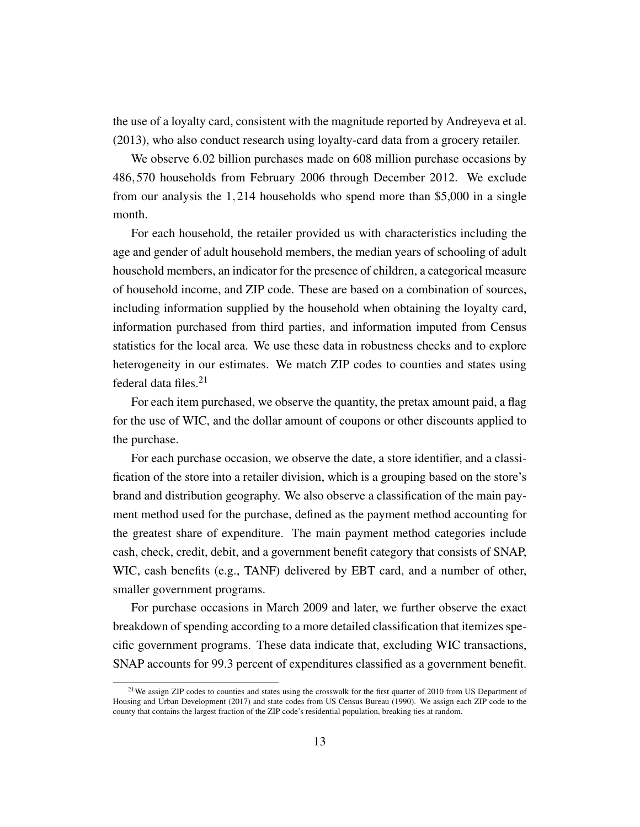the use of a loyalty card, consistent with the magnitude reported by Andreyeva et al. (2013), who also conduct research using loyalty-card data from a grocery retailer.

We observe 6.02 billion purchases made on 608 million purchase occasions by 486,570 households from February 2006 through December 2012. We exclude from our analysis the 1,214 households who spend more than \$5,000 in a single month.

For each household, the retailer provided us with characteristics including the age and gender of adult household members, the median years of schooling of adult household members, an indicator for the presence of children, a categorical measure of household income, and ZIP code. These are based on a combination of sources, including information supplied by the household when obtaining the loyalty card, information purchased from third parties, and information imputed from Census statistics for the local area. We use these data in robustness checks and to explore heterogeneity in our estimates. We match ZIP codes to counties and states using federal data files.<sup>21</sup>

For each item purchased, we observe the quantity, the pretax amount paid, a flag for the use of WIC, and the dollar amount of coupons or other discounts applied to the purchase.

For each purchase occasion, we observe the date, a store identifier, and a classification of the store into a retailer division, which is a grouping based on the store's brand and distribution geography. We also observe a classification of the main payment method used for the purchase, defined as the payment method accounting for the greatest share of expenditure. The main payment method categories include cash, check, credit, debit, and a government benefit category that consists of SNAP, WIC, cash benefits (e.g., TANF) delivered by EBT card, and a number of other, smaller government programs.

For purchase occasions in March 2009 and later, we further observe the exact breakdown of spending according to a more detailed classification that itemizes specific government programs. These data indicate that, excluding WIC transactions, SNAP accounts for 99.3 percent of expenditures classified as a government benefit.

 $21$ We assign ZIP codes to counties and states using the crosswalk for the first quarter of 2010 from US Department of Housing and Urban Development (2017) and state codes from US Census Bureau (1990). We assign each ZIP code to the county that contains the largest fraction of the ZIP code's residential population, breaking ties at random.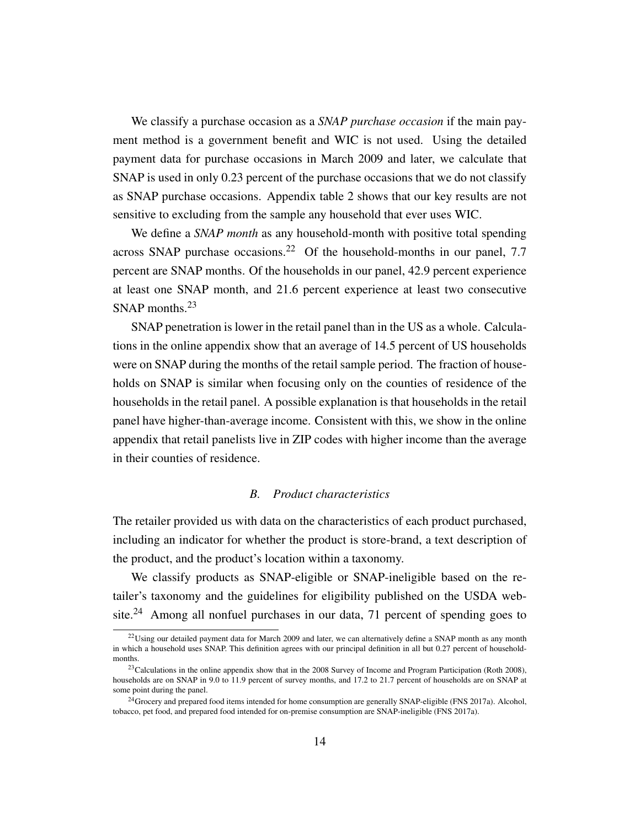We classify a purchase occasion as a *SNAP purchase occasion* if the main payment method is a government benefit and WIC is not used. Using the detailed payment data for purchase occasions in March 2009 and later, we calculate that SNAP is used in only 0.23 percent of the purchase occasions that we do not classify as SNAP purchase occasions. Appendix table 2 shows that our key results are not sensitive to excluding from the sample any household that ever uses WIC.

We define a *SNAP month* as any household-month with positive total spending across SNAP purchase occasions.<sup>22</sup> Of the household-months in our panel, 7.7 percent are SNAP months. Of the households in our panel, 42.9 percent experience at least one SNAP month, and 21.6 percent experience at least two consecutive SNAP months.<sup>23</sup>

SNAP penetration is lower in the retail panel than in the US as a whole. Calculations in the online appendix show that an average of 14.5 percent of US households were on SNAP during the months of the retail sample period. The fraction of households on SNAP is similar when focusing only on the counties of residence of the households in the retail panel. A possible explanation is that households in the retail panel have higher-than-average income. Consistent with this, we show in the online appendix that retail panelists live in ZIP codes with higher income than the average in their counties of residence.

#### *B. Product characteristics*

The retailer provided us with data on the characteristics of each product purchased, including an indicator for whether the product is store-brand, a text description of the product, and the product's location within a taxonomy.

We classify products as SNAP-eligible or SNAP-ineligible based on the retailer's taxonomy and the guidelines for eligibility published on the USDA website.<sup>24</sup> Among all nonfuel purchases in our data, 71 percent of spending goes to

 $22$ Using our detailed payment data for March 2009 and later, we can alternatively define a SNAP month as any month in which a household uses SNAP. This definition agrees with our principal definition in all but 0.27 percent of householdmonths.

 $23$ Calculations in the online appendix show that in the 2008 Survey of Income and Program Participation (Roth 2008), households are on SNAP in 9.0 to 11.9 percent of survey months, and 17.2 to 21.7 percent of households are on SNAP at some point during the panel.

 $^{24}$ Grocery and prepared food items intended for home consumption are generally SNAP-eligible (FNS 2017a). Alcohol, tobacco, pet food, and prepared food intended for on-premise consumption are SNAP-ineligible (FNS 2017a).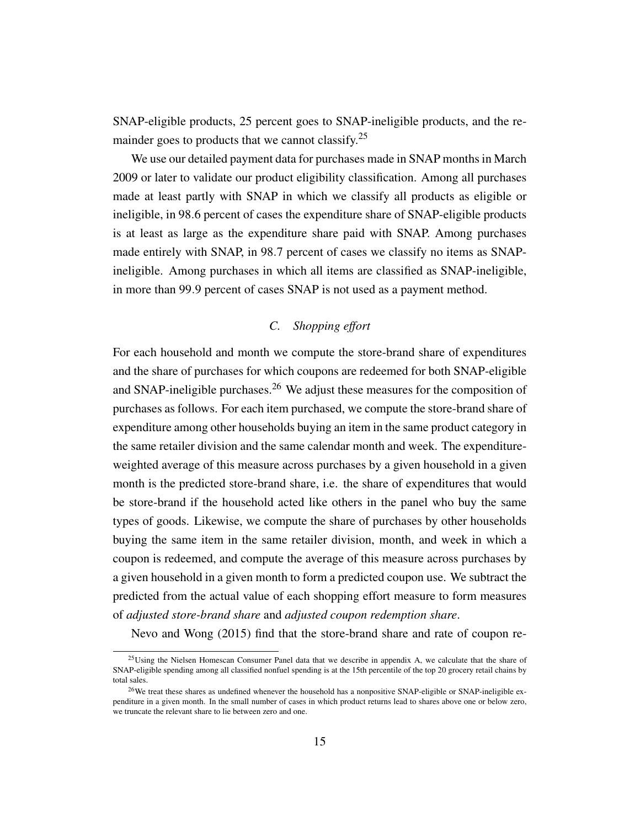SNAP-eligible products, 25 percent goes to SNAP-ineligible products, and the remainder goes to products that we cannot classify.<sup>25</sup>

We use our detailed payment data for purchases made in SNAP months in March 2009 or later to validate our product eligibility classification. Among all purchases made at least partly with SNAP in which we classify all products as eligible or ineligible, in 98.6 percent of cases the expenditure share of SNAP-eligible products is at least as large as the expenditure share paid with SNAP. Among purchases made entirely with SNAP, in 98.7 percent of cases we classify no items as SNAPineligible. Among purchases in which all items are classified as SNAP-ineligible, in more than 99.9 percent of cases SNAP is not used as a payment method.

## *C. Shopping effort*

For each household and month we compute the store-brand share of expenditures and the share of purchases for which coupons are redeemed for both SNAP-eligible and SNAP-ineligible purchases.<sup>26</sup> We adjust these measures for the composition of purchases as follows. For each item purchased, we compute the store-brand share of expenditure among other households buying an item in the same product category in the same retailer division and the same calendar month and week. The expenditureweighted average of this measure across purchases by a given household in a given month is the predicted store-brand share, i.e. the share of expenditures that would be store-brand if the household acted like others in the panel who buy the same types of goods. Likewise, we compute the share of purchases by other households buying the same item in the same retailer division, month, and week in which a coupon is redeemed, and compute the average of this measure across purchases by a given household in a given month to form a predicted coupon use. We subtract the predicted from the actual value of each shopping effort measure to form measures of *adjusted store-brand share* and *adjusted coupon redemption share*.

Nevo and Wong (2015) find that the store-brand share and rate of coupon re-

<sup>&</sup>lt;sup>25</sup>Using the Nielsen Homescan Consumer Panel data that we describe in appendix A, we calculate that the share of SNAP-eligible spending among all classified nonfuel spending is at the 15th percentile of the top 20 grocery retail chains by total sales.

 $^{26}$ We treat these shares as undefined whenever the household has a nonpositive SNAP-eligible or SNAP-ineligible expenditure in a given month. In the small number of cases in which product returns lead to shares above one or below zero, we truncate the relevant share to lie between zero and one.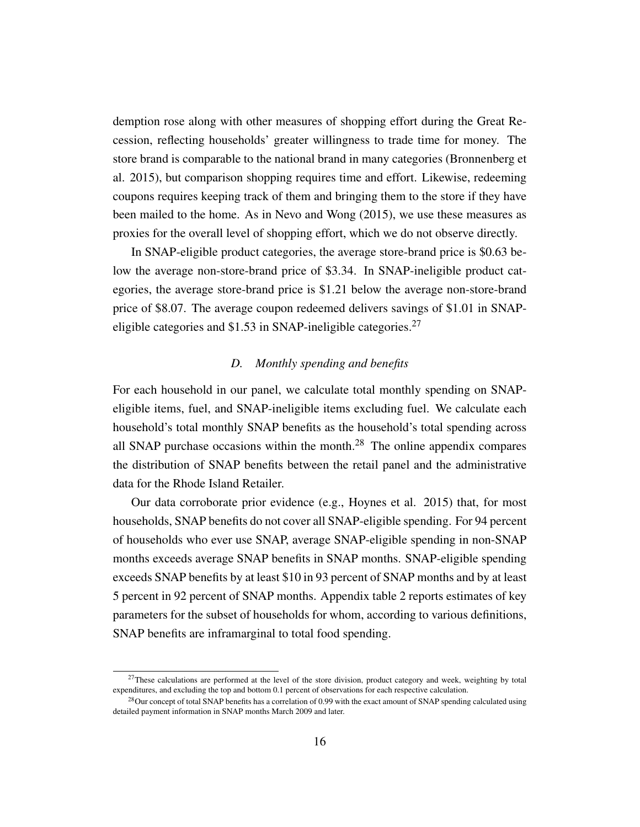demption rose along with other measures of shopping effort during the Great Recession, reflecting households' greater willingness to trade time for money. The store brand is comparable to the national brand in many categories (Bronnenberg et al. 2015), but comparison shopping requires time and effort. Likewise, redeeming coupons requires keeping track of them and bringing them to the store if they have been mailed to the home. As in Nevo and Wong (2015), we use these measures as proxies for the overall level of shopping effort, which we do not observe directly.

In SNAP-eligible product categories, the average store-brand price is \$0.63 below the average non-store-brand price of \$3.34. In SNAP-ineligible product categories, the average store-brand price is \$1.21 below the average non-store-brand price of \$8.07. The average coupon redeemed delivers savings of \$1.01 in SNAPeligible categories and \$1.53 in SNAP-ineligible categories.<sup>27</sup>

## *D. Monthly spending and benefits*

For each household in our panel, we calculate total monthly spending on SNAPeligible items, fuel, and SNAP-ineligible items excluding fuel. We calculate each household's total monthly SNAP benefits as the household's total spending across all SNAP purchase occasions within the month.<sup>28</sup> The online appendix compares the distribution of SNAP benefits between the retail panel and the administrative data for the Rhode Island Retailer.

Our data corroborate prior evidence (e.g., Hoynes et al. 2015) that, for most households, SNAP benefits do not cover all SNAP-eligible spending. For 94 percent of households who ever use SNAP, average SNAP-eligible spending in non-SNAP months exceeds average SNAP benefits in SNAP months. SNAP-eligible spending exceeds SNAP benefits by at least \$10 in 93 percent of SNAP months and by at least 5 percent in 92 percent of SNAP months. Appendix table 2 reports estimates of key parameters for the subset of households for whom, according to various definitions, SNAP benefits are inframarginal to total food spending.

<sup>&</sup>lt;sup>27</sup>These calculations are performed at the level of the store division, product category and week, weighting by total expenditures, and excluding the top and bottom 0.1 percent of observations for each respective calculation.

 $^{28}$ Our concept of total SNAP benefits has a correlation of 0.99 with the exact amount of SNAP spending calculated using detailed payment information in SNAP months March 2009 and later.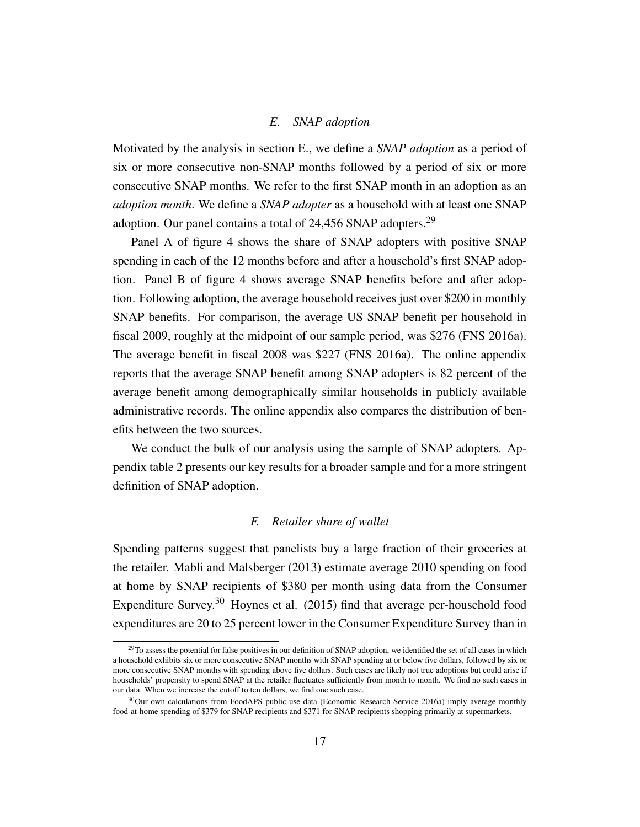#### *E. SNAP adoption*

Motivated by the analysis in section E., we define a *SNAP adoption* as a period of six or more consecutive non-SNAP months followed by a period of six or more consecutive SNAP months. We refer to the first SNAP month in an adoption as an *adoption month*. We define a *SNAP adopter* as a household with at least one SNAP adoption. Our panel contains a total of 24,456 SNAP adopters.<sup>29</sup>

Panel A of figure 4 shows the share of SNAP adopters with positive SNAP spending in each of the 12 months before and after a household's first SNAP adoption. Panel B of figure 4 shows average SNAP benefits before and after adoption. Following adoption, the average household receives just over \$200 in monthly SNAP benefits. For comparison, the average US SNAP benefit per household in fiscal 2009, roughly at the midpoint of our sample period, was \$276 (FNS 2016a). The average benefit in fiscal 2008 was \$227 (FNS 2016a). The online appendix reports that the average SNAP benefit among SNAP adopters is 82 percent of the average benefit among demographically similar households in publicly available administrative records. The online appendix also compares the distribution of benefits between the two sources.

We conduct the bulk of our analysis using the sample of SNAP adopters. Appendix table 2 presents our key results for a broader sample and for a more stringent definition of SNAP adoption.

#### *F. Retailer share of wallet*

Spending patterns suggest that panelists buy a large fraction of their groceries at the retailer. Mabli and Malsberger (2013) estimate average 2010 spending on food at home by SNAP recipients of \$380 per month using data from the Consumer Expenditure Survey.<sup>30</sup> Hoynes et al. (2015) find that average per-household food expenditures are 20 to 25 percent lower in the Consumer Expenditure Survey than in

 $29$ To assess the potential for false positives in our definition of SNAP adoption, we identified the set of all cases in which a household exhibits six or more consecutive SNAP months with SNAP spending at or below five dollars, followed by six or more consecutive SNAP months with spending above five dollars. Such cases are likely not true adoptions but could arise if households' propensity to spend SNAP at the retailer fluctuates sufficiently from month to month. We find no such cases in our data. When we increase the cutoff to ten dollars, we find one such case.

<sup>&</sup>lt;sup>30</sup>Our own calculations from FoodAPS public-use data (Economic Research Service 2016a) imply average monthly food-at-home spending of \$379 for SNAP recipients and \$371 for SNAP recipients shopping primarily at supermarkets.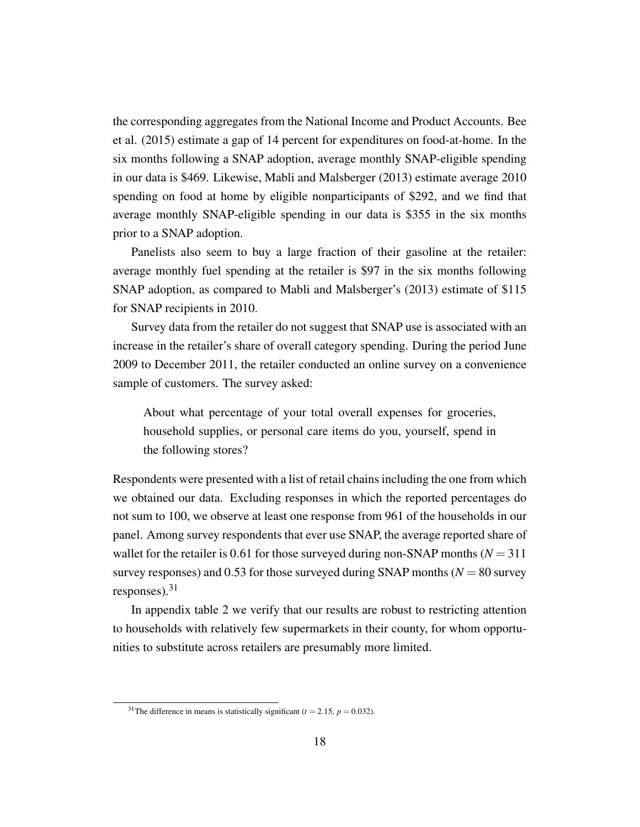the corresponding aggregates from the National Income and Product Accounts. Bee et al. (2015) estimate a gap of 14 percent for expenditures on food-at-home. In the six months following a SNAP adoption, average monthly SNAP-eligible spending in our data is \$469. Likewise, Mabli and Malsberger (2013) estimate average 2010 spending on food at home by eligible nonparticipants of \$292, and we find that average monthly SNAP-eligible spending in our data is \$355 in the six months prior to a SNAP adoption.

Panelists also seem to buy a large fraction of their gasoline at the retailer: average monthly fuel spending at the retailer is \$97 in the six months following SNAP adoption, as compared to Mabli and Malsberger's (2013) estimate of \$115 for SNAP recipients in 2010.

Survey data from the retailer do not suggest that SNAP use is associated with an increase in the retailer's share of overall category spending. During the period June 2009 to December 2011, the retailer conducted an online survey on a convenience sample of customers. The survey asked:

About what percentage of your total overall expenses for groceries, household supplies, or personal care items do you, yourself, spend in the following stores?

Respondents were presented with a list of retail chains including the one from which we obtained our data. Excluding responses in which the reported percentages do not sum to 100, we observe at least one response from 961 of the households in our panel. Among survey respondents that ever use SNAP, the average reported share of wallet for the retailer is 0.61 for those surveyed during non-SNAP months  $(N = 311)$ survey responses) and 0.53 for those surveyed during SNAP months ( $N = 80$  survey responses). $31$ 

In appendix table 2 we verify that our results are robust to restricting attention to households with relatively few supermarkets in their county, for whom opportunities to substitute across retailers are presumably more limited.

<sup>&</sup>lt;sup>31</sup>The difference in means is statistically significant ( $t = 2.15$ ,  $p = 0.032$ ).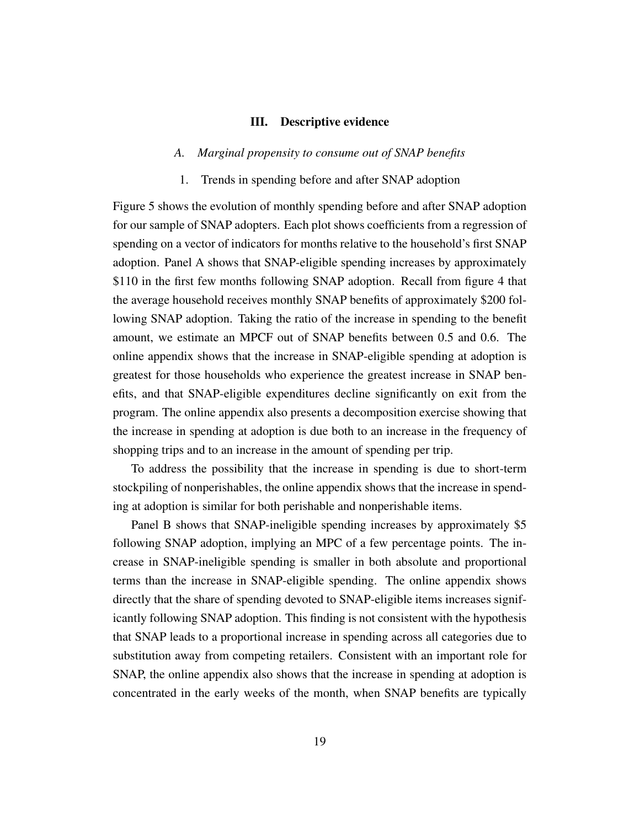#### III. Descriptive evidence

#### *A. Marginal propensity to consume out of SNAP benefits*

1. Trends in spending before and after SNAP adoption

Figure 5 shows the evolution of monthly spending before and after SNAP adoption for our sample of SNAP adopters. Each plot shows coefficients from a regression of spending on a vector of indicators for months relative to the household's first SNAP adoption. Panel A shows that SNAP-eligible spending increases by approximately \$110 in the first few months following SNAP adoption. Recall from figure 4 that the average household receives monthly SNAP benefits of approximately \$200 following SNAP adoption. Taking the ratio of the increase in spending to the benefit amount, we estimate an MPCF out of SNAP benefits between 0.5 and 0.6. The online appendix shows that the increase in SNAP-eligible spending at adoption is greatest for those households who experience the greatest increase in SNAP benefits, and that SNAP-eligible expenditures decline significantly on exit from the program. The online appendix also presents a decomposition exercise showing that the increase in spending at adoption is due both to an increase in the frequency of shopping trips and to an increase in the amount of spending per trip.

To address the possibility that the increase in spending is due to short-term stockpiling of nonperishables, the online appendix shows that the increase in spending at adoption is similar for both perishable and nonperishable items.

Panel B shows that SNAP-ineligible spending increases by approximately \$5 following SNAP adoption, implying an MPC of a few percentage points. The increase in SNAP-ineligible spending is smaller in both absolute and proportional terms than the increase in SNAP-eligible spending. The online appendix shows directly that the share of spending devoted to SNAP-eligible items increases significantly following SNAP adoption. This finding is not consistent with the hypothesis that SNAP leads to a proportional increase in spending across all categories due to substitution away from competing retailers. Consistent with an important role for SNAP, the online appendix also shows that the increase in spending at adoption is concentrated in the early weeks of the month, when SNAP benefits are typically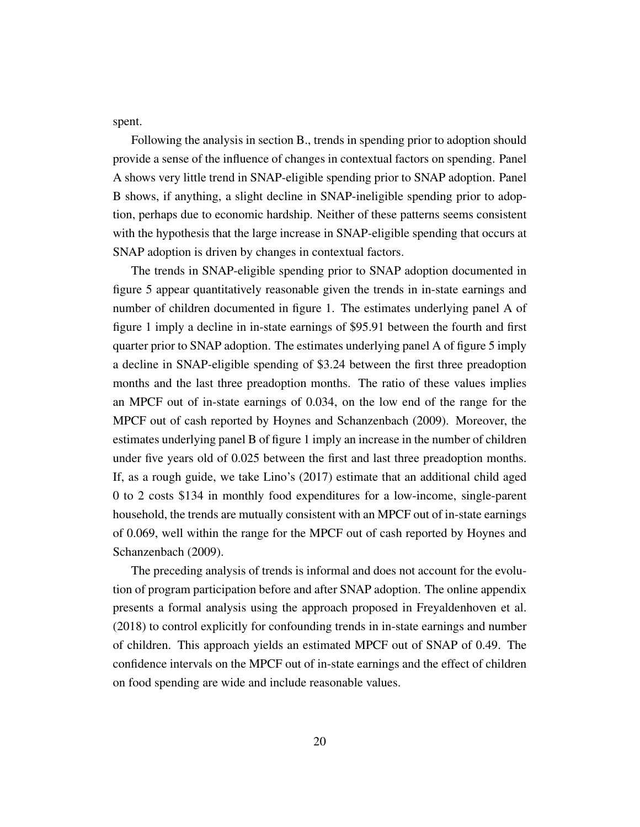spent.

Following the analysis in section B., trends in spending prior to adoption should provide a sense of the influence of changes in contextual factors on spending. Panel A shows very little trend in SNAP-eligible spending prior to SNAP adoption. Panel B shows, if anything, a slight decline in SNAP-ineligible spending prior to adoption, perhaps due to economic hardship. Neither of these patterns seems consistent with the hypothesis that the large increase in SNAP-eligible spending that occurs at SNAP adoption is driven by changes in contextual factors.

The trends in SNAP-eligible spending prior to SNAP adoption documented in figure 5 appear quantitatively reasonable given the trends in in-state earnings and number of children documented in figure 1. The estimates underlying panel A of figure 1 imply a decline in in-state earnings of \$95.91 between the fourth and first quarter prior to SNAP adoption. The estimates underlying panel A of figure 5 imply a decline in SNAP-eligible spending of \$3.24 between the first three preadoption months and the last three preadoption months. The ratio of these values implies an MPCF out of in-state earnings of 0.034, on the low end of the range for the MPCF out of cash reported by Hoynes and Schanzenbach (2009). Moreover, the estimates underlying panel B of figure 1 imply an increase in the number of children under five years old of 0.025 between the first and last three preadoption months. If, as a rough guide, we take Lino's (2017) estimate that an additional child aged 0 to 2 costs \$134 in monthly food expenditures for a low-income, single-parent household, the trends are mutually consistent with an MPCF out of in-state earnings of 0.069, well within the range for the MPCF out of cash reported by Hoynes and Schanzenbach (2009).

The preceding analysis of trends is informal and does not account for the evolution of program participation before and after SNAP adoption. The online appendix presents a formal analysis using the approach proposed in Freyaldenhoven et al. (2018) to control explicitly for confounding trends in in-state earnings and number of children. This approach yields an estimated MPCF out of SNAP of 0.49. The confidence intervals on the MPCF out of in-state earnings and the effect of children on food spending are wide and include reasonable values.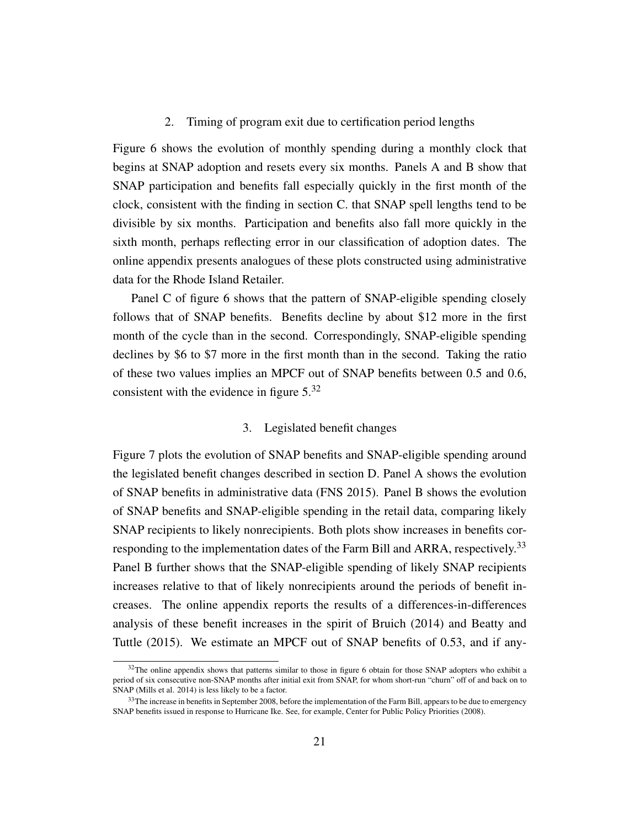#### 2. Timing of program exit due to certification period lengths

Figure 6 shows the evolution of monthly spending during a monthly clock that begins at SNAP adoption and resets every six months. Panels A and B show that SNAP participation and benefits fall especially quickly in the first month of the clock, consistent with the finding in section C. that SNAP spell lengths tend to be divisible by six months. Participation and benefits also fall more quickly in the sixth month, perhaps reflecting error in our classification of adoption dates. The online appendix presents analogues of these plots constructed using administrative data for the Rhode Island Retailer.

Panel C of figure 6 shows that the pattern of SNAP-eligible spending closely follows that of SNAP benefits. Benefits decline by about \$12 more in the first month of the cycle than in the second. Correspondingly, SNAP-eligible spending declines by \$6 to \$7 more in the first month than in the second. Taking the ratio of these two values implies an MPCF out of SNAP benefits between 0.5 and 0.6, consistent with the evidence in figure  $5^{32}$ 

#### 3. Legislated benefit changes

Figure 7 plots the evolution of SNAP benefits and SNAP-eligible spending around the legislated benefit changes described in section D. Panel A shows the evolution of SNAP benefits in administrative data (FNS 2015). Panel B shows the evolution of SNAP benefits and SNAP-eligible spending in the retail data, comparing likely SNAP recipients to likely nonrecipients. Both plots show increases in benefits corresponding to the implementation dates of the Farm Bill and ARRA, respectively.<sup>33</sup> Panel B further shows that the SNAP-eligible spending of likely SNAP recipients increases relative to that of likely nonrecipients around the periods of benefit increases. The online appendix reports the results of a differences-in-differences analysis of these benefit increases in the spirit of Bruich (2014) and Beatty and Tuttle (2015). We estimate an MPCF out of SNAP benefits of 0.53, and if any-

 $32$ The online appendix shows that patterns similar to those in figure 6 obtain for those SNAP adopters who exhibit a period of six consecutive non-SNAP months after initial exit from SNAP, for whom short-run "churn" off of and back on to SNAP (Mills et al. 2014) is less likely to be a factor.

<sup>&</sup>lt;sup>33</sup>The increase in benefits in September 2008, before the implementation of the Farm Bill, appears to be due to emergency SNAP benefits issued in response to Hurricane Ike. See, for example, Center for Public Policy Priorities (2008).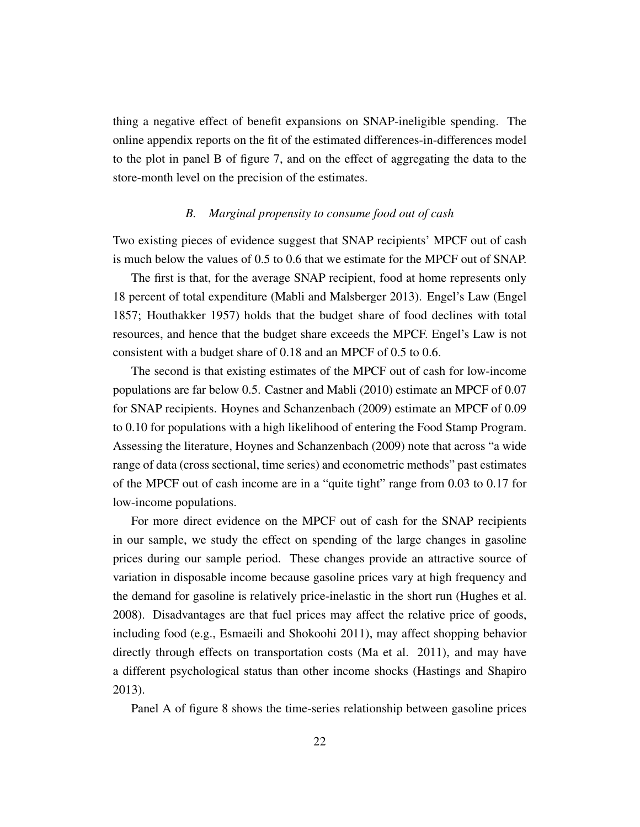thing a negative effect of benefit expansions on SNAP-ineligible spending. The online appendix reports on the fit of the estimated differences-in-differences model to the plot in panel B of figure 7, and on the effect of aggregating the data to the store-month level on the precision of the estimates.

#### *B. Marginal propensity to consume food out of cash*

Two existing pieces of evidence suggest that SNAP recipients' MPCF out of cash is much below the values of 0.5 to 0.6 that we estimate for the MPCF out of SNAP.

The first is that, for the average SNAP recipient, food at home represents only 18 percent of total expenditure (Mabli and Malsberger 2013). Engel's Law (Engel 1857; Houthakker 1957) holds that the budget share of food declines with total resources, and hence that the budget share exceeds the MPCF. Engel's Law is not consistent with a budget share of 0.18 and an MPCF of 0.5 to 0.6.

The second is that existing estimates of the MPCF out of cash for low-income populations are far below 0.5. Castner and Mabli (2010) estimate an MPCF of 0.07 for SNAP recipients. Hoynes and Schanzenbach (2009) estimate an MPCF of 0.09 to 0.10 for populations with a high likelihood of entering the Food Stamp Program. Assessing the literature, Hoynes and Schanzenbach (2009) note that across "a wide range of data (cross sectional, time series) and econometric methods" past estimates of the MPCF out of cash income are in a "quite tight" range from 0.03 to 0.17 for low-income populations.

For more direct evidence on the MPCF out of cash for the SNAP recipients in our sample, we study the effect on spending of the large changes in gasoline prices during our sample period. These changes provide an attractive source of variation in disposable income because gasoline prices vary at high frequency and the demand for gasoline is relatively price-inelastic in the short run (Hughes et al. 2008). Disadvantages are that fuel prices may affect the relative price of goods, including food (e.g., Esmaeili and Shokoohi 2011), may affect shopping behavior directly through effects on transportation costs (Ma et al. 2011), and may have a different psychological status than other income shocks (Hastings and Shapiro 2013).

Panel A of figure 8 shows the time-series relationship between gasoline prices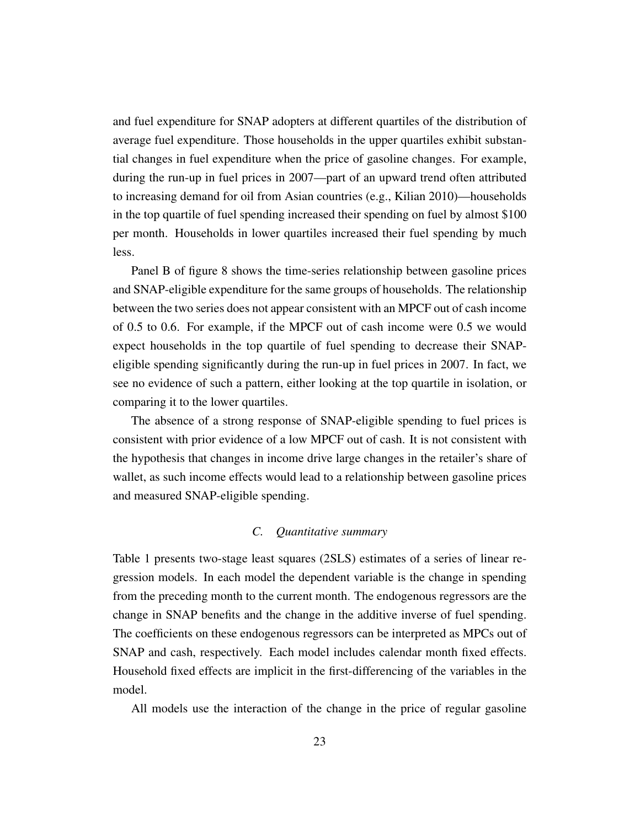and fuel expenditure for SNAP adopters at different quartiles of the distribution of average fuel expenditure. Those households in the upper quartiles exhibit substantial changes in fuel expenditure when the price of gasoline changes. For example, during the run-up in fuel prices in 2007—part of an upward trend often attributed to increasing demand for oil from Asian countries (e.g., Kilian 2010)—households in the top quartile of fuel spending increased their spending on fuel by almost \$100 per month. Households in lower quartiles increased their fuel spending by much less.

Panel B of figure 8 shows the time-series relationship between gasoline prices and SNAP-eligible expenditure for the same groups of households. The relationship between the two series does not appear consistent with an MPCF out of cash income of 0.5 to 0.6. For example, if the MPCF out of cash income were 0.5 we would expect households in the top quartile of fuel spending to decrease their SNAPeligible spending significantly during the run-up in fuel prices in 2007. In fact, we see no evidence of such a pattern, either looking at the top quartile in isolation, or comparing it to the lower quartiles.

The absence of a strong response of SNAP-eligible spending to fuel prices is consistent with prior evidence of a low MPCF out of cash. It is not consistent with the hypothesis that changes in income drive large changes in the retailer's share of wallet, as such income effects would lead to a relationship between gasoline prices and measured SNAP-eligible spending.

## *C. Quantitative summary*

Table 1 presents two-stage least squares (2SLS) estimates of a series of linear regression models. In each model the dependent variable is the change in spending from the preceding month to the current month. The endogenous regressors are the change in SNAP benefits and the change in the additive inverse of fuel spending. The coefficients on these endogenous regressors can be interpreted as MPCs out of SNAP and cash, respectively. Each model includes calendar month fixed effects. Household fixed effects are implicit in the first-differencing of the variables in the model.

All models use the interaction of the change in the price of regular gasoline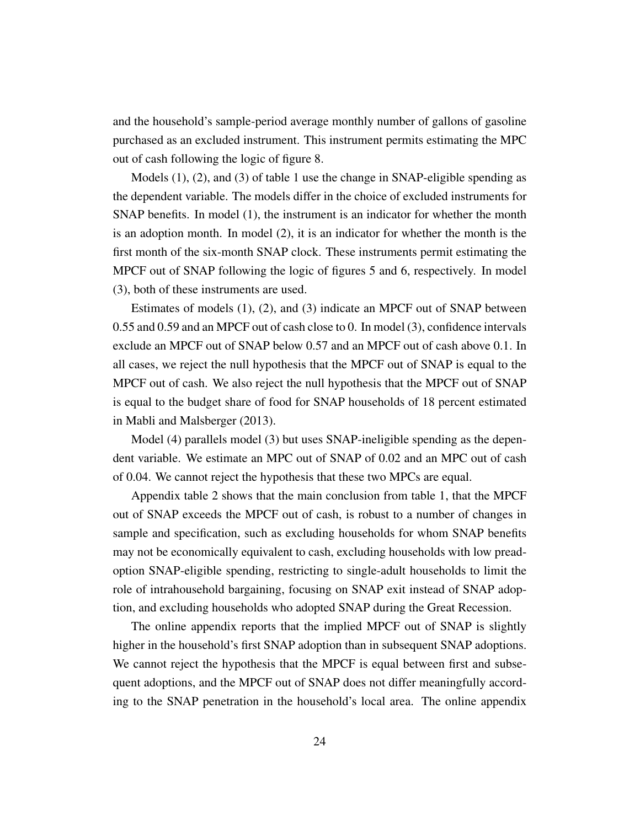and the household's sample-period average monthly number of gallons of gasoline purchased as an excluded instrument. This instrument permits estimating the MPC out of cash following the logic of figure 8.

Models (1), (2), and (3) of table 1 use the change in SNAP-eligible spending as the dependent variable. The models differ in the choice of excluded instruments for SNAP benefits. In model (1), the instrument is an indicator for whether the month is an adoption month. In model (2), it is an indicator for whether the month is the first month of the six-month SNAP clock. These instruments permit estimating the MPCF out of SNAP following the logic of figures 5 and 6, respectively. In model (3), both of these instruments are used.

Estimates of models (1), (2), and (3) indicate an MPCF out of SNAP between 0.55 and 0.59 and an MPCF out of cash close to 0. In model (3), confidence intervals exclude an MPCF out of SNAP below 0.57 and an MPCF out of cash above 0.1. In all cases, we reject the null hypothesis that the MPCF out of SNAP is equal to the MPCF out of cash. We also reject the null hypothesis that the MPCF out of SNAP is equal to the budget share of food for SNAP households of 18 percent estimated in Mabli and Malsberger (2013).

Model (4) parallels model (3) but uses SNAP-ineligible spending as the dependent variable. We estimate an MPC out of SNAP of 0.02 and an MPC out of cash of 0.04. We cannot reject the hypothesis that these two MPCs are equal.

Appendix table 2 shows that the main conclusion from table 1, that the MPCF out of SNAP exceeds the MPCF out of cash, is robust to a number of changes in sample and specification, such as excluding households for whom SNAP benefits may not be economically equivalent to cash, excluding households with low preadoption SNAP-eligible spending, restricting to single-adult households to limit the role of intrahousehold bargaining, focusing on SNAP exit instead of SNAP adoption, and excluding households who adopted SNAP during the Great Recession.

The online appendix reports that the implied MPCF out of SNAP is slightly higher in the household's first SNAP adoption than in subsequent SNAP adoptions. We cannot reject the hypothesis that the MPCF is equal between first and subsequent adoptions, and the MPCF out of SNAP does not differ meaningfully according to the SNAP penetration in the household's local area. The online appendix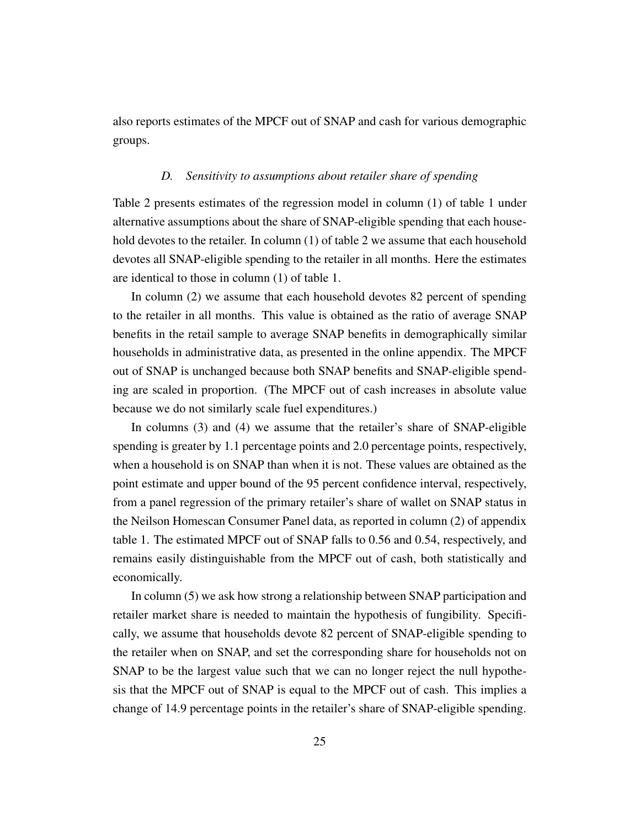also reports estimates of the MPCF out of SNAP and cash for various demographic groups.

#### *D. Sensitivity to assumptions about retailer share of spending*

Table 2 presents estimates of the regression model in column (1) of table 1 under alternative assumptions about the share of SNAP-eligible spending that each household devotes to the retailer. In column (1) of table 2 we assume that each household devotes all SNAP-eligible spending to the retailer in all months. Here the estimates are identical to those in column (1) of table 1.

In column (2) we assume that each household devotes 82 percent of spending to the retailer in all months. This value is obtained as the ratio of average SNAP benefits in the retail sample to average SNAP benefits in demographically similar households in administrative data, as presented in the online appendix. The MPCF out of SNAP is unchanged because both SNAP benefits and SNAP-eligible spending are scaled in proportion. (The MPCF out of cash increases in absolute value because we do not similarly scale fuel expenditures.)

In columns (3) and (4) we assume that the retailer's share of SNAP-eligible spending is greater by 1.1 percentage points and 2.0 percentage points, respectively, when a household is on SNAP than when it is not. These values are obtained as the point estimate and upper bound of the 95 percent confidence interval, respectively, from a panel regression of the primary retailer's share of wallet on SNAP status in the Neilson Homescan Consumer Panel data, as reported in column (2) of appendix table 1. The estimated MPCF out of SNAP falls to 0.56 and 0.54, respectively, and remains easily distinguishable from the MPCF out of cash, both statistically and economically.

In column (5) we ask how strong a relationship between SNAP participation and retailer market share is needed to maintain the hypothesis of fungibility. Specifically, we assume that households devote 82 percent of SNAP-eligible spending to the retailer when on SNAP, and set the corresponding share for households not on SNAP to be the largest value such that we can no longer reject the null hypothesis that the MPCF out of SNAP is equal to the MPCF out of cash. This implies a change of 14.9 percentage points in the retailer's share of SNAP-eligible spending.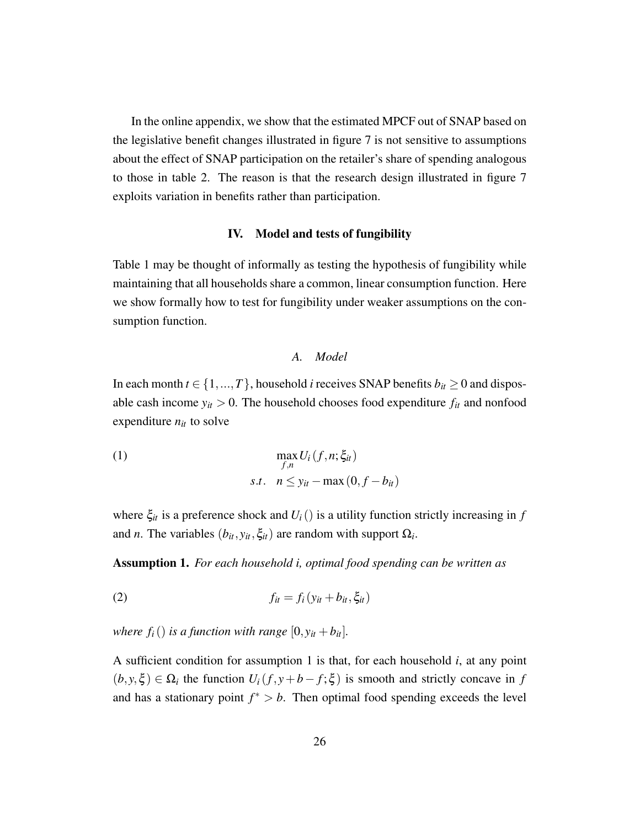In the online appendix, we show that the estimated MPCF out of SNAP based on the legislative benefit changes illustrated in figure 7 is not sensitive to assumptions about the effect of SNAP participation on the retailer's share of spending analogous to those in table 2. The reason is that the research design illustrated in figure 7 exploits variation in benefits rather than participation.

#### IV. Model and tests of fungibility

Table 1 may be thought of informally as testing the hypothesis of fungibility while maintaining that all households share a common, linear consumption function. Here we show formally how to test for fungibility under weaker assumptions on the consumption function.

*A. Model*

In each month  $t \in \{1, ..., T\}$ , household *i* receives SNAP benefits  $b_{it} \geq 0$  and disposable cash income  $y_{it} > 0$ . The household chooses food expenditure  $f_{it}$  and nonfood expenditure  $n_{it}$  to solve

(1) 
$$
\max_{f,n} U_i(f,n;\xi_{it})
$$
  
s.t. 
$$
n \le y_{it} - \max(0,f-b_{it})
$$

where  $\xi_{it}$  is a preference shock and  $U_i()$  is a utility function strictly increasing in  $f$ and *n*. The variables  $(b_{it}, y_{it}, \xi_{it})$  are random with support  $\Omega_i$ .

Assumption 1. *For each household i, optimal food spending can be written as*

$$
f_{it} = f_i \left( y_{it} + b_{it}, \xi_{it} \right)
$$

*where*  $f_i()$  *is a function with range*  $[0, y_{it} + b_{it}]$ *.* 

A sufficient condition for assumption 1 is that, for each household *i*, at any point  $(b, y, \xi) \in \Omega_i$  the function  $U_i(f, y + b - f; \xi)$  is smooth and strictly concave in *f* and has a stationary point  $f^* > b$ . Then optimal food spending exceeds the level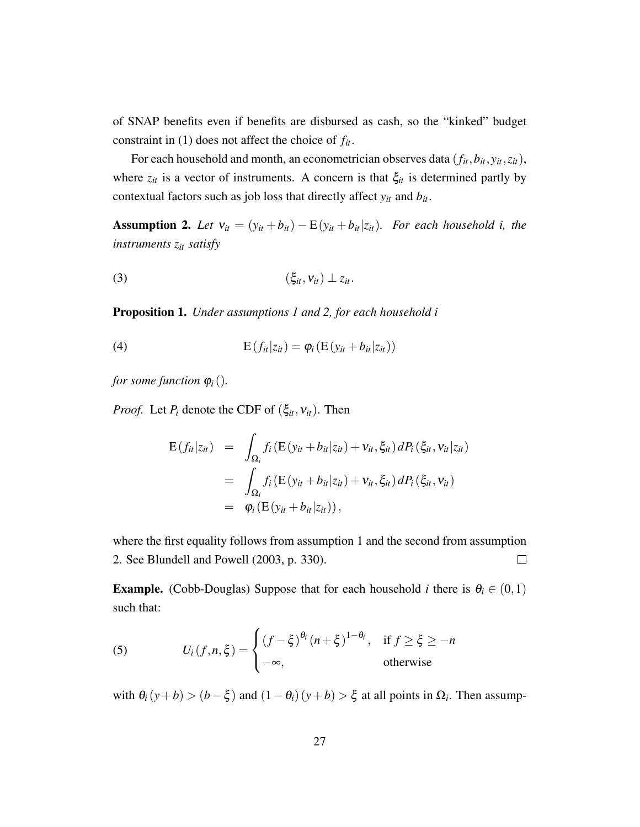of SNAP benefits even if benefits are disbursed as cash, so the "kinked" budget constraint in (1) does not affect the choice of *fit*.

For each household and month, an econometrician observes data  $(f_{it}, b_{it}, y_{it}, z_{it})$ , where  $z_{it}$  is a vector of instruments. A concern is that  $\xi_{it}$  is determined partly by contextual factors such as job loss that directly affect  $y_{it}$  and  $b_{it}$ .

**Assumption 2.** Let  $v_{it} = (y_{it} + b_{it}) - E(y_{it} + b_{it} | z_{it})$ . For each household i, the *instruments zit satisfy*

$$
(3) \qquad (\xi_{it},v_{it}) \perp z_{it}.
$$

Proposition 1. *Under assumptions 1 and 2, for each household i*

(4) 
$$
E(f_{it}|z_{it}) = \varphi_i (E(y_{it} + b_{it}|z_{it}))
$$

*for some function*  $\varphi_i$  ().

*Proof.* Let  $P_i$  denote the CDF of  $(\xi_{it}, v_{it})$ . Then

$$
E(f_{it}|z_{it}) = \int_{\Omega_i} f_i (E(y_{it} + b_{it}|z_{it}) + v_{it}, \xi_{it}) dP_i(\xi_{it}, v_{it}|z_{it})
$$
  
= 
$$
\int_{\Omega_i} f_i (E(y_{it} + b_{it}|z_{it}) + v_{it}, \xi_{it}) dP_i(\xi_{it}, v_{it})
$$
  
= 
$$
\varphi_i (E(y_{it} + b_{it}|z_{it})),
$$

where the first equality follows from assumption 1 and the second from assumption 2. See Blundell and Powell (2003, p. 330).  $\Box$ 

**Example.** (Cobb-Douglas) Suppose that for each household *i* there is  $\theta_i \in (0,1)$ such that:

(5) 
$$
U_i(f, n, \xi) = \begin{cases} (f - \xi)^{\theta_i} (n + \xi)^{1 - \theta_i}, & \text{if } f \ge \xi \ge -n \\ -\infty, & \text{otherwise} \end{cases}
$$

with  $\theta_i(y+b) > (b-\xi)$  and  $(1-\theta_i)(y+b) > \xi$  at all points in  $\Omega_i$ . Then assump-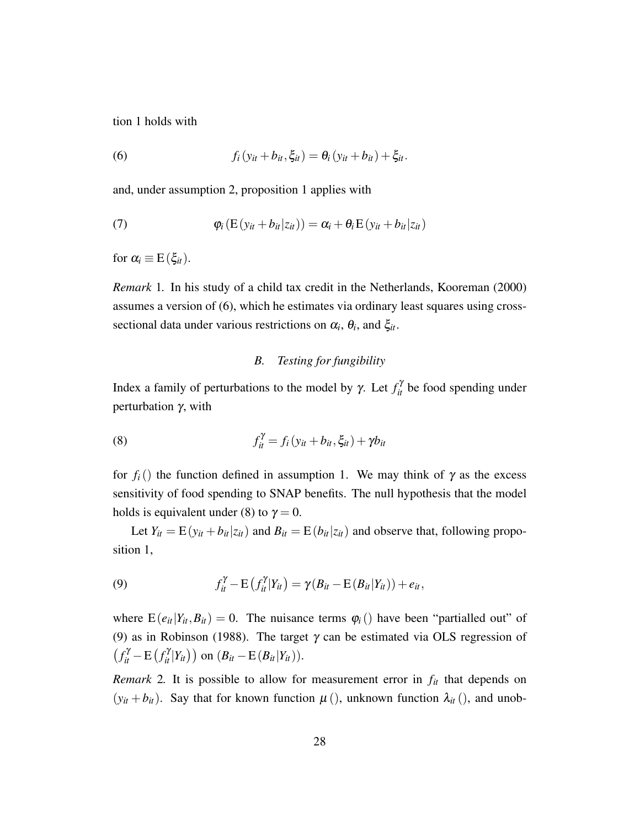tion 1 holds with

(6) 
$$
f_i(y_{it}+b_{it},\xi_{it})=\theta_i(y_{it}+b_{it})+\xi_{it}.
$$

and, under assumption 2, proposition 1 applies with

(7) 
$$
\varphi_i \left( \mathbf{E} \left( y_{it} + b_{it} | z_{it} \right) \right) = \alpha_i + \theta_i \mathbf{E} \left( y_{it} + b_{it} | z_{it} \right)
$$

for  $\alpha_i \equiv E(\xi_{it})$ .

*Remark* 1*.* In his study of a child tax credit in the Netherlands, Kooreman (2000) assumes a version of (6), which he estimates via ordinary least squares using crosssectional data under various restrictions on  $\alpha_i$ ,  $\theta_i$ , and  $\xi_{it}$ .

#### *B. Testing for fungibility*

Index a family of perturbations to the model by γ. Let  $f_{it}^{\gamma}$  be food spending under perturbation  $γ$ , with

(8) 
$$
f_{it}^{\gamma} = f_i(y_{it} + b_{it}, \xi_{it}) + \gamma b_{it}
$$

for  $f_i()$  the function defined in assumption 1. We may think of  $\gamma$  as the excess sensitivity of food spending to SNAP benefits. The null hypothesis that the model holds is equivalent under (8) to  $\gamma = 0$ .

Let  $Y_{it} = E(y_{it} + b_{it} | z_{it})$  and  $B_{it} = E(b_{it} | z_{it})$  and observe that, following proposition 1,

(9) 
$$
f_{it}^{\gamma} - \mathcal{E} (f_{it}^{\gamma} | Y_{it}) = \gamma (B_{it} - \mathcal{E} (B_{it} | Y_{it})) + e_{it},
$$

where  $E(e_{it}|Y_{it}, B_{it}) = 0$ . The nuisance terms  $\varphi_i$  () have been "partialled out" of (9) as in Robinson (1988). The target  $\gamma$  can be estimated via OLS regression of  $(f_{it}^{\gamma} - E(f_{it}^{\gamma}|Y_{it}))$  on  $(B_{it} - E(B_{it}|Y_{it}))$ .

*Remark* 2*.* It is possible to allow for measurement error in *fit* that depends on  $(y_{it} + b_{it})$ . Say that for known function  $\mu$  (), unknown function  $\lambda_{it}$  (), and unob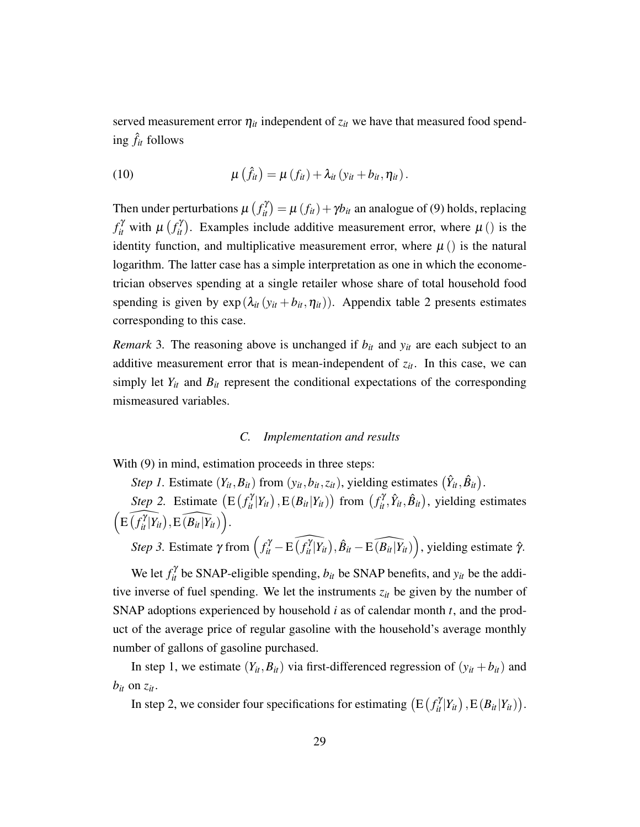served measurement error  $\eta_{it}$  independent of  $z_{it}$  we have that measured food spending  $\hat{f}_{it}$  follows

(10) 
$$
\mu\left(\hat{f}_{it}\right) = \mu\left(f_{it}\right) + \lambda_{it}\left(y_{it} + b_{it}, \eta_{it}\right).
$$

Then under perturbations  $\mu(f_{it}^{\gamma}) = \mu(f_{it}) + \gamma b_{it}$  an analogue of (9) holds, replacing  $f_{it}^{\gamma}$  with  $\mu$  ( $f_{it}^{\gamma}$ ). Examples include additive measurement error, where  $\mu$  () is the identity function, and multiplicative measurement error, where  $\mu$  () is the natural logarithm. The latter case has a simple interpretation as one in which the econometrician observes spending at a single retailer whose share of total household food spending is given by  $\exp(\lambda_{it}(y_{it} + b_{it}, \eta_{it}))$ . Appendix table 2 presents estimates corresponding to this case.

*Remark* 3. The reasoning above is unchanged if  $b_{it}$  and  $y_{it}$  are each subject to an additive measurement error that is mean-independent of  $z_{it}$ . In this case, we can simply let  $Y_{it}$  and  $B_{it}$  represent the conditional expectations of the corresponding mismeasured variables.

#### *C. Implementation and results*

With (9) in mind, estimation proceeds in three steps:

*Step 1.* Estimate  $(Y_{it}, B_{it})$  from  $(y_{it}, b_{it}, z_{it})$ , yielding estimates  $(\hat{Y}_{it}, \hat{B}_{it})$ . *Step 2.* Estimate  $(E(f_{it}^{\gamma}|Y_{it}) , E(B_{it}|Y_{it}))$  from  $(f_{it}^{\gamma}, \hat{Y}_{it}, \hat{B}_{it})$ , yielding estimates  $\left(E\left(\widehat{f_{it}^{\gamma}}|Y_{it}\right),E\left(\widehat{B_{it}|Y_{it}}\right)\right).$ 

*Step 3.* Estimate  $\gamma$  from  $(f_{it}^{\gamma} - \widehat{E(f_{it}^{\gamma}|Y_{it})}, \hat{B}_{it} - \widehat{E(f_{it}^{\gamma}|Y_{it})})$ , yielding estimate  $\hat{\gamma}$ .

We let  $f_{it}^{\gamma}$  be SNAP-eligible spending,  $b_{it}$  be SNAP benefits, and  $y_{it}$  be the additive inverse of fuel spending. We let the instruments  $z_{it}$  be given by the number of SNAP adoptions experienced by household *i* as of calendar month *t*, and the product of the average price of regular gasoline with the household's average monthly number of gallons of gasoline purchased.

In step 1, we estimate  $(Y_{it}, B_{it})$  via first-differenced regression of  $(y_{it} + b_{it})$  and  $b_{it}$  on  $z_{it}$ .

In step 2, we consider four specifications for estimating  $(E(f_{it}^{\gamma}|Y_{it}), E(B_{it}|Y_{it}))$ .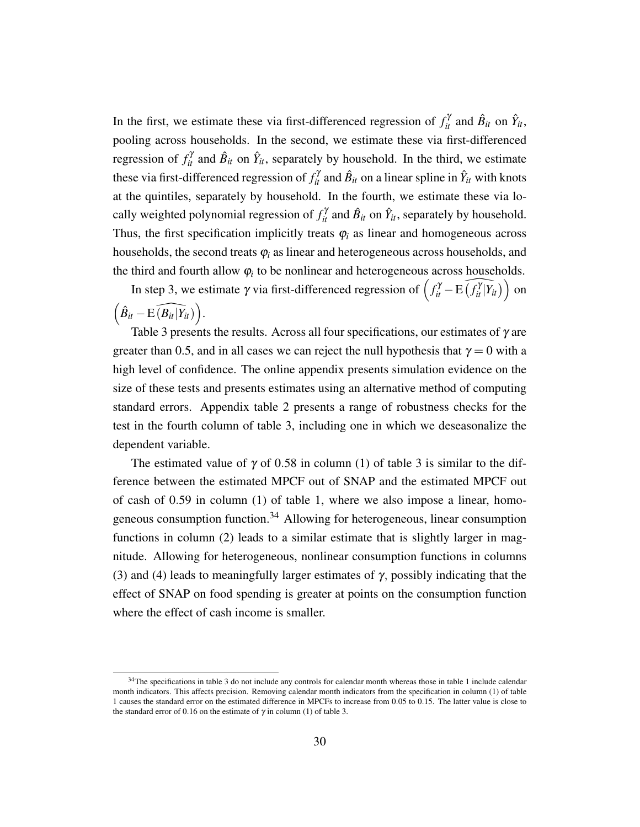In the first, we estimate these via first-differenced regression of  $f_{it}^{\gamma}$  and  $\hat{B}_{it}$  on  $\hat{Y}_{it}$ , pooling across households. In the second, we estimate these via first-differenced regression of  $f_{it}^{\gamma}$  and  $\hat{B}_{it}$  on  $\hat{Y}_{it}$ , separately by household. In the third, we estimate these via first-differenced regression of  $f_{it}^{\gamma}$  and  $\hat{B}_{it}$  on a linear spline in  $\hat{Y}_{it}$  with knots at the quintiles, separately by household. In the fourth, we estimate these via locally weighted polynomial regression of  $f_{it}^{\gamma}$  and  $\hat{B}_{it}$  on  $\hat{Y}_{it}$ , separately by household. Thus, the first specification implicitly treats  $\varphi_i$  as linear and homogeneous across households, the second treats  $\varphi_i$  as linear and heterogeneous across households, and the third and fourth allow  $\varphi_i$  to be nonlinear and heterogeneous across households.

In step 3, we estimate  $\gamma$  via first-differenced regression of  $(f_{it}^{\gamma} - \widehat{E(f_{it}^{\gamma} | Y_{it})})$  on  $(\hat{B}_{it} - \widehat{E(S_{it}|Y_{it})})$ .

Table 3 presents the results. Across all four specifications, our estimates of  $\gamma$  are greater than 0.5, and in all cases we can reject the null hypothesis that  $\gamma = 0$  with a high level of confidence. The online appendix presents simulation evidence on the size of these tests and presents estimates using an alternative method of computing standard errors. Appendix table 2 presents a range of robustness checks for the test in the fourth column of table 3, including one in which we deseasonalize the dependent variable.

The estimated value of  $\gamma$  of 0.58 in column (1) of table 3 is similar to the difference between the estimated MPCF out of SNAP and the estimated MPCF out of cash of 0.59 in column (1) of table 1, where we also impose a linear, homogeneous consumption function.<sup>34</sup> Allowing for heterogeneous, linear consumption functions in column (2) leads to a similar estimate that is slightly larger in magnitude. Allowing for heterogeneous, nonlinear consumption functions in columns (3) and (4) leads to meaningfully larger estimates of  $\gamma$ , possibly indicating that the effect of SNAP on food spending is greater at points on the consumption function where the effect of cash income is smaller.

<sup>&</sup>lt;sup>34</sup>The specifications in table 3 do not include any controls for calendar month whereas those in table 1 include calendar month indicators. This affects precision. Removing calendar month indicators from the specification in column (1) of table 1 causes the standard error on the estimated difference in MPCFs to increase from 0.05 to 0.15. The latter value is close to the standard error of 0.16 on the estimate of  $\gamma$  in column (1) of table 3.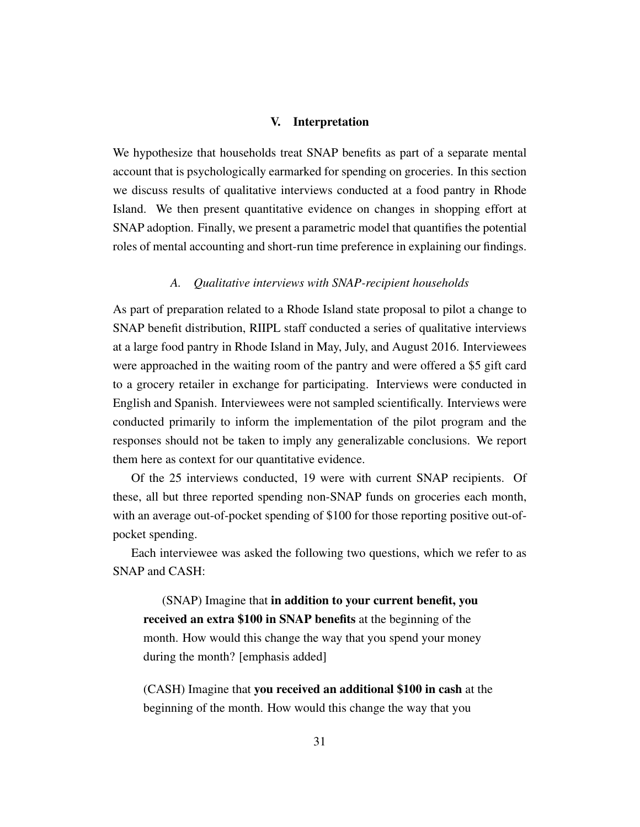#### V. Interpretation

We hypothesize that households treat SNAP benefits as part of a separate mental account that is psychologically earmarked for spending on groceries. In this section we discuss results of qualitative interviews conducted at a food pantry in Rhode Island. We then present quantitative evidence on changes in shopping effort at SNAP adoption. Finally, we present a parametric model that quantifies the potential roles of mental accounting and short-run time preference in explaining our findings.

## *A. Qualitative interviews with SNAP-recipient households*

As part of preparation related to a Rhode Island state proposal to pilot a change to SNAP benefit distribution, RIIPL staff conducted a series of qualitative interviews at a large food pantry in Rhode Island in May, July, and August 2016. Interviewees were approached in the waiting room of the pantry and were offered a \$5 gift card to a grocery retailer in exchange for participating. Interviews were conducted in English and Spanish. Interviewees were not sampled scientifically. Interviews were conducted primarily to inform the implementation of the pilot program and the responses should not be taken to imply any generalizable conclusions. We report them here as context for our quantitative evidence.

Of the 25 interviews conducted, 19 were with current SNAP recipients. Of these, all but three reported spending non-SNAP funds on groceries each month, with an average out-of-pocket spending of \$100 for those reporting positive out-ofpocket spending.

Each interviewee was asked the following two questions, which we refer to as SNAP and CASH:

(SNAP) Imagine that in addition to your current benefit, you received an extra \$100 in SNAP benefits at the beginning of the month. How would this change the way that you spend your money during the month? [emphasis added]

(CASH) Imagine that you received an additional \$100 in cash at the beginning of the month. How would this change the way that you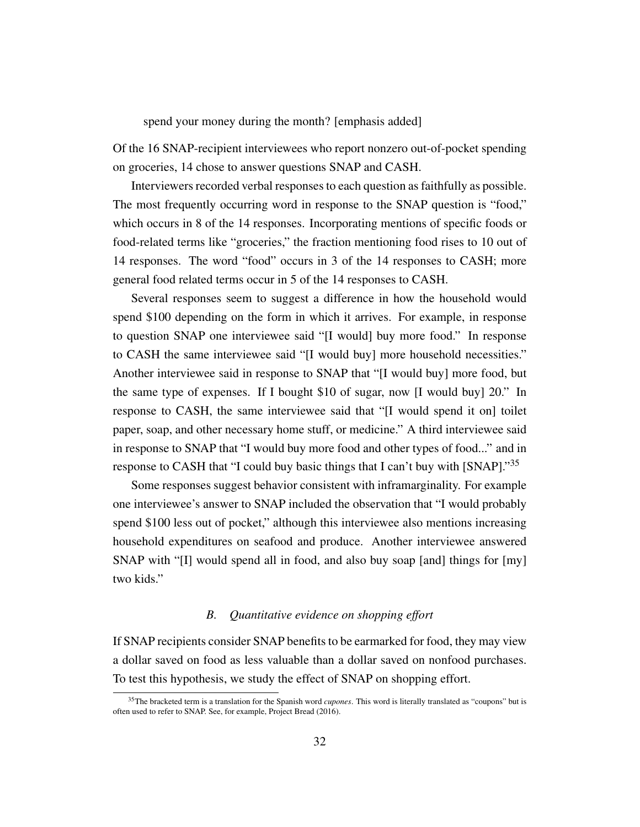spend your money during the month? [emphasis added]

Of the 16 SNAP-recipient interviewees who report nonzero out-of-pocket spending on groceries, 14 chose to answer questions SNAP and CASH.

Interviewers recorded verbal responses to each question as faithfully as possible. The most frequently occurring word in response to the SNAP question is "food," which occurs in 8 of the 14 responses. Incorporating mentions of specific foods or food-related terms like "groceries," the fraction mentioning food rises to 10 out of 14 responses. The word "food" occurs in 3 of the 14 responses to CASH; more general food related terms occur in 5 of the 14 responses to CASH.

Several responses seem to suggest a difference in how the household would spend \$100 depending on the form in which it arrives. For example, in response to question SNAP one interviewee said "[I would] buy more food." In response to CASH the same interviewee said "[I would buy] more household necessities." Another interviewee said in response to SNAP that "[I would buy] more food, but the same type of expenses. If I bought \$10 of sugar, now [I would buy] 20." In response to CASH, the same interviewee said that "[I would spend it on] toilet paper, soap, and other necessary home stuff, or medicine." A third interviewee said in response to SNAP that "I would buy more food and other types of food..." and in response to CASH that "I could buy basic things that I can't buy with  $[SNAP]$ ."<sup>35</sup>

Some responses suggest behavior consistent with inframarginality. For example one interviewee's answer to SNAP included the observation that "I would probably spend \$100 less out of pocket," although this interviewee also mentions increasing household expenditures on seafood and produce. Another interviewee answered SNAP with "[I] would spend all in food, and also buy soap [and] things for [my] two kids."

#### *B. Quantitative evidence on shopping effort*

If SNAP recipients consider SNAP benefits to be earmarked for food, they may view a dollar saved on food as less valuable than a dollar saved on nonfood purchases. To test this hypothesis, we study the effect of SNAP on shopping effort.

<sup>35</sup>The bracketed term is a translation for the Spanish word *cupones*. This word is literally translated as "coupons" but is often used to refer to SNAP. See, for example, Project Bread (2016).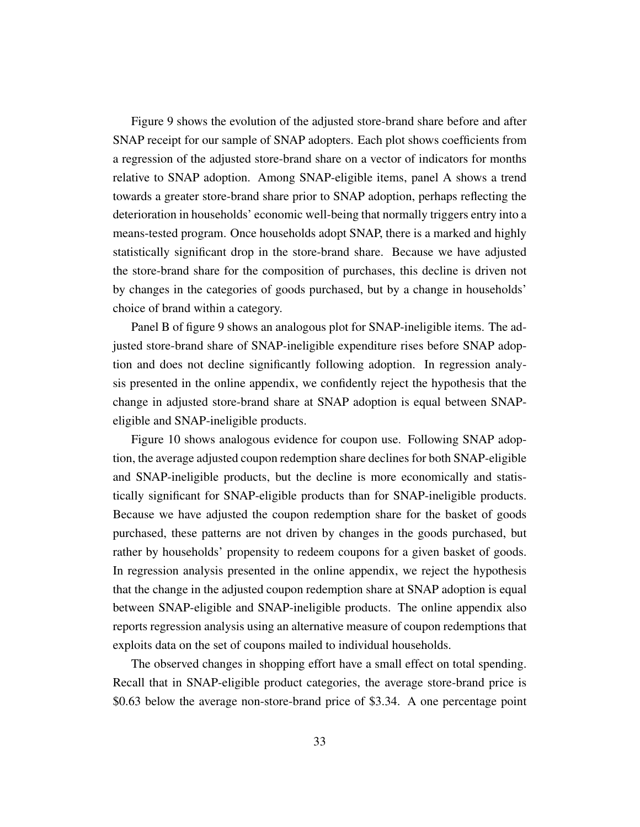Figure 9 shows the evolution of the adjusted store-brand share before and after SNAP receipt for our sample of SNAP adopters. Each plot shows coefficients from a regression of the adjusted store-brand share on a vector of indicators for months relative to SNAP adoption. Among SNAP-eligible items, panel A shows a trend towards a greater store-brand share prior to SNAP adoption, perhaps reflecting the deterioration in households' economic well-being that normally triggers entry into a means-tested program. Once households adopt SNAP, there is a marked and highly statistically significant drop in the store-brand share. Because we have adjusted the store-brand share for the composition of purchases, this decline is driven not by changes in the categories of goods purchased, but by a change in households' choice of brand within a category.

Panel B of figure 9 shows an analogous plot for SNAP-ineligible items. The adjusted store-brand share of SNAP-ineligible expenditure rises before SNAP adoption and does not decline significantly following adoption. In regression analysis presented in the online appendix, we confidently reject the hypothesis that the change in adjusted store-brand share at SNAP adoption is equal between SNAPeligible and SNAP-ineligible products.

Figure 10 shows analogous evidence for coupon use. Following SNAP adoption, the average adjusted coupon redemption share declines for both SNAP-eligible and SNAP-ineligible products, but the decline is more economically and statistically significant for SNAP-eligible products than for SNAP-ineligible products. Because we have adjusted the coupon redemption share for the basket of goods purchased, these patterns are not driven by changes in the goods purchased, but rather by households' propensity to redeem coupons for a given basket of goods. In regression analysis presented in the online appendix, we reject the hypothesis that the change in the adjusted coupon redemption share at SNAP adoption is equal between SNAP-eligible and SNAP-ineligible products. The online appendix also reports regression analysis using an alternative measure of coupon redemptions that exploits data on the set of coupons mailed to individual households.

The observed changes in shopping effort have a small effect on total spending. Recall that in SNAP-eligible product categories, the average store-brand price is \$0.63 below the average non-store-brand price of \$3.34. A one percentage point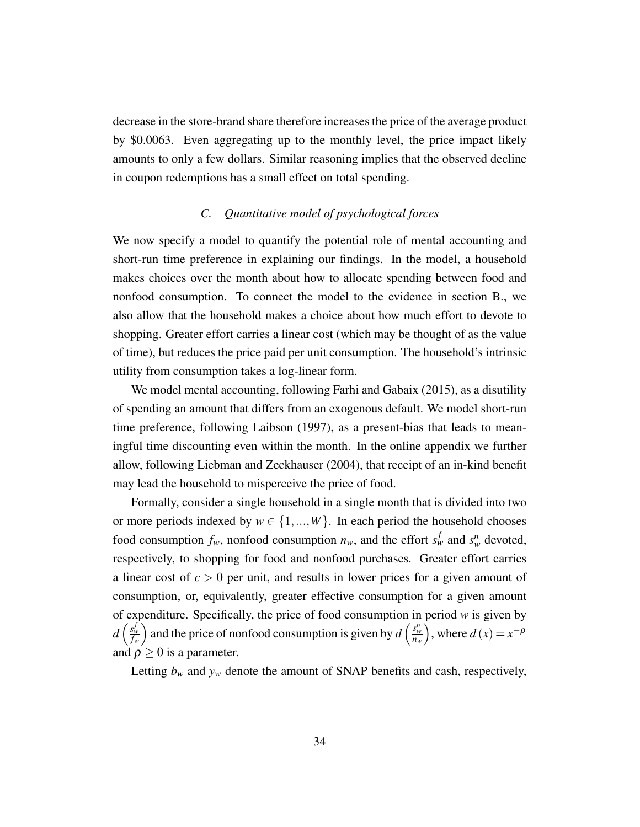decrease in the store-brand share therefore increases the price of the average product by \$0.0063. Even aggregating up to the monthly level, the price impact likely amounts to only a few dollars. Similar reasoning implies that the observed decline in coupon redemptions has a small effect on total spending.

## *C. Quantitative model of psychological forces*

We now specify a model to quantify the potential role of mental accounting and short-run time preference in explaining our findings. In the model, a household makes choices over the month about how to allocate spending between food and nonfood consumption. To connect the model to the evidence in section B., we also allow that the household makes a choice about how much effort to devote to shopping. Greater effort carries a linear cost (which may be thought of as the value of time), but reduces the price paid per unit consumption. The household's intrinsic utility from consumption takes a log-linear form.

We model mental accounting, following Farhi and Gabaix (2015), as a disutility of spending an amount that differs from an exogenous default. We model short-run time preference, following Laibson (1997), as a present-bias that leads to meaningful time discounting even within the month. In the online appendix we further allow, following Liebman and Zeckhauser (2004), that receipt of an in-kind benefit may lead the household to misperceive the price of food.

Formally, consider a single household in a single month that is divided into two or more periods indexed by  $w \in \{1, ..., W\}$ . In each period the household chooses food consumption  $f_w$ , nonfood consumption  $n_w$ , and the effort  $s_w^f$  and  $s_w^n$  devoted, respectively, to shopping for food and nonfood purchases. Greater effort carries a linear cost of  $c > 0$  per unit, and results in lower prices for a given amount of consumption, or, equivalently, greater effective consumption for a given amount of expenditure. Specifically, the price of food consumption in period *w* is given by *d*  $\left(\frac{s_w^f}{f_w}\right)$ ) and the price of nonfood consumption is given by  $d\left(\frac{s_w^n}{n_w}\right)$ ), where  $d(x) = x^{-\rho}$ and  $\rho \geq 0$  is a parameter.

Letting  $b_w$  and  $y_w$  denote the amount of SNAP benefits and cash, respectively,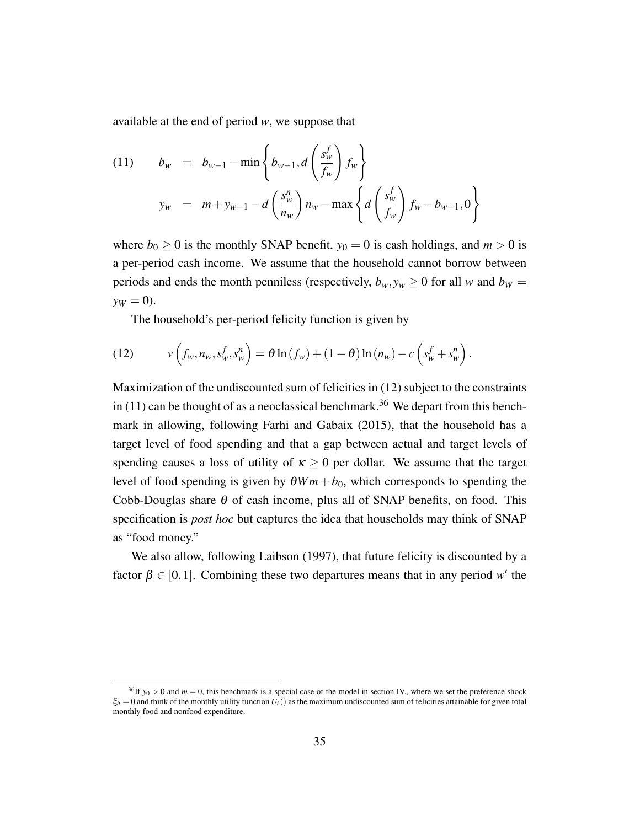available at the end of period *w*, we suppose that

(11) 
$$
b_w = b_{w-1} - \min \left\{ b_{w-1}, d \left( \frac{s_w^f}{f_w} \right) f_w \right\}
$$
  

$$
y_w = m + y_{w-1} - d \left( \frac{s_w^n}{n_w} \right) n_w - \max \left\{ d \left( \frac{s_w^f}{f_w} \right) f_w - b_{w-1}, 0 \right\}
$$

where  $b_0 \ge 0$  is the monthly SNAP benefit,  $y_0 = 0$  is cash holdings, and  $m > 0$  is a per-period cash income. We assume that the household cannot borrow between periods and ends the month penniless (respectively,  $b_w$ ,  $y_w \ge 0$  for all *w* and  $b_w =$  $y_W = 0$ ).

The household's per-period felicity function is given by

(12) 
$$
v\left(f_w,n_w,s_w^f,s_w^n\right)=\theta \ln\left(f_w\right)+\left(1-\theta\right)\ln\left(n_w\right)-c\left(s_w^f+s_w^n\right).
$$

Maximization of the undiscounted sum of felicities in (12) subject to the constraints in (11) can be thought of as a neoclassical benchmark.<sup>36</sup> We depart from this benchmark in allowing, following Farhi and Gabaix (2015), that the household has a target level of food spending and that a gap between actual and target levels of spending causes a loss of utility of  $\kappa \geq 0$  per dollar. We assume that the target level of food spending is given by  $\theta W m + b_0$ , which corresponds to spending the Cobb-Douglas share  $\theta$  of cash income, plus all of SNAP benefits, on food. This specification is *post hoc* but captures the idea that households may think of SNAP as "food money."

We also allow, following Laibson (1997), that future felicity is discounted by a factor  $\beta \in [0,1]$ . Combining these two departures means that in any period w' the

<sup>&</sup>lt;sup>36</sup>If  $y_0 > 0$  and  $m = 0$ , this benchmark is a special case of the model in section IV., where we set the preference shock  $\xi_{it} = 0$  and think of the monthly utility function  $U_i()$  as the maximum undiscounted sum of felicities attainable for given total monthly food and nonfood expenditure.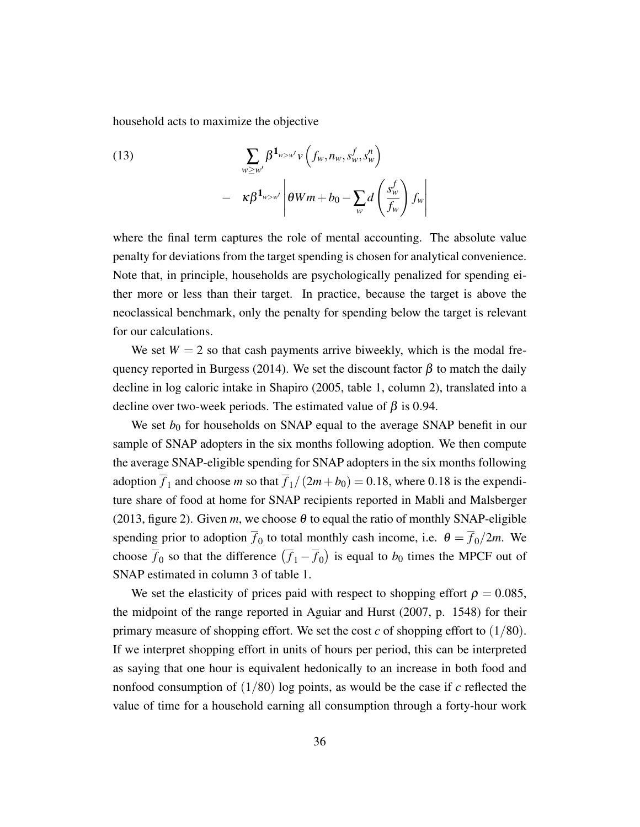household acts to maximize the objective

(13)  
\n
$$
\sum_{w \geq w'} \beta^{\mathbf{1}_{w > w'}} v\left(f_w, n_w, s_w^f, s_w^n\right)
$$
\n
$$
- \kappa \beta^{\mathbf{1}_{w > w'}} \left| \theta W m + b_0 - \sum_w d\left(\frac{s_w^f}{f_w}\right) f_w \right|
$$

where the final term captures the role of mental accounting. The absolute value penalty for deviations from the target spending is chosen for analytical convenience. Note that, in principle, households are psychologically penalized for spending either more or less than their target. In practice, because the target is above the neoclassical benchmark, only the penalty for spending below the target is relevant for our calculations.

We set  $W = 2$  so that cash payments arrive biweekly, which is the modal frequency reported in Burgess (2014). We set the discount factor  $\beta$  to match the daily decline in log caloric intake in Shapiro (2005, table 1, column 2), translated into a decline over two-week periods. The estimated value of  $\beta$  is 0.94.

We set  $b_0$  for households on SNAP equal to the average SNAP benefit in our sample of SNAP adopters in the six months following adoption. We then compute the average SNAP-eligible spending for SNAP adopters in the six months following adoption  $f_1$  and choose *m* so that  $f_1/(2m+b_0) = 0.18$ , where 0.18 is the expenditure share of food at home for SNAP recipients reported in Mabli and Malsberger (2013, figure 2). Given *m*, we choose  $\theta$  to equal the ratio of monthly SNAP-eligible spending prior to adoption  $\overline{f}_0$  to total monthly cash income, i.e.  $\theta = \overline{f}_0/2m$ . We choose  $\overline{f}_0$  so that the difference  $(\overline{f}_1 - \overline{f}_0)$  is equal to  $b_0$  times the MPCF out of SNAP estimated in column 3 of table 1.

We set the elasticity of prices paid with respect to shopping effort  $\rho = 0.085$ , the midpoint of the range reported in Aguiar and Hurst (2007, p. 1548) for their primary measure of shopping effort. We set the cost  $c$  of shopping effort to  $(1/80)$ . If we interpret shopping effort in units of hours per period, this can be interpreted as saying that one hour is equivalent hedonically to an increase in both food and nonfood consumption of (1/80) log points, as would be the case if *c* reflected the value of time for a household earning all consumption through a forty-hour work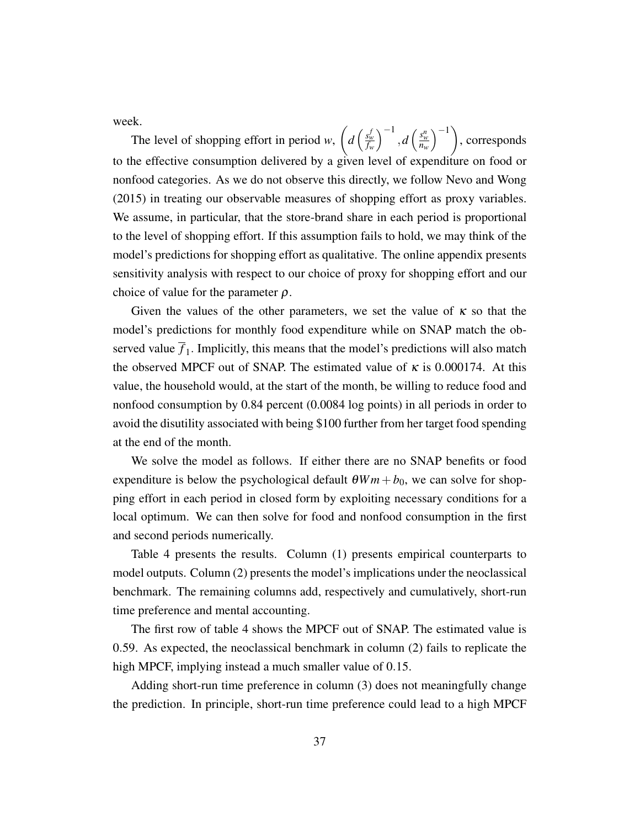week.

The level of shopping effort in period *w*,  $\sqrt{ }$  $d\left(\frac{s^f_w}{f_w}\right)$  $\int^{-1},d\left(\frac{s_{w}^{n}}{n_{w}}\right)$  $\left.\right.^{-1}$ , corresponds to the effective consumption delivered by a given level of expenditure on food or nonfood categories. As we do not observe this directly, we follow Nevo and Wong (2015) in treating our observable measures of shopping effort as proxy variables. We assume, in particular, that the store-brand share in each period is proportional to the level of shopping effort. If this assumption fails to hold, we may think of the model's predictions for shopping effort as qualitative. The online appendix presents sensitivity analysis with respect to our choice of proxy for shopping effort and our choice of value for the parameter  $\rho$ .

Given the values of the other parameters, we set the value of  $\kappa$  so that the model's predictions for monthly food expenditure while on SNAP match the observed value  $f_1$ . Implicitly, this means that the model's predictions will also match the observed MPCF out of SNAP. The estimated value of  $\kappa$  is 0.000174. At this value, the household would, at the start of the month, be willing to reduce food and nonfood consumption by 0.84 percent (0.0084 log points) in all periods in order to avoid the disutility associated with being \$100 further from her target food spending at the end of the month.

We solve the model as follows. If either there are no SNAP benefits or food expenditure is below the psychological default  $\theta W m + b_0$ , we can solve for shopping effort in each period in closed form by exploiting necessary conditions for a local optimum. We can then solve for food and nonfood consumption in the first and second periods numerically.

Table 4 presents the results. Column (1) presents empirical counterparts to model outputs. Column (2) presents the model's implications under the neoclassical benchmark. The remaining columns add, respectively and cumulatively, short-run time preference and mental accounting.

The first row of table 4 shows the MPCF out of SNAP. The estimated value is 0.59. As expected, the neoclassical benchmark in column (2) fails to replicate the high MPCF, implying instead a much smaller value of 0.15.

Adding short-run time preference in column (3) does not meaningfully change the prediction. In principle, short-run time preference could lead to a high MPCF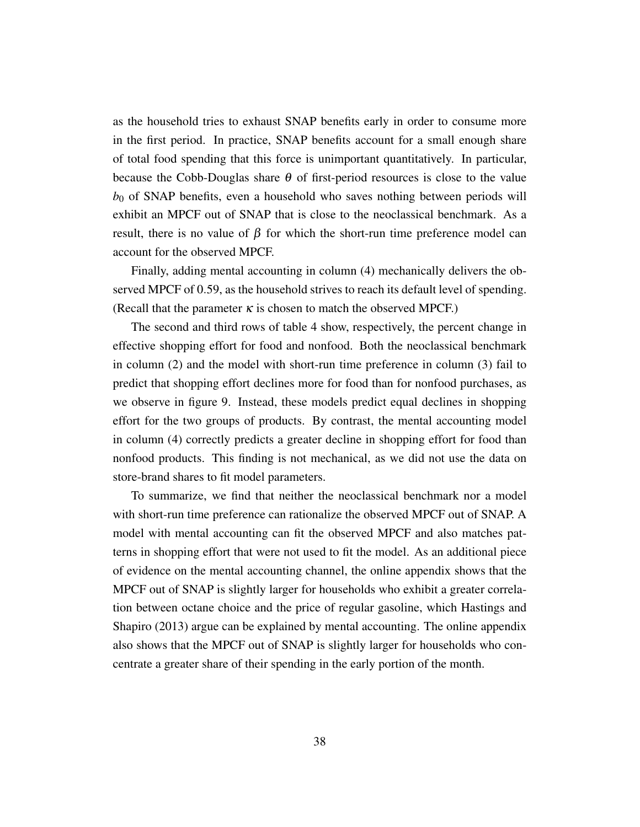as the household tries to exhaust SNAP benefits early in order to consume more in the first period. In practice, SNAP benefits account for a small enough share of total food spending that this force is unimportant quantitatively. In particular, because the Cobb-Douglas share  $\theta$  of first-period resources is close to the value  $b<sub>0</sub>$  of SNAP benefits, even a household who saves nothing between periods will exhibit an MPCF out of SNAP that is close to the neoclassical benchmark. As a result, there is no value of  $\beta$  for which the short-run time preference model can account for the observed MPCF.

Finally, adding mental accounting in column (4) mechanically delivers the observed MPCF of 0.59, as the household strives to reach its default level of spending. (Recall that the parameter  $\kappa$  is chosen to match the observed MPCF.)

The second and third rows of table 4 show, respectively, the percent change in effective shopping effort for food and nonfood. Both the neoclassical benchmark in column (2) and the model with short-run time preference in column (3) fail to predict that shopping effort declines more for food than for nonfood purchases, as we observe in figure 9. Instead, these models predict equal declines in shopping effort for the two groups of products. By contrast, the mental accounting model in column (4) correctly predicts a greater decline in shopping effort for food than nonfood products. This finding is not mechanical, as we did not use the data on store-brand shares to fit model parameters.

To summarize, we find that neither the neoclassical benchmark nor a model with short-run time preference can rationalize the observed MPCF out of SNAP. A model with mental accounting can fit the observed MPCF and also matches patterns in shopping effort that were not used to fit the model. As an additional piece of evidence on the mental accounting channel, the online appendix shows that the MPCF out of SNAP is slightly larger for households who exhibit a greater correlation between octane choice and the price of regular gasoline, which Hastings and Shapiro (2013) argue can be explained by mental accounting. The online appendix also shows that the MPCF out of SNAP is slightly larger for households who concentrate a greater share of their spending in the early portion of the month.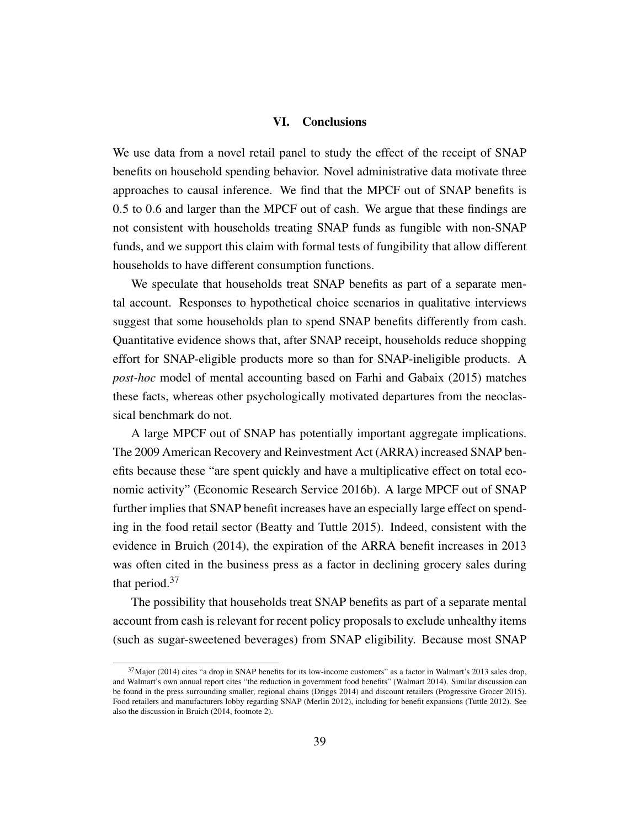#### VI. Conclusions

We use data from a novel retail panel to study the effect of the receipt of SNAP benefits on household spending behavior. Novel administrative data motivate three approaches to causal inference. We find that the MPCF out of SNAP benefits is 0.5 to 0.6 and larger than the MPCF out of cash. We argue that these findings are not consistent with households treating SNAP funds as fungible with non-SNAP funds, and we support this claim with formal tests of fungibility that allow different households to have different consumption functions.

We speculate that households treat SNAP benefits as part of a separate mental account. Responses to hypothetical choice scenarios in qualitative interviews suggest that some households plan to spend SNAP benefits differently from cash. Quantitative evidence shows that, after SNAP receipt, households reduce shopping effort for SNAP-eligible products more so than for SNAP-ineligible products. A *post-hoc* model of mental accounting based on Farhi and Gabaix (2015) matches these facts, whereas other psychologically motivated departures from the neoclassical benchmark do not.

A large MPCF out of SNAP has potentially important aggregate implications. The 2009 American Recovery and Reinvestment Act (ARRA) increased SNAP benefits because these "are spent quickly and have a multiplicative effect on total economic activity" (Economic Research Service 2016b). A large MPCF out of SNAP further implies that SNAP benefit increases have an especially large effect on spending in the food retail sector (Beatty and Tuttle 2015). Indeed, consistent with the evidence in Bruich (2014), the expiration of the ARRA benefit increases in 2013 was often cited in the business press as a factor in declining grocery sales during that period.<sup>37</sup>

The possibility that households treat SNAP benefits as part of a separate mental account from cash is relevant for recent policy proposals to exclude unhealthy items (such as sugar-sweetened beverages) from SNAP eligibility. Because most SNAP

 $37$ Major (2014) cites "a drop in SNAP benefits for its low-income customers" as a factor in Walmart's 2013 sales drop, and Walmart's own annual report cites "the reduction in government food benefits" (Walmart 2014). Similar discussion can be found in the press surrounding smaller, regional chains (Driggs 2014) and discount retailers (Progressive Grocer 2015). Food retailers and manufacturers lobby regarding SNAP (Merlin 2012), including for benefit expansions (Tuttle 2012). See also the discussion in Bruich (2014, footnote 2).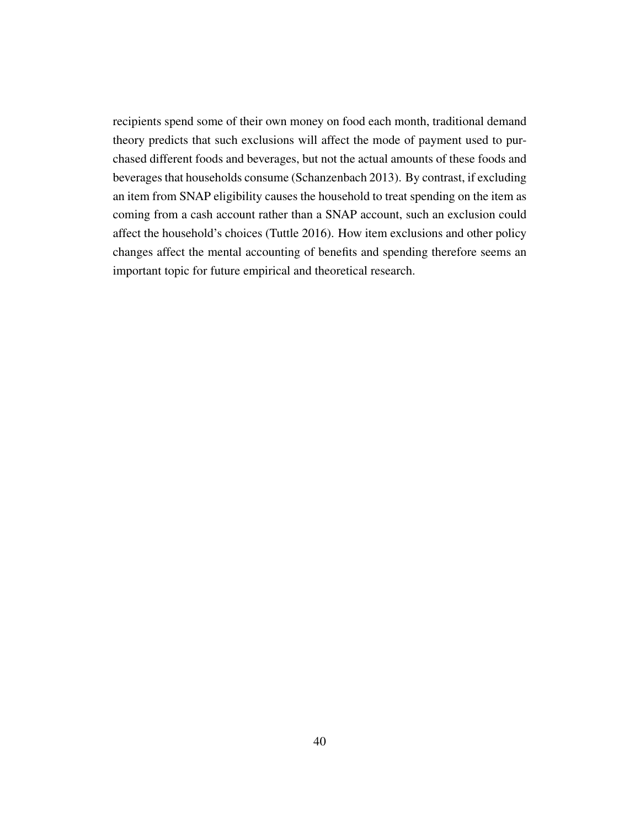recipients spend some of their own money on food each month, traditional demand theory predicts that such exclusions will affect the mode of payment used to purchased different foods and beverages, but not the actual amounts of these foods and beverages that households consume (Schanzenbach 2013). By contrast, if excluding an item from SNAP eligibility causes the household to treat spending on the item as coming from a cash account rather than a SNAP account, such an exclusion could affect the household's choices (Tuttle 2016). How item exclusions and other policy changes affect the mental accounting of benefits and spending therefore seems an important topic for future empirical and theoretical research.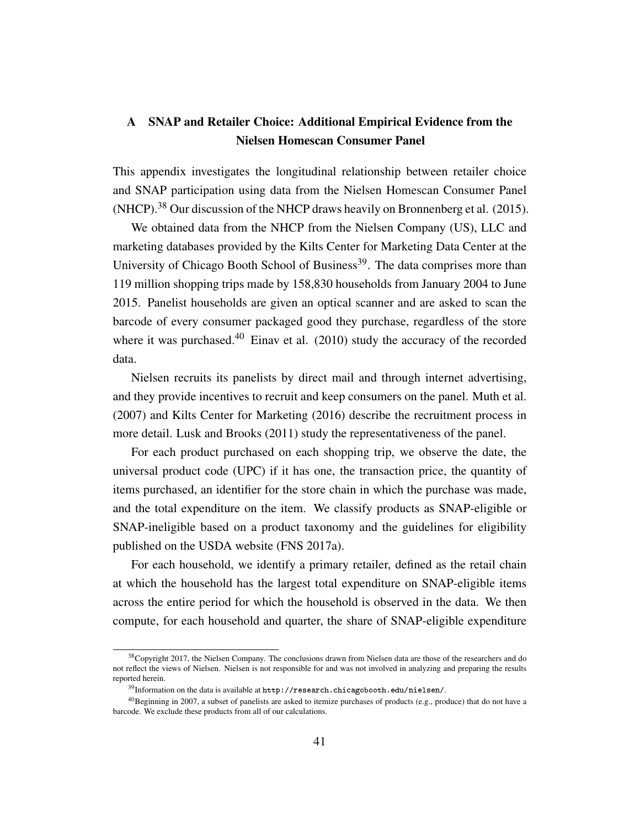## A SNAP and Retailer Choice: Additional Empirical Evidence from the Nielsen Homescan Consumer Panel

This appendix investigates the longitudinal relationship between retailer choice and SNAP participation using data from the Nielsen Homescan Consumer Panel (NHCP).<sup>38</sup> Our discussion of the NHCP draws heavily on Bronnenberg et al. (2015).

We obtained data from the NHCP from the Nielsen Company (US), LLC and marketing databases provided by the Kilts Center for Marketing Data Center at the University of Chicago Booth School of Business<sup>39</sup>. The data comprises more than 119 million shopping trips made by 158,830 households from January 2004 to June 2015. Panelist households are given an optical scanner and are asked to scan the barcode of every consumer packaged good they purchase, regardless of the store where it was purchased.<sup>40</sup> Einav et al. (2010) study the accuracy of the recorded data.

Nielsen recruits its panelists by direct mail and through internet advertising, and they provide incentives to recruit and keep consumers on the panel. Muth et al. (2007) and Kilts Center for Marketing (2016) describe the recruitment process in more detail. Lusk and Brooks (2011) study the representativeness of the panel.

For each product purchased on each shopping trip, we observe the date, the universal product code (UPC) if it has one, the transaction price, the quantity of items purchased, an identifier for the store chain in which the purchase was made, and the total expenditure on the item. We classify products as SNAP-eligible or SNAP-ineligible based on a product taxonomy and the guidelines for eligibility published on the USDA website (FNS 2017a).

For each household, we identify a primary retailer, defined as the retail chain at which the household has the largest total expenditure on SNAP-eligible items across the entire period for which the household is observed in the data. We then compute, for each household and quarter, the share of SNAP-eligible expenditure

 $38$ Copyright 2017, the Nielsen Company. The conclusions drawn from Nielsen data are those of the researchers and do not reflect the views of Nielsen. Nielsen is not responsible for and was not involved in analyzing and preparing the results reported herein.

 $39$ Information on the data is available at  $http://research.chicagobooth.edu/nielsen/.$ 

 $^{40}$ Beginning in 2007, a subset of panelists are asked to itemize purchases of products (e.g., produce) that do not have a barcode. We exclude these products from all of our calculations.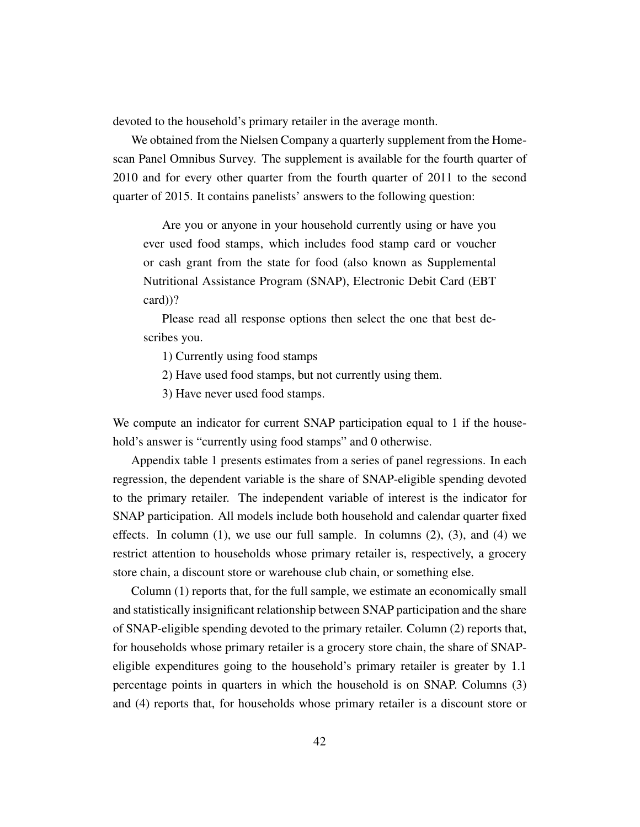devoted to the household's primary retailer in the average month.

We obtained from the Nielsen Company a quarterly supplement from the Homescan Panel Omnibus Survey. The supplement is available for the fourth quarter of 2010 and for every other quarter from the fourth quarter of 2011 to the second quarter of 2015. It contains panelists' answers to the following question:

Are you or anyone in your household currently using or have you ever used food stamps, which includes food stamp card or voucher or cash grant from the state for food (also known as Supplemental Nutritional Assistance Program (SNAP), Electronic Debit Card (EBT card))?

Please read all response options then select the one that best describes you.

1) Currently using food stamps

2) Have used food stamps, but not currently using them.

3) Have never used food stamps.

We compute an indicator for current SNAP participation equal to 1 if the household's answer is "currently using food stamps" and 0 otherwise.

Appendix table 1 presents estimates from a series of panel regressions. In each regression, the dependent variable is the share of SNAP-eligible spending devoted to the primary retailer. The independent variable of interest is the indicator for SNAP participation. All models include both household and calendar quarter fixed effects. In column  $(1)$ , we use our full sample. In columns  $(2)$ ,  $(3)$ , and  $(4)$  we restrict attention to households whose primary retailer is, respectively, a grocery store chain, a discount store or warehouse club chain, or something else.

Column (1) reports that, for the full sample, we estimate an economically small and statistically insignificant relationship between SNAP participation and the share of SNAP-eligible spending devoted to the primary retailer. Column (2) reports that, for households whose primary retailer is a grocery store chain, the share of SNAPeligible expenditures going to the household's primary retailer is greater by 1.1 percentage points in quarters in which the household is on SNAP. Columns (3) and (4) reports that, for households whose primary retailer is a discount store or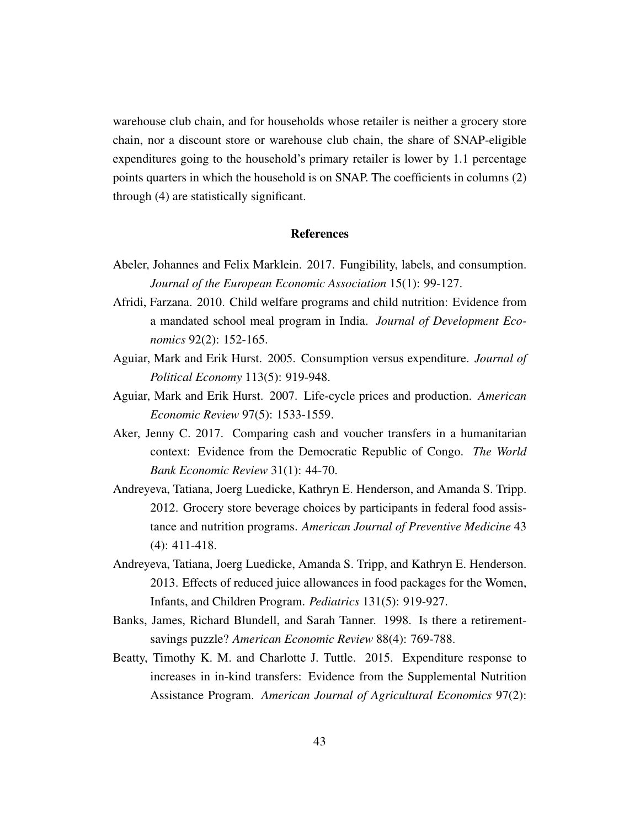warehouse club chain, and for households whose retailer is neither a grocery store chain, nor a discount store or warehouse club chain, the share of SNAP-eligible expenditures going to the household's primary retailer is lower by 1.1 percentage points quarters in which the household is on SNAP. The coefficients in columns (2) through (4) are statistically significant.

#### References

- Abeler, Johannes and Felix Marklein. 2017. Fungibility, labels, and consumption. *Journal of the European Economic Association* 15(1): 99-127.
- Afridi, Farzana. 2010. Child welfare programs and child nutrition: Evidence from a mandated school meal program in India. *Journal of Development Economics* 92(2): 152-165.
- Aguiar, Mark and Erik Hurst. 2005. Consumption versus expenditure. *Journal of Political Economy* 113(5): 919-948.
- Aguiar, Mark and Erik Hurst. 2007. Life-cycle prices and production. *American Economic Review* 97(5): 1533-1559.
- Aker, Jenny C. 2017. Comparing cash and voucher transfers in a humanitarian context: Evidence from the Democratic Republic of Congo. *The World Bank Economic Review* 31(1): 44-70.
- Andreyeva, Tatiana, Joerg Luedicke, Kathryn E. Henderson, and Amanda S. Tripp. 2012. Grocery store beverage choices by participants in federal food assistance and nutrition programs. *American Journal of Preventive Medicine* 43 (4): 411-418.
- Andreyeva, Tatiana, Joerg Luedicke, Amanda S. Tripp, and Kathryn E. Henderson. 2013. Effects of reduced juice allowances in food packages for the Women, Infants, and Children Program. *Pediatrics* 131(5): 919-927.
- Banks, James, Richard Blundell, and Sarah Tanner. 1998. Is there a retirementsavings puzzle? *American Economic Review* 88(4): 769-788.
- Beatty, Timothy K. M. and Charlotte J. Tuttle. 2015. Expenditure response to increases in in-kind transfers: Evidence from the Supplemental Nutrition Assistance Program. *American Journal of Agricultural Economics* 97(2):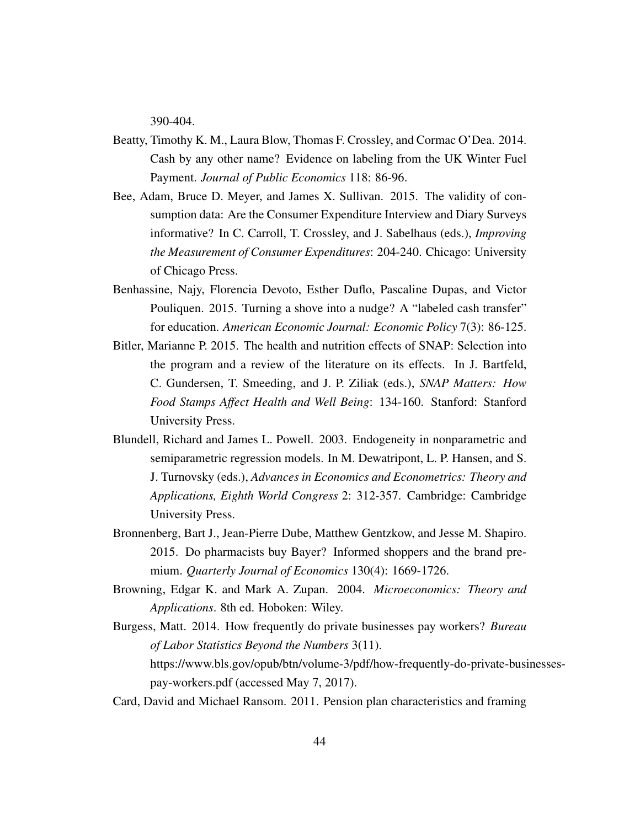390-404.

- Beatty, Timothy K. M., Laura Blow, Thomas F. Crossley, and Cormac O'Dea. 2014. Cash by any other name? Evidence on labeling from the UK Winter Fuel Payment. *Journal of Public Economics* 118: 86-96.
- Bee, Adam, Bruce D. Meyer, and James X. Sullivan. 2015. The validity of consumption data: Are the Consumer Expenditure Interview and Diary Surveys informative? In C. Carroll, T. Crossley, and J. Sabelhaus (eds.), *Improving the Measurement of Consumer Expenditures*: 204-240. Chicago: University of Chicago Press.
- Benhassine, Najy, Florencia Devoto, Esther Duflo, Pascaline Dupas, and Victor Pouliquen. 2015. Turning a shove into a nudge? A "labeled cash transfer" for education. *American Economic Journal: Economic Policy* 7(3): 86-125.
- Bitler, Marianne P. 2015. The health and nutrition effects of SNAP: Selection into the program and a review of the literature on its effects. In J. Bartfeld, C. Gundersen, T. Smeeding, and J. P. Ziliak (eds.), *SNAP Matters: How Food Stamps Affect Health and Well Being*: 134-160. Stanford: Stanford University Press.
- Blundell, Richard and James L. Powell. 2003. Endogeneity in nonparametric and semiparametric regression models. In M. Dewatripont, L. P. Hansen, and S. J. Turnovsky (eds.), *Advances in Economics and Econometrics: Theory and Applications, Eighth World Congress* 2: 312-357. Cambridge: Cambridge University Press.
- Bronnenberg, Bart J., Jean-Pierre Dube, Matthew Gentzkow, and Jesse M. Shapiro. 2015. Do pharmacists buy Bayer? Informed shoppers and the brand premium. *Quarterly Journal of Economics* 130(4): 1669-1726.
- Browning, Edgar K. and Mark A. Zupan. 2004. *Microeconomics: Theory and Applications*. 8th ed. Hoboken: Wiley.
- Burgess, Matt. 2014. How frequently do private businesses pay workers? *Bureau of Labor Statistics Beyond the Numbers* 3(11). https://www.bls.gov/opub/btn/volume-3/pdf/how-frequently-do-private-businessespay-workers.pdf (accessed May 7, 2017).
- Card, David and Michael Ransom. 2011. Pension plan characteristics and framing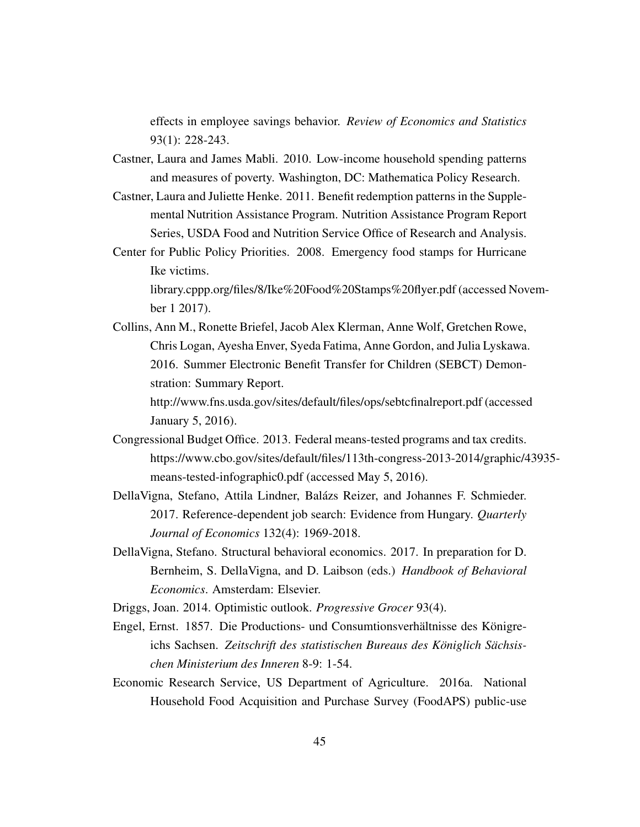effects in employee savings behavior. *Review of Economics and Statistics* 93(1): 228-243.

- Castner, Laura and James Mabli. 2010. Low-income household spending patterns and measures of poverty. Washington, DC: Mathematica Policy Research.
- Castner, Laura and Juliette Henke. 2011. Benefit redemption patterns in the Supplemental Nutrition Assistance Program. Nutrition Assistance Program Report Series, USDA Food and Nutrition Service Office of Research and Analysis.
- Center for Public Policy Priorities. 2008. Emergency food stamps for Hurricane Ike victims.

library.cppp.org/files/8/Ike%20Food%20Stamps%20flyer.pdf (accessed November 1 2017).

Collins, Ann M., Ronette Briefel, Jacob Alex Klerman, Anne Wolf, Gretchen Rowe, Chris Logan, Ayesha Enver, Syeda Fatima, Anne Gordon, and Julia Lyskawa. 2016. Summer Electronic Benefit Transfer for Children (SEBCT) Demonstration: Summary Report. http://www.fns.usda.gov/sites/default/files/ops/sebtcfinalreport.pdf (accessed

January 5, 2016).

- Congressional Budget Office. 2013. Federal means-tested programs and tax credits. https://www.cbo.gov/sites/default/files/113th-congress-2013-2014/graphic/43935 means-tested-infographic0.pdf (accessed May 5, 2016).
- DellaVigna, Stefano, Attila Lindner, Balázs Reizer, and Johannes F. Schmieder. 2017. Reference-dependent job search: Evidence from Hungary. *Quarterly Journal of Economics* 132(4): 1969-2018.
- DellaVigna, Stefano. Structural behavioral economics. 2017. In preparation for D. Bernheim, S. DellaVigna, and D. Laibson (eds.) *Handbook of Behavioral Economics*. Amsterdam: Elsevier.
- Driggs, Joan. 2014. Optimistic outlook. *Progressive Grocer* 93(4).
- Engel, Ernst. 1857. Die Productions- und Consumtionsverhältnisse des Königreichs Sachsen. *Zeitschrift des statistischen Bureaus des Königlich Sächsischen Ministerium des Inneren* 8-9: 1-54.
- Economic Research Service, US Department of Agriculture. 2016a. National Household Food Acquisition and Purchase Survey (FoodAPS) public-use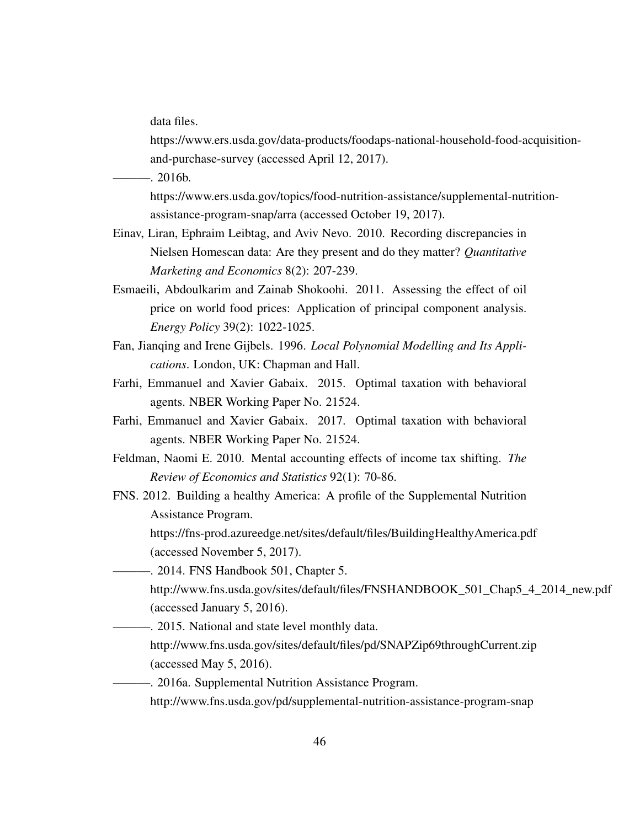data files.

https://www.ers.usda.gov/data-products/foodaps-national-household-food-acquisitionand-purchase-survey (accessed April 12, 2017).

 $-$ . 2016b.

https://www.ers.usda.gov/topics/food-nutrition-assistance/supplemental-nutritionassistance-program-snap/arra (accessed October 19, 2017).

- Einav, Liran, Ephraim Leibtag, and Aviv Nevo. 2010. Recording discrepancies in Nielsen Homescan data: Are they present and do they matter? *Quantitative Marketing and Economics* 8(2): 207-239.
- Esmaeili, Abdoulkarim and Zainab Shokoohi. 2011. Assessing the effect of oil price on world food prices: Application of principal component analysis. *Energy Policy* 39(2): 1022-1025.
- Fan, Jianqing and Irene Gijbels. 1996. *Local Polynomial Modelling and Its Applications*. London, UK: Chapman and Hall.
- Farhi, Emmanuel and Xavier Gabaix. 2015. Optimal taxation with behavioral agents. NBER Working Paper No. 21524.
- Farhi, Emmanuel and Xavier Gabaix. 2017. Optimal taxation with behavioral agents. NBER Working Paper No. 21524.
- Feldman, Naomi E. 2010. Mental accounting effects of income tax shifting. *The Review of Economics and Statistics* 92(1): 70-86.
- FNS. 2012. Building a healthy America: A profile of the Supplemental Nutrition Assistance Program.

https://fns-prod.azureedge.net/sites/default/files/BuildingHealthyAmerica.pdf (accessed November 5, 2017).

- ———. 2014. FNS Handbook 501, Chapter 5.
	- http://www.fns.usda.gov/sites/default/files/FNSHANDBOOK\_501\_Chap5\_4\_2014\_new.pdf (accessed January 5, 2016).
	- $-$ , 2015. National and state level monthly data.

http://www.fns.usda.gov/sites/default/files/pd/SNAPZip69throughCurrent.zip (accessed May 5, 2016).

———. 2016a. Supplemental Nutrition Assistance Program.

http://www.fns.usda.gov/pd/supplemental-nutrition-assistance-program-snap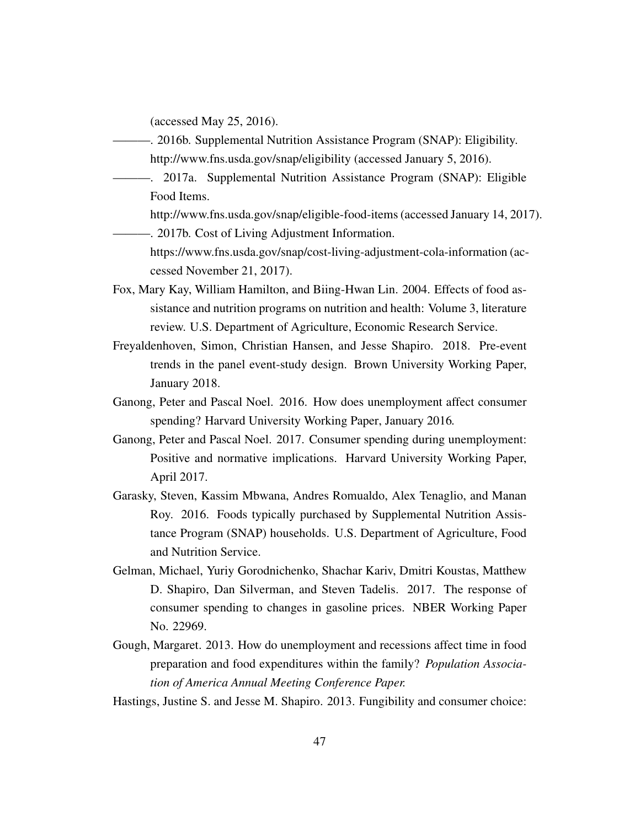(accessed May 25, 2016).

- ———. 2016b. Supplemental Nutrition Assistance Program (SNAP): Eligibility. http://www.fns.usda.gov/snap/eligibility (accessed January 5, 2016).
- ———. 2017a. Supplemental Nutrition Assistance Program (SNAP): Eligible Food Items.
	- http://www.fns.usda.gov/snap/eligible-food-items (accessed January 14, 2017).  $-$ . 2017b. Cost of Living Adjustment Information.

https://www.fns.usda.gov/snap/cost-living-adjustment-cola-information (accessed November 21, 2017).

- Fox, Mary Kay, William Hamilton, and Biing-Hwan Lin. 2004. Effects of food assistance and nutrition programs on nutrition and health: Volume 3, literature review. U.S. Department of Agriculture, Economic Research Service.
- Freyaldenhoven, Simon, Christian Hansen, and Jesse Shapiro. 2018. Pre-event trends in the panel event-study design. Brown University Working Paper, January 2018.
- Ganong, Peter and Pascal Noel. 2016. How does unemployment affect consumer spending? Harvard University Working Paper, January 2016*.*
- Ganong, Peter and Pascal Noel. 2017. Consumer spending during unemployment: Positive and normative implications. Harvard University Working Paper, April 2017.
- Garasky, Steven, Kassim Mbwana, Andres Romualdo, Alex Tenaglio, and Manan Roy. 2016. Foods typically purchased by Supplemental Nutrition Assistance Program (SNAP) households. U.S. Department of Agriculture, Food and Nutrition Service.
- Gelman, Michael, Yuriy Gorodnichenko, Shachar Kariv, Dmitri Koustas, Matthew D. Shapiro, Dan Silverman, and Steven Tadelis. 2017. The response of consumer spending to changes in gasoline prices. NBER Working Paper No. 22969.
- Gough, Margaret. 2013. How do unemployment and recessions affect time in food preparation and food expenditures within the family? *Population Association of America Annual Meeting Conference Paper.*
- Hastings, Justine S. and Jesse M. Shapiro. 2013. Fungibility and consumer choice: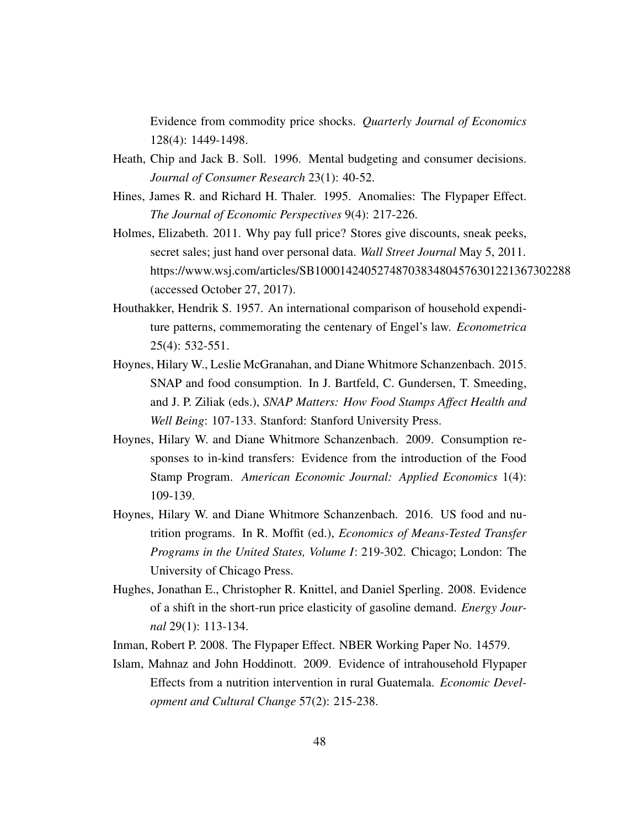Evidence from commodity price shocks. *Quarterly Journal of Economics* 128(4): 1449-1498.

- Heath, Chip and Jack B. Soll. 1996. Mental budgeting and consumer decisions. *Journal of Consumer Research* 23(1): 40-52.
- Hines, James R. and Richard H. Thaler. 1995. Anomalies: The Flypaper Effect. *The Journal of Economic Perspectives* 9(4): 217-226.
- Holmes, Elizabeth. 2011. Why pay full price? Stores give discounts, sneak peeks, secret sales; just hand over personal data. *Wall Street Journal* May 5, 2011. https://www.wsj.com/articles/SB10001424052748703834804576301221367302288 (accessed October 27, 2017).
- Houthakker, Hendrik S. 1957. An international comparison of household expenditure patterns, commemorating the centenary of Engel's law. *Econometrica* 25(4): 532-551.
- Hoynes, Hilary W., Leslie McGranahan, and Diane Whitmore Schanzenbach. 2015. SNAP and food consumption. In J. Bartfeld, C. Gundersen, T. Smeeding, and J. P. Ziliak (eds.), *SNAP Matters: How Food Stamps Affect Health and Well Being*: 107-133. Stanford: Stanford University Press.
- Hoynes, Hilary W. and Diane Whitmore Schanzenbach. 2009. Consumption responses to in-kind transfers: Evidence from the introduction of the Food Stamp Program. *American Economic Journal: Applied Economics* 1(4): 109-139.
- Hoynes, Hilary W. and Diane Whitmore Schanzenbach. 2016. US food and nutrition programs. In R. Moffit (ed.), *Economics of Means-Tested Transfer Programs in the United States, Volume I*: 219-302. Chicago; London: The University of Chicago Press.
- Hughes, Jonathan E., Christopher R. Knittel, and Daniel Sperling. 2008. Evidence of a shift in the short-run price elasticity of gasoline demand. *Energy Journal* 29(1): 113-134.
- Inman, Robert P. 2008. The Flypaper Effect. NBER Working Paper No. 14579.
- Islam, Mahnaz and John Hoddinott. 2009. Evidence of intrahousehold Flypaper Effects from a nutrition intervention in rural Guatemala. *Economic Development and Cultural Change* 57(2): 215-238.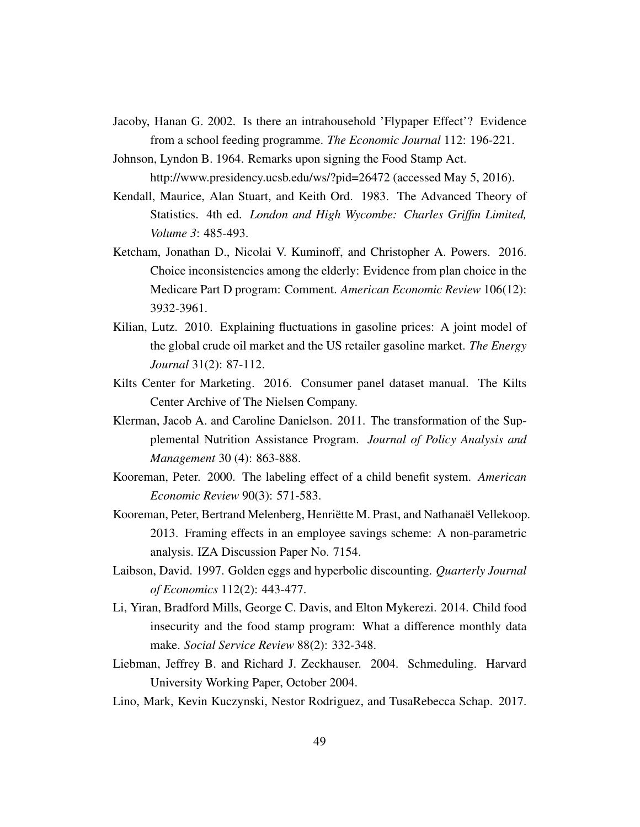- Jacoby, Hanan G. 2002. Is there an intrahousehold 'Flypaper Effect'? Evidence from a school feeding programme. *The Economic Journal* 112: 196-221.
- Johnson, Lyndon B. 1964. Remarks upon signing the Food Stamp Act. http://www.presidency.ucsb.edu/ws/?pid=26472 (accessed May 5, 2016).
- Kendall, Maurice, Alan Stuart, and Keith Ord. 1983. The Advanced Theory of Statistics. 4th ed. *London and High Wycombe: Charles Griffin Limited, Volume 3*: 485-493.
- Ketcham, Jonathan D., Nicolai V. Kuminoff, and Christopher A. Powers. 2016. Choice inconsistencies among the elderly: Evidence from plan choice in the Medicare Part D program: Comment. *American Economic Review* 106(12): 3932-3961.
- Kilian, Lutz. 2010. Explaining fluctuations in gasoline prices: A joint model of the global crude oil market and the US retailer gasoline market. *The Energy Journal* 31(2): 87-112.
- Kilts Center for Marketing. 2016. Consumer panel dataset manual. The Kilts Center Archive of The Nielsen Company.
- Klerman, Jacob A. and Caroline Danielson. 2011. The transformation of the Supplemental Nutrition Assistance Program. *Journal of Policy Analysis and Management* 30 (4): 863-888.
- Kooreman, Peter. 2000. The labeling effect of a child benefit system. *American Economic Review* 90(3): 571-583.
- Kooreman, Peter, Bertrand Melenberg, Henriëtte M. Prast, and Nathanaël Vellekoop. 2013. Framing effects in an employee savings scheme: A non-parametric analysis. IZA Discussion Paper No. 7154.
- Laibson, David. 1997. Golden eggs and hyperbolic discounting. *Quarterly Journal of Economics* 112(2): 443-477.
- Li, Yiran, Bradford Mills, George C. Davis, and Elton Mykerezi. 2014. Child food insecurity and the food stamp program: What a difference monthly data make. *Social Service Review* 88(2): 332-348.
- Liebman, Jeffrey B. and Richard J. Zeckhauser. 2004. Schmeduling. Harvard University Working Paper, October 2004.
- Lino, Mark, Kevin Kuczynski, Nestor Rodriguez, and TusaRebecca Schap. 2017.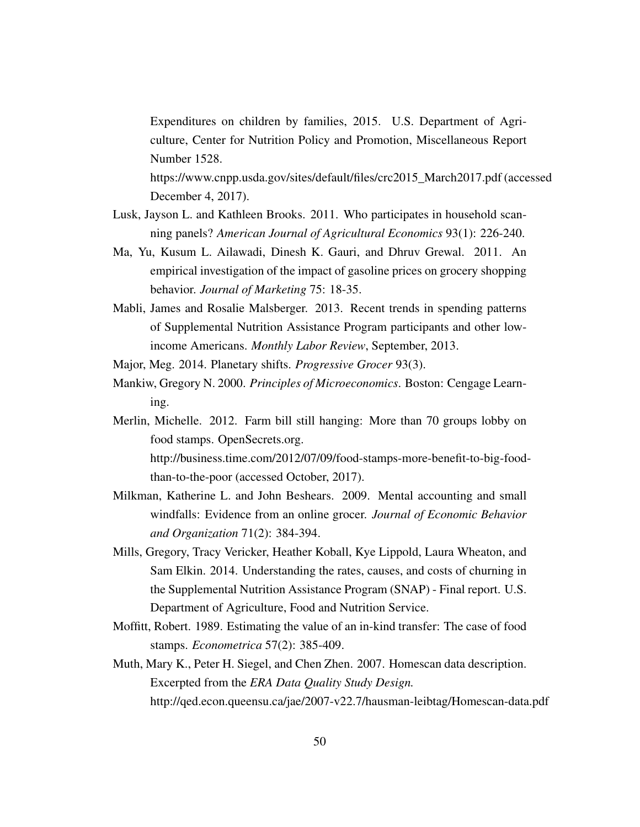Expenditures on children by families, 2015. U.S. Department of Agriculture, Center for Nutrition Policy and Promotion, Miscellaneous Report Number 1528.

https://www.cnpp.usda.gov/sites/default/files/crc2015\_March2017.pdf (accessed December 4, 2017).

- Lusk, Jayson L. and Kathleen Brooks. 2011. Who participates in household scanning panels? *American Journal of Agricultural Economics* 93(1): 226-240.
- Ma, Yu, Kusum L. Ailawadi, Dinesh K. Gauri, and Dhruv Grewal. 2011. An empirical investigation of the impact of gasoline prices on grocery shopping behavior. *Journal of Marketing* 75: 18-35.
- Mabli, James and Rosalie Malsberger. 2013. Recent trends in spending patterns of Supplemental Nutrition Assistance Program participants and other lowincome Americans. *Monthly Labor Review*, September, 2013.
- Major, Meg. 2014. Planetary shifts. *Progressive Grocer* 93(3).
- Mankiw, Gregory N. 2000. *Principles of Microeconomics*. Boston: Cengage Learning.
- Merlin, Michelle. 2012. Farm bill still hanging: More than 70 groups lobby on food stamps. OpenSecrets.org. http://business.time.com/2012/07/09/food-stamps-more-benefit-to-big-foodthan-to-the-poor (accessed October, 2017).
- Milkman, Katherine L. and John Beshears. 2009. Mental accounting and small windfalls: Evidence from an online grocer. *Journal of Economic Behavior and Organization* 71(2): 384-394.
- Mills, Gregory, Tracy Vericker, Heather Koball, Kye Lippold, Laura Wheaton, and Sam Elkin. 2014. Understanding the rates, causes, and costs of churning in the Supplemental Nutrition Assistance Program (SNAP) - Final report. U.S. Department of Agriculture, Food and Nutrition Service.
- Moffitt, Robert. 1989. Estimating the value of an in-kind transfer: The case of food stamps. *Econometrica* 57(2): 385-409.
- Muth, Mary K., Peter H. Siegel, and Chen Zhen. 2007. Homescan data description. Excerpted from the *ERA Data Quality Study Design.* http://qed.econ.queensu.ca/jae/2007-v22.7/hausman-leibtag/Homescan-data.pdf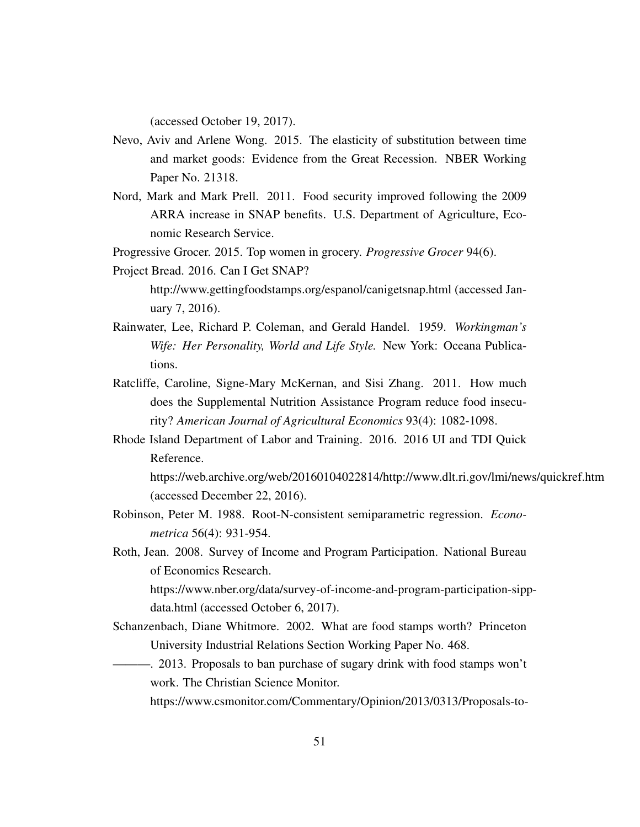(accessed October 19, 2017).

- Nevo, Aviv and Arlene Wong. 2015. The elasticity of substitution between time and market goods: Evidence from the Great Recession. NBER Working Paper No. 21318.
- Nord, Mark and Mark Prell. 2011. Food security improved following the 2009 ARRA increase in SNAP benefits. U.S. Department of Agriculture, Economic Research Service.

Progressive Grocer. 2015. Top women in grocery. *Progressive Grocer* 94(6).

Project Bread. 2016. Can I Get SNAP?

http://www.gettingfoodstamps.org/espanol/canigetsnap.html (accessed January 7, 2016).

- Rainwater, Lee, Richard P. Coleman, and Gerald Handel. 1959. *Workingman's Wife: Her Personality, World and Life Style.* New York: Oceana Publications.
- Ratcliffe, Caroline, Signe-Mary McKernan, and Sisi Zhang. 2011. How much does the Supplemental Nutrition Assistance Program reduce food insecurity? *American Journal of Agricultural Economics* 93(4): 1082-1098.
- Rhode Island Department of Labor and Training. 2016. 2016 UI and TDI Quick Reference.

https://web.archive.org/web/20160104022814/http://www.dlt.ri.gov/lmi/news/quickref.htm (accessed December 22, 2016).

- Robinson, Peter M. 1988. Root-N-consistent semiparametric regression. *Econometrica* 56(4): 931-954.
- Roth, Jean. 2008. Survey of Income and Program Participation. National Bureau of Economics Research. https://www.nber.org/data/survey-of-income-and-program-participation-sippdata.html (accessed October 6, 2017).
- Schanzenbach, Diane Whitmore. 2002. What are food stamps worth? Princeton University Industrial Relations Section Working Paper No. 468.
- ———. 2013. Proposals to ban purchase of sugary drink with food stamps won't work. The Christian Science Monitor.

https://www.csmonitor.com/Commentary/Opinion/2013/0313/Proposals-to-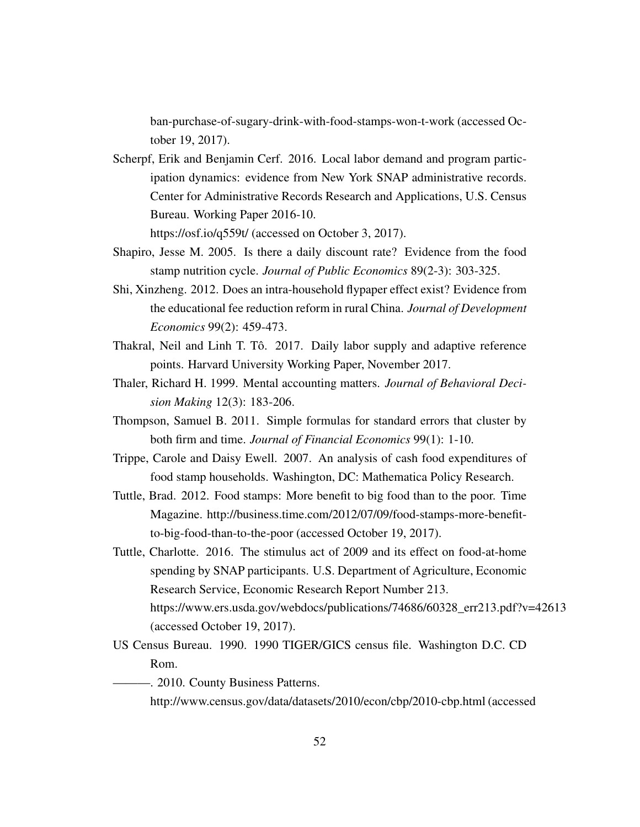ban-purchase-of-sugary-drink-with-food-stamps-won-t-work (accessed October 19, 2017).

- Scherpf, Erik and Benjamin Cerf. 2016. Local labor demand and program participation dynamics: evidence from New York SNAP administrative records. Center for Administrative Records Research and Applications, U.S. Census Bureau. Working Paper 2016-10. https://osf.io/q559t/ (accessed on October 3, 2017).
- Shapiro, Jesse M. 2005. Is there a daily discount rate? Evidence from the food stamp nutrition cycle. *Journal of Public Economics* 89(2-3): 303-325.
- Shi, Xinzheng. 2012. Does an intra-household flypaper effect exist? Evidence from the educational fee reduction reform in rural China. *Journal of Development Economics* 99(2): 459-473.
- Thakral, Neil and Linh T. Tô. 2017. Daily labor supply and adaptive reference points. Harvard University Working Paper, November 2017.
- Thaler, Richard H. 1999. Mental accounting matters. *Journal of Behavioral Decision Making* 12(3): 183-206.
- Thompson, Samuel B. 2011. Simple formulas for standard errors that cluster by both firm and time. *Journal of Financial Economics* 99(1): 1-10.
- Trippe, Carole and Daisy Ewell. 2007. An analysis of cash food expenditures of food stamp households. Washington, DC: Mathematica Policy Research.
- Tuttle, Brad. 2012. Food stamps: More benefit to big food than to the poor. Time Magazine. http://business.time.com/2012/07/09/food-stamps-more-benefitto-big-food-than-to-the-poor (accessed October 19, 2017).
- Tuttle, Charlotte. 2016. The stimulus act of 2009 and its effect on food-at-home spending by SNAP participants. U.S. Department of Agriculture, Economic Research Service, Economic Research Report Number 213. https://www.ers.usda.gov/webdocs/publications/74686/60328\_err213.pdf?v=42613 (accessed October 19, 2017).
- US Census Bureau. 1990. 1990 TIGER/GICS census file. Washington D.C. CD Rom.

-. 2010. County Business Patterns. http://www.census.gov/data/datasets/2010/econ/cbp/2010-cbp.html (accessed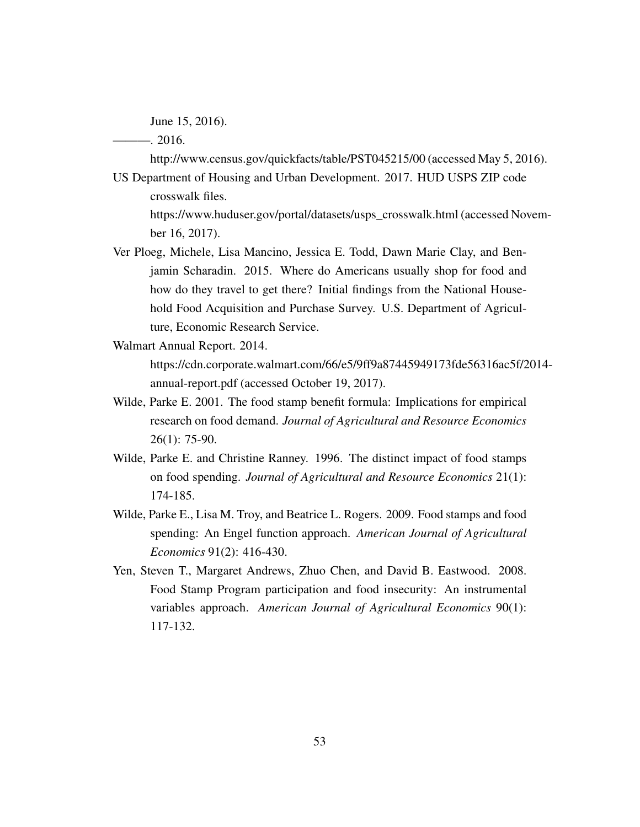June 15, 2016).

 $-.2016.$ 

http://www.census.gov/quickfacts/table/PST045215/00 (accessed May 5, 2016).

- US Department of Housing and Urban Development. 2017. HUD USPS ZIP code crosswalk files. https://www.huduser.gov/portal/datasets/usps\_crosswalk.html (accessed November 16, 2017).
- Ver Ploeg, Michele, Lisa Mancino, Jessica E. Todd, Dawn Marie Clay, and Benjamin Scharadin. 2015. Where do Americans usually shop for food and how do they travel to get there? Initial findings from the National Household Food Acquisition and Purchase Survey. U.S. Department of Agriculture, Economic Research Service.
- Walmart Annual Report. 2014. https://cdn.corporate.walmart.com/66/e5/9ff9a87445949173fde56316ac5f/2014 annual-report.pdf (accessed October 19, 2017).
- Wilde, Parke E. 2001. The food stamp benefit formula: Implications for empirical research on food demand. *Journal of Agricultural and Resource Economics* 26(1): 75-90.
- Wilde, Parke E. and Christine Ranney. 1996. The distinct impact of food stamps on food spending. *Journal of Agricultural and Resource Economics* 21(1): 174-185.
- Wilde, Parke E., Lisa M. Troy, and Beatrice L. Rogers. 2009. Food stamps and food spending: An Engel function approach. *American Journal of Agricultural Economics* 91(2): 416-430.
- Yen, Steven T., Margaret Andrews, Zhuo Chen, and David B. Eastwood. 2008. Food Stamp Program participation and food insecurity: An instrumental variables approach. *American Journal of Agricultural Economics* 90(1): 117-132.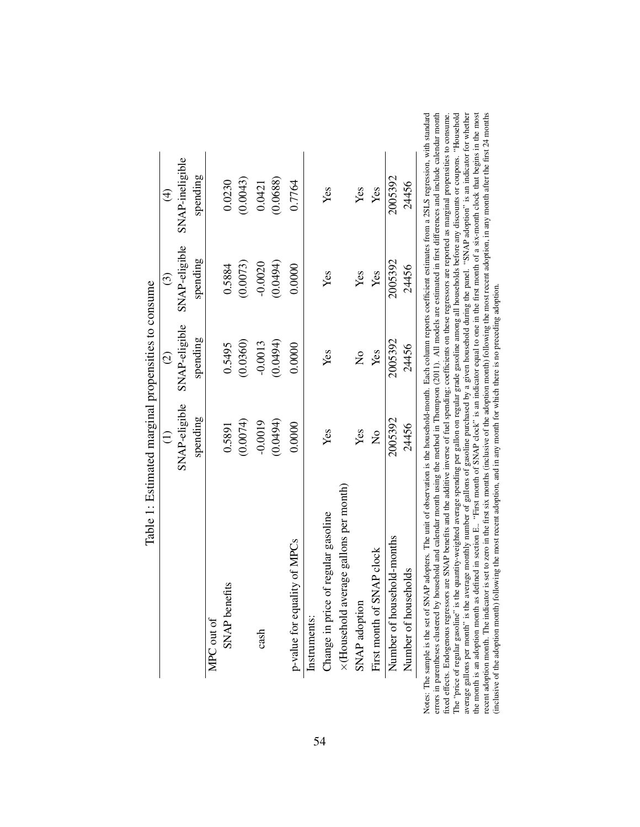|                                                                                                                                                            | lable 1: Estimated marginal propensities to consume |                         |                   |                 |
|------------------------------------------------------------------------------------------------------------------------------------------------------------|-----------------------------------------------------|-------------------------|-------------------|-----------------|
|                                                                                                                                                            | $\ominus$                                           | $\widehat{c}$           | $\widehat{\odot}$ | $\widehat{E}$   |
|                                                                                                                                                            | SNAP-digible                                        | SNAP-eligible           | SNAP-eligible     | SNAP-ineligible |
|                                                                                                                                                            | spending                                            | spending                | spending          | spending        |
| MPC out of                                                                                                                                                 |                                                     |                         |                   |                 |
| SNAP benefits                                                                                                                                              | 0.5891                                              | 0.5495                  | 0.5884            | 0.0230          |
|                                                                                                                                                            | (0.0074)                                            | (0.0360)                | (0.0073)          | (0.0043)        |
| cash                                                                                                                                                       | $-0.0019$                                           | $-0.0013$               | $-0.0020$         | 0.0421          |
|                                                                                                                                                            | (6.0494)                                            | (6494)                  | (6640.0)          | (0.0688)        |
| p-value for equality of MPCs                                                                                                                               | 0.0000                                              | 0.0000                  | 0.0000            | 0.7764          |
| Instruments:                                                                                                                                               |                                                     |                         |                   |                 |
| Change in price of regular gasoline                                                                                                                        | Yes                                                 | Yes                     | Yes               | Yes             |
| $\times$ (Household average gallons per month)                                                                                                             |                                                     |                         |                   |                 |
| SNAP adoption                                                                                                                                              | Yes                                                 | $\overline{\mathsf{z}}$ | Yes               | Yes             |
| First month of SNAP clock                                                                                                                                  | $\mathsf{S}^{\mathsf{O}}$                           | Yes                     | Yes               | Yes             |
| Number of household-months                                                                                                                                 | 2005392                                             | 2005392                 | 2005392           | 2005392         |
| Number of households                                                                                                                                       | 24456                                               | 24456                   | 24456             | 24456           |
| e sample is the set of SNAP adopters. The unit of observation is the household-month. Each column reports coefficient estimates from a 2SLS regression, wi |                                                     |                         |                   |                 |

Table 1: Estimated marginal propensities to consume ÷,  $\ddot{x}$ ł. ÷,  $\mathbf{p}$ ÷  $T_0 h_1$ 

errors in parentheses clustered by household and calendar month using the method in Thompson (2011). All models are estimated in first differences and include calendar month<br>fixed effects. Endogenous regressors are SNAP be th standard Notes: The sample is the set of SNAP adopters. The unit of observation is the household-month. Each column reports coefficient estimates from a 2SLS regression, with standard errors in parentheses clustered by household and calendar month using the method in Thompson (2011). All models are estimated in first differences and include calendar month The "price of regular gasoline" is the quantity-weighted average spending per gallon on regular grade gasoline among all households before any discounts or coupons. "Household average gallons per month" is the average monthly number of gallons of gasoline purchased by a given household during the panel. "SNAP adoption" is an indicator for whether the month is an adoption month as defined in section E.. "First month of SNAP clock" is an indicator equal to one in the first month of a six-month clock that begins in the most fixed effects. Endogenous regressors are SNAP benefits and the additive inverse of fuel spending; coefficients on these regressors are reported as marginal propensities to consume. recent adoption month. The indicator is set to zero in the first six months (inclusive of the adoption month) following the most recent adoption, in any month after the first 24 months (inclusive of the adoption month) following the most recent adoption, and in any month for which there is no preceding adoption. (inclusive of the adoption month) following the most recent adoption, and in any month for which there is no preceding adoption. Notes: The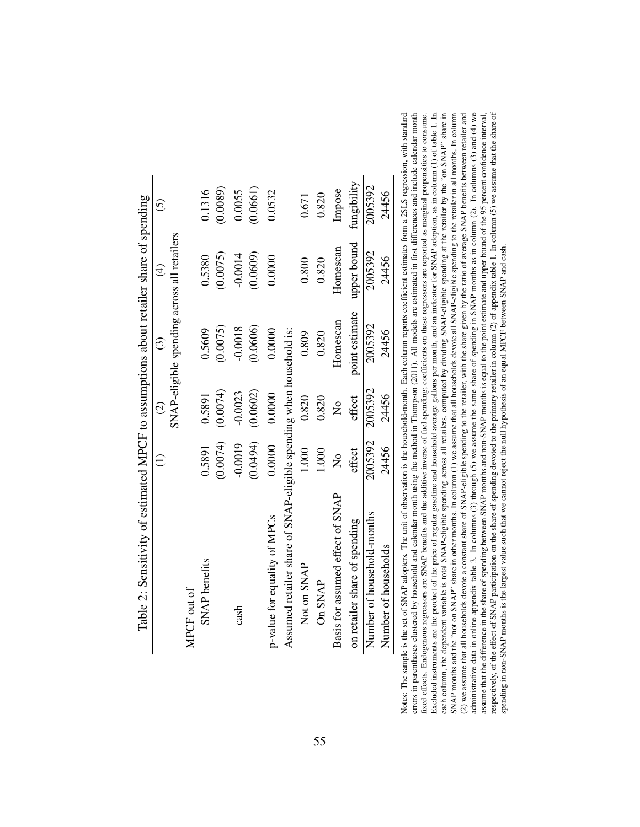| Table 2: Sensitivity of estimated MPCF to assumptions about retailer share of spending |                         |                           |                                             |               |               |
|----------------------------------------------------------------------------------------|-------------------------|---------------------------|---------------------------------------------|---------------|---------------|
|                                                                                        | $\widehat{\Xi}$         | $\widehat{c}$             | $\ddot{\textbf{c}}$                         | $\widehat{E}$ | $\widehat{6}$ |
|                                                                                        |                         |                           | SNAP-eligible spending across all retailers |               |               |
| MPCF out of                                                                            |                         |                           |                                             |               |               |
| <b>SNAP</b> benefits                                                                   | 0.5891                  | 0.5891                    | 0.5609                                      | 0.5380        | 0.1316        |
|                                                                                        | (0.0074)                | (0.0074)                  | (0.0075)                                    | (0.0075)      | (0.0089)      |
| cash                                                                                   | $-0.0019$               | $-0.0023$                 | $-0.0018$                                   | $-0.0014$     | 0.0055        |
|                                                                                        | (0.0494)                | (0.0602)                  | (0.0606)                                    | (0.0609)      | (0.0661)      |
| p-value for equality of MPCs                                                           | 0.0000                  | 0.0000                    | 0.0000                                      | 0.0000        | 0.0532        |
| Assumed retailer share of SNAP-eligible spending when household is:                    |                         |                           |                                             |               |               |
| Not on SNAP                                                                            | 1.000                   | 0.820                     | 0.809                                       | 0.800         | 0.671         |
| On SNAP                                                                                | 1.000                   | 0.820                     | 0.820                                       | 0.820         | 0.820         |
| Basis for assumed effect of SNAP                                                       | $\overline{\mathsf{X}}$ | $\mathsf{S}^{\mathsf{O}}$ | Homescan                                    | Homescan      | Impose        |
| on retailer share of spending                                                          | etter                   | effect                    | point estimate                              | upper bound   | fungibility   |
| Number of household-months                                                             | 2005392                 | 2005392                   | 2005392                                     | 2005392       | 2005392       |
| Number of households                                                                   | 24456                   | 24456                     | 24456                                       | 24456         | 24456         |
|                                                                                        |                         |                           |                                             |               |               |

Notes: The sample is the set of SNAP adopters. The unit of observation is the household-month. Each column reports coefficient estimates from a 2SLS regression, with standard errors in parentheses clustered by household and calendar month using the method in Thompson (2011). All models are estimated in first differences and include calendar month fixed effects. Endogenous regressors are SNAP benefits and the additive inverse of fuel spending; coefficients on these regressors are reported as marginal propensities to consume. Excluded instruments are the product of the price of regular gasoline and household average gallons per month, and an indicator for SNAP adoption, as in column (1) of table 1. In<br>each column, the dependent variable is tota SNAP months and the "not on SNAP" share in other months. In column (1) we assume that all households devote all SNAP-eligible spending to the retailer in all months. In column 2. A samme that all households devote a constant share of SNAP-eligible spending to the retailer, with the share given by the ratio of average SNAP benefits between retailer and (2) we assume that all households devote a c administrative data in online appendix table 3. In columns (3) through (5) we assume the same share of spending in SNAP months as in column (2). In columns (3) and (4) we respectively, of the effect of SNAP participation on the share of spending devoted to the primary retailer in column (2) of appendix table 1. In column (5) we assume that the share of<br>spending in non-SNAP months is the lar Notes: The sample is the set of SNAP adopters. The unit of observation is the household-month. Each column reports coefficient estimates from a 2SLS regression, with standard errors in parentheses clustered by household and calendar month using the method in Thompson (2011). All models are estimated in first differences and include calendar month Excluded instruments are the product of the price of regular gasoline and household average gallons per month, and an indicator for SNAP adoption, as in column (1) of table 1. In each column, the dependent variable is total SNAP-eligible spending across all retailers, computed by dividing SNAP-eligible spending at the retailer by the "on SNAP" share in SNAP months and the "not on SNAP" share in other months. In column (1) we assume that all households devote all SNAP-eligible spending to the retailer in all months. In column (2) we assume that all households devote a constant share of SNAP-eligible spending to the retailer, with the share given by the ratio of average SNAP benefits between retailer and assume that the difference in the share of spending between SNAP months and non-SNAP months is equal to the point estimate and upper bound of the 95 percent confidence interval, respectively, of the effect of SNAP participation on the share of spending devoted to the primary retailer in column (2) of appendix table 1. In column (5) we assume that the share of fixed effects. Endogenous regressors are SNAP benefits and the additive inverse of fuel spending; coefficients on these regressors are reported as marginal propensities to consume. administrative data in online appendix table 3. In columns (3) we assume the same share of spending in SNAP months as in column (2). In columns (3) and (4) we assume that the difference in the share of spending between SNAP months and non-SNAP months is equal to the point estimate and upper bound of the 95 percent confidence interval, spending in non-SNAP months is the largest value such that we cannot reject the null hypothesis of an equal MPCF between SNAP and cash.

55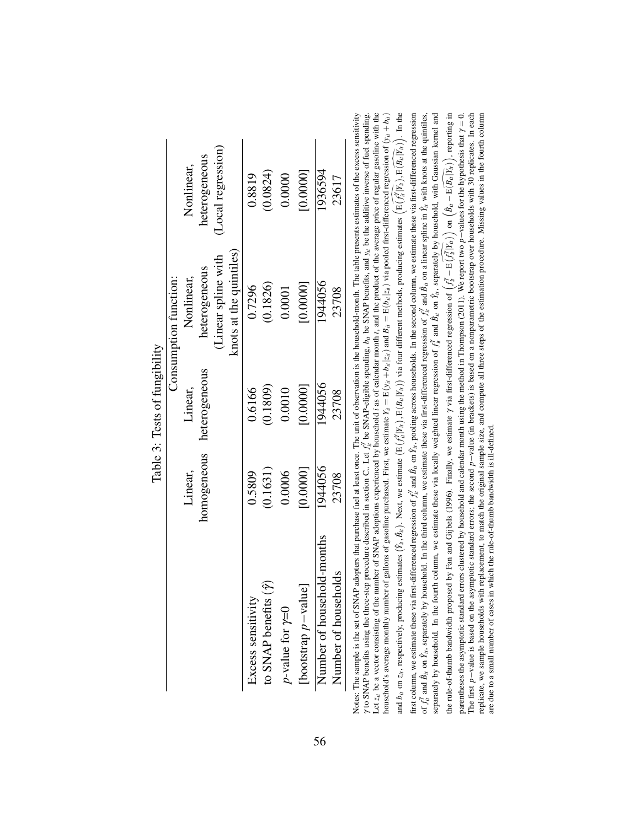|                                      |             |               | Consumption function:   |                    |
|--------------------------------------|-------------|---------------|-------------------------|--------------------|
|                                      | Linear,     | Linear,       | Nonlinear,              | Nonlinear,         |
|                                      | homogeneous | heterogeneous | heterogeneous           | heterogeneous      |
|                                      |             |               | (Linear spline with     | (Local regression) |
|                                      |             |               | knots at the quintiles) |                    |
| Excess sensitivity                   | 0.5809      | 0.6166        | 0.7296                  | 0.8819             |
| $(\hat{\gamma})$<br>to SNAP benefits | (0.1631)    | (0.1809)      | (0.1826)                | (0.0824)           |
| $p$ -value for $\gamma=0$            | 0.0006      | 0.0010        | 0.0001                  | 0.0000             |
| [bootstrap $p$ -value]               | [0.0000]    | 0.0000        | [0.0000]                | [0.0000]           |
| Number of household-months           | 1944056     | 1944056       | 1944056                 | 1936594            |
| Number of households                 | 23708       | 23708         | 23708                   | 23617              |

 $\alpha$ f fungibility Table 3: Tests of fungibility  $T_{\alpha\alpha\beta}$  $\dot{\mathbf{c}}$  $T<sub>2</sub>1<sub>2</sub>$ 

and  $b_n$  on  $z_i$ , respectively, producing estimates  $(\hat{Y}_i, \hat{B}_i)$ . Next, we estimate  $(E(f'_i | Y_i)$ ,  $E(B_i | Y_i)$ ) via four different methods, producing estimates  $(E(f'_i | Y_i)$ ,  $E(B_i | Y_i)$ ). In the first column, we estimate these via first-differenced regression of  $f'_h$  and  $\hat{B}_i$  on  $\hat{Y}_i$ , pooling across households. In the second column, we estimate these via first-differenced regression separately by household. In the fourth column, we estimate these via locally weighted linear regression of  $f'_n$  and  $\hat{B}_n$  on  $\hat{Y}_n$ , separately by household, with Gaussian kernel and sensitivity *y* to SNAP benefits using the three-step procedure described in section C.. Let  $f''_h$  be SNAP-eligible spending,  $b_n$  be SNAP benefits, and  $y_n$  be the additive inverse of thel spending.<br>Let  $z_n$  be a vector consisting household's average monthly number of gallons of gasoline purchased. First, we estimate  $Y_{it} = E(y_{it} + b_{it}|z_{it})$  and  $B_{it} = E(b_{it}|z_{it})$  via pooled first-differenced regression of  $(y_{it} + b_{it})$ first column, we estimate these via first-differenced regression of  $f''_l$  and  $\hat{B}_u$  on  $\hat{Y}_u$ , pooling across households. In the second column, we estimate these via first-differenced regression of  $f''_l$  and  $\hat{B}_i$  on  $\hat{Y}_l$ , separately by household. In the third column, we estimate these via first-differenced regression of  $f''_l$  and  $\hat{B}_l$  on a linear spline in  $\hat{Y}_l$  with knots at the quintiles, separately by household. In the fourth column, we estimate these via locally weighted linear regression of *f*<sub>it</sub><sup>*a*</sup> and  $\hat{B}_i$  on  $\hat{Y}_i$ , separately by household, with Gaussian kernel and Notes: The sample is the set of SNAP adopters that purchase fuel at least once. The unit of observation is the household-month. The table presents estimates of the excess sensitivity  $\gamma$  to SNAP benefits using the three-step procedure described in section C.. Let  $f''_i$  be SNAP-eligible spending,  $b_i$  be SNAP benefits, and  $y_i$  be the additive inverse of fuel spending. Let  $z_i$  be a vector consisting of the number of SNAP adoptions experienced by household *i* as of calendar month *t*, and the product of the average price of regular gasoline with the household's average monthly number of gallons of gasoline purchased. First, we estimate  $Y_{it} = E(y_{it} + b_{it} | z_{it})$  and  $B_{it} = E(b_{it} | z_{it})$  via pooled first-differenced regression of  $(y_{it} + b_{it})$ and  $b_n$  on  $z_i$ , respectively, producing estimates  $(\hat{Y}_i, \hat{B}_i)$ . Next, we estimate  $(E(f'_i'|Y_i), E(B_i|Y_i))$  via four different methods, producing estimates  $(E(\hat{f}_i'|Y_i), E(\hat{B}_i|Y_i))$ . In the of  $f'_il$  and  $\hat{B}_il$  on  $\hat{Y}_l$ , separately by household. In the third column, we estimate these via fust-differenced regression of  $f''_il$  and  $\hat{B}_il$  on a linear spline in  $\hat{Y}_il$  with knots at the quintiles,  $rac{1}{2}$ µсsеш vauon ruel at least once. unat purcnase auopieis **ANNS DO JAR** sample is the Notes:

the rule-of-thumb bandwidth proposed by Fan and Gijbels (1996). Finally, we estimate  $\gamma$  via first-differenced regression of  $(f_n^{\gamma_1} - E(f_n^{\gamma_1}|Y_n))$  on  $(\hat{B}_n|Y_n)$ , reporting in parentheses the asymptotic standard errors clustered by household and calendar month using the method in Thompson (2011). We report two  $p$ -values for the hypothesis that  $\gamma = 0$ . The first  $p$ -value is based on the asymptotic standard errors; the second  $p$ -value (in brackets) is based on a nonparametric bootstrap over households with 30 replicates. In each replicate, we sample households with replacement, to match the original sample size, and compute all three steps of the estimation procedure. Missing values in the fourth column the rule-of-thumb bandwidth proposed by Fan and Gijbels (1996). Finally, we estimate  $\gamma$  via first-differenced regression of  $(f_n^{\gamma} - E(f_n^{\gamma}|Y_n))$  on  $(\hat{B}_n - E(\hat{B}_n|Y_n))$ , reporting in The first *p*−value is based on the asymptotic standard errors; the second *p*−value (in brackets) is based on a nonparametric bootstrap over households with 30 replicates. In each replicate, we sample households with replacement, to match the original sample size, and compute all three steps of the estimation procedure. Missing values in the fourth column parentheses the asymptotic standard errors clustered by household and calendar month using the method in Thompson (2011). We report two *p*−values for the hypothesis that γ = 0. are due to a small number of cases in which the rule-of-thumb bandwidth is ill-defined. are due to a small number of cases in which the rule-of-thumb bandwidth is ill-defined.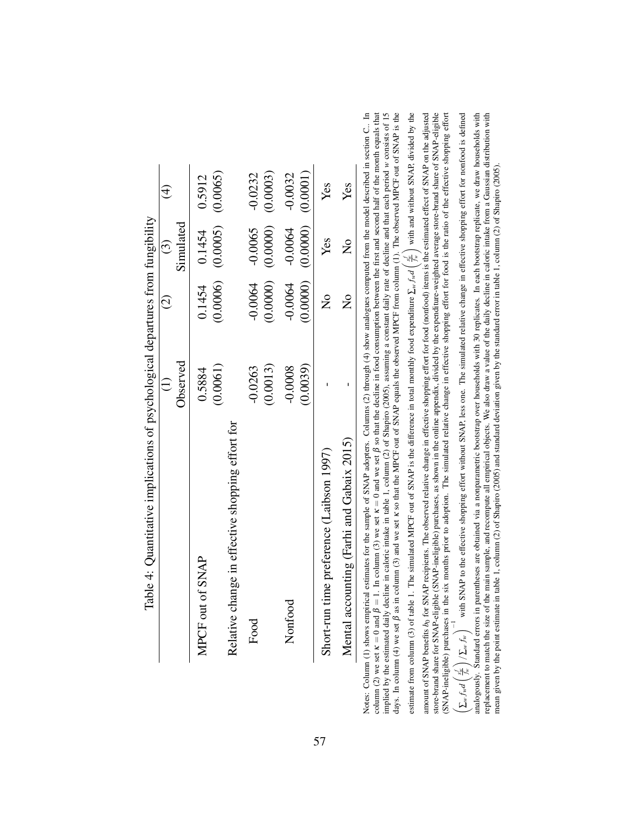| Table 4: Quantitative implications of psychological departures from fungibility |                 |               |                                  |           |
|---------------------------------------------------------------------------------|-----------------|---------------|----------------------------------|-----------|
|                                                                                 | $\widehat{\Xi}$ | $\widehat{C}$ | $\overline{3}$                   |           |
|                                                                                 | Observed        |               | Simulated                        |           |
| MPCF out of SNAP                                                                | 0.5884          |               | $0.1454$ $0.1454$ $0.5912$       |           |
|                                                                                 | (0.0061)        |               | $(0.0006)$ $(0.0005)$ $(0.0065)$ |           |
| Relative change in effective shopping effort for                                |                 |               |                                  |           |
| Food                                                                            | $-0.0263$       |               | $-0.0064$ $-0.0065$              | $-0.0232$ |
|                                                                                 | (0.0013)        | 0.0000        | (0.0000)                         | (0.0003)  |
| Nonfood                                                                         | $-0.0008$       |               | $-0.00000 - 0.00000$             | $-0.0032$ |
|                                                                                 | (0.0039)        |               | $(0.0000)$ $(0.0000)$ $(0.0001)$ |           |
| Short-run time preference (Laibson 1997)                                        |                 | $\frac{1}{2}$ | Yes                              | Yes       |
| Mental accounting (Farhi and Gabaix 2015)                                       |                 | $\frac{1}{2}$ | $\frac{1}{2}$                    | Yes       |
|                                                                                 |                 |               |                                  |           |

Notes: Column (1) shows empirical estimates for the sample of SNAP adopters. Columns (2) through (4) show analogues computed from the model described in section C. In Notes: Column (1) shows empirical estimates for the sample of SNAP adopters. Columns (2) through (4) show analogues computed from the model described in section C.. In column (2) we set  $\kappa = 0$  and  $\beta = 1$ . In column (3) we set  $\kappa = 0$  and we set  $\beta$  so that the decline in food consumption between the first and second half of the month equals that column (2) we set  $\kappa = 0$  and  $\beta = 1$ . In column (3) we set  $\kappa = 0$  and we set  $\beta$  so that the decline in food consumption between the first and second half of the month equals that  $\kappa = 1$ . *w* consists of 15 days. In column (4) we set β as in column (3) and we set κ so that the MPCF out of SNAP equals the observed MPCF from column (1). The observed MPCF out of SNAP is the implied by the estimated daily decline in caloric intake in table 1, column (2) of Shapiro (2005), assuming a constant daily rate of decline and that each period

estimate from column (3) of table 1. The simulated MPCF out of SNAP is the difference in total monthly food expenditure  $\sum_{w} f_w d$ *s f w <sup>f</sup><sup>w</sup>* with and without SNAP, divided by the amount of SNAP benefits *b*<sub>0</sub> for SNAP recipients. The observed relative change in effective shopping effort for food (nonfood) items is the estimated effect of SNAP on the adjusted

(SNAP-ineligible) purchases in the six months prior to adoption. The simulated relative change in effective shopping effort for food is the ratio of the effective shopping effort (SNAP-ineligible) purchases in the six months prior to adoption. The simulated relative change in effective shopping effort for food is the ratio of the effective shopping effort store-brand share for SNAP-eligible (SNAP-ineligible) purchases, as shown in the online appendix, divided by the expenditure-weighted average store-brand share of SNAP-eligible  $\vec{r}$ 

with SNAP to the effective shopping effort without SNAP, less one. The simulated relative change in effective shopping effort for nonfood is defined  $\int$  with SNAP to the effective shopping effort without SNAP, less one. The simulated relative change in effective shopping effort for nonfood is defined /∑*w fw s f w <sup>f</sup><sup>w</sup>*  $\Big(\sum_{w} f_w d\Big)$ 

replacement to match the size of the main sample, and recompute all empirical objects. We also draw a value of the daily decline in caloric intake from a Gaussian distribution with analogously. Standard errors in parentheses are obtained via a nonparametric bootstrap over households with 30 replicates. In each bootstrap replicate, we draw households with replacement to match the size of the main sample, and recompute all empirical objects. We also draw a value of the daily decline in caloric intake from a Gaussian distribution with mean given by the point estimate in table 1, column (2) of Shapiro (2005) and standard deviation given by the standard error in table 1, column (2) of Shapiro (2005). mean given by the point estimate in table 1, column (2) of Shapiro (2005) and standard deviation given by the standard error in table 1, column (2) of Shapiro (2005).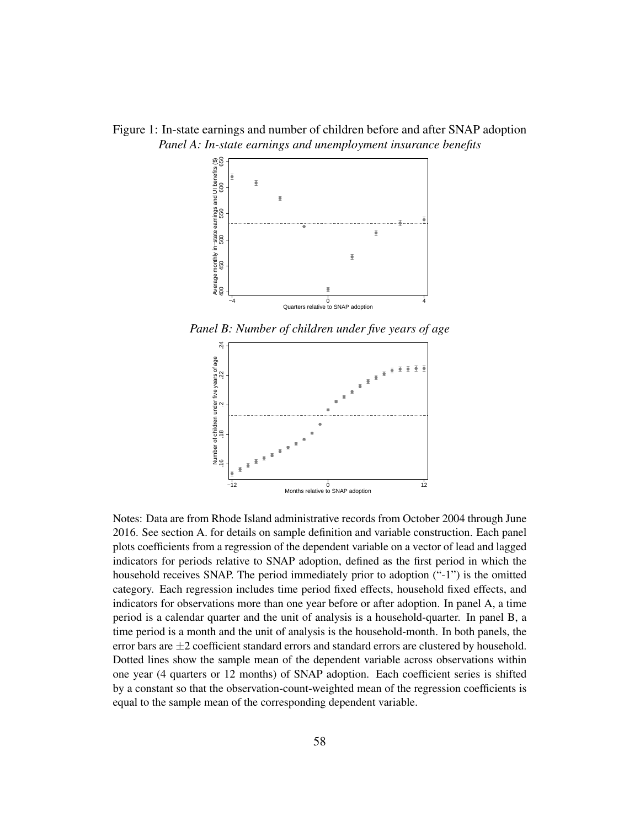Figure 1: In-state earnings and number of children before and after SNAP adoption *Panel A: In-state earnings and unemployment insurance benefits*



*Panel B: Number of children under five years of age*



Notes: Data are from Rhode Island administrative records from October 2004 through June 2016. See section A. for details on sample definition and variable construction. Each panel plots coefficients from a regression of the dependent variable on a vector of lead and lagged indicators for periods relative to SNAP adoption, defined as the first period in which the household receives SNAP. The period immediately prior to adoption ("-1") is the omitted category. Each regression includes time period fixed effects, household fixed effects, and indicators for observations more than one year before or after adoption. In panel A, a time period is a calendar quarter and the unit of analysis is a household-quarter. In panel B, a time period is a month and the unit of analysis is the household-month. In both panels, the error bars are  $\pm 2$  coefficient standard errors and standard errors are clustered by household. Dotted lines show the sample mean of the dependent variable across observations within one year (4 quarters or 12 months) of SNAP adoption. Each coefficient series is shifted by a constant so that the observation-count-weighted mean of the regression coefficients is equal to the sample mean of the corresponding dependent variable.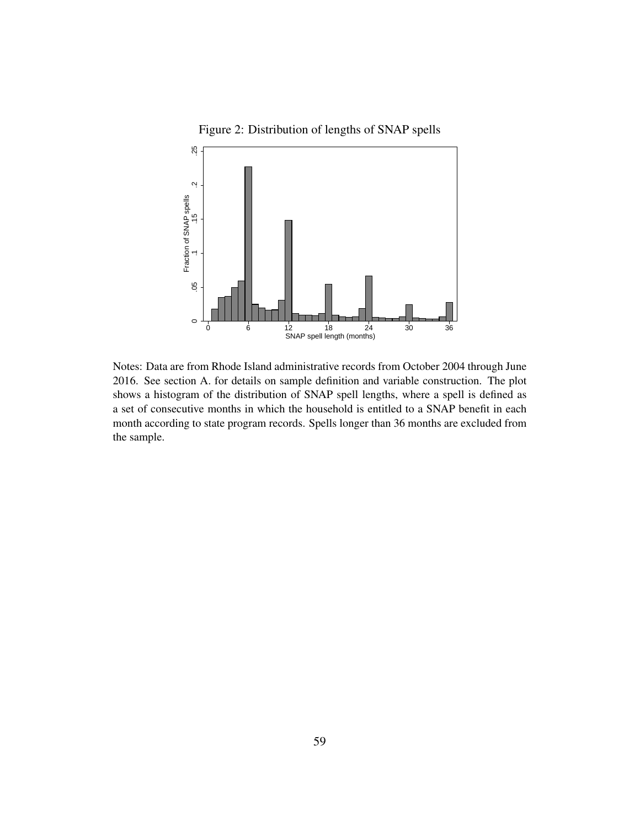

Notes: Data are from Rhode Island administrative records from October 2004 through June 2016. See section A. for details on sample definition and variable construction. The plot shows a histogram of the distribution of SNAP spell lengths, where a spell is defined as a set of consecutive months in which the household is entitled to a SNAP benefit in each month according to state program records. Spells longer than 36 months are excluded from the sample.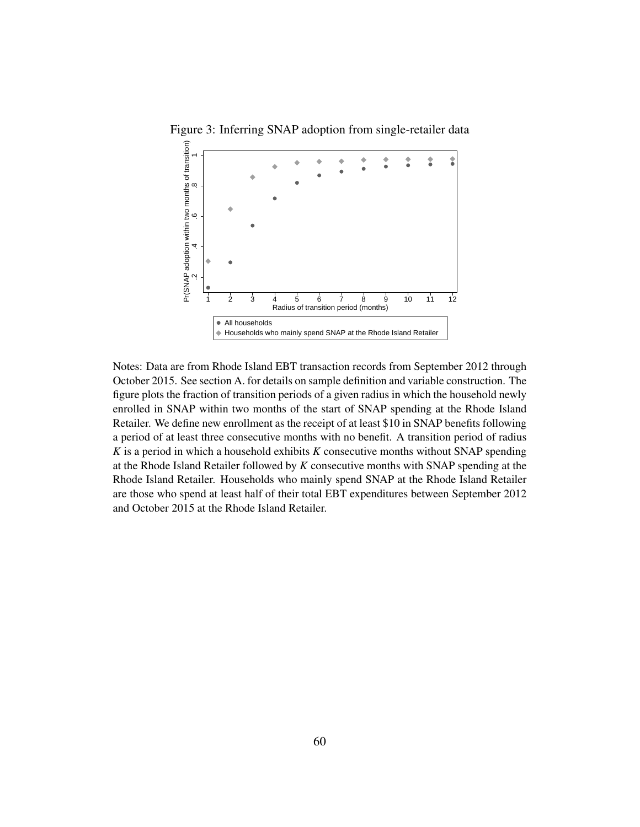

Figure 3: Inferring SNAP adoption from single-retailer data

Notes: Data are from Rhode Island EBT transaction records from September 2012 through October 2015. See section A. for details on sample definition and variable construction. The figure plots the fraction of transition periods of a given radius in which the household newly enrolled in SNAP within two months of the start of SNAP spending at the Rhode Island Retailer. We define new enrollment as the receipt of at least \$10 in SNAP benefits following a period of at least three consecutive months with no benefit. A transition period of radius *K* is a period in which a household exhibits *K* consecutive months without SNAP spending at the Rhode Island Retailer followed by *K* consecutive months with SNAP spending at the Rhode Island Retailer. Households who mainly spend SNAP at the Rhode Island Retailer are those who spend at least half of their total EBT expenditures between September 2012 and October 2015 at the Rhode Island Retailer.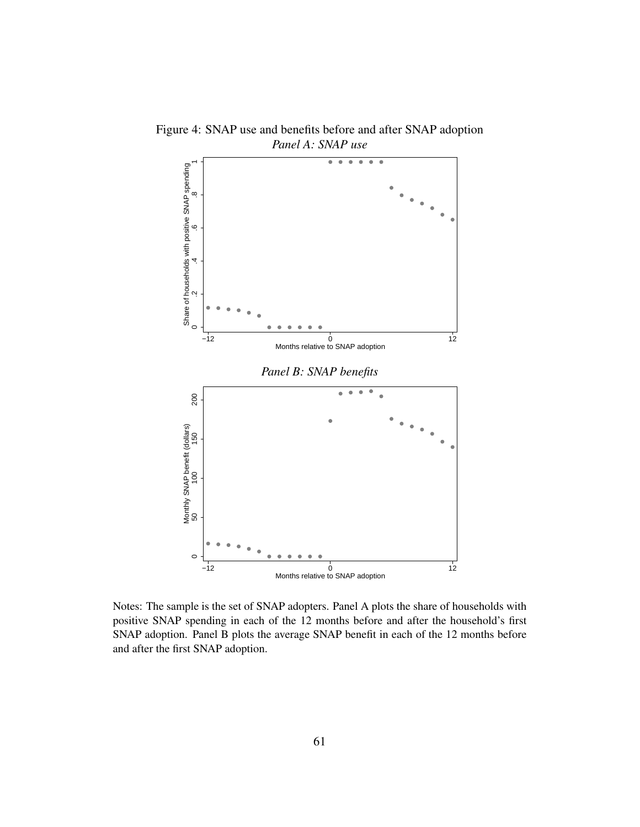

Figure 4: SNAP use and benefits before and after SNAP adoption *Panel A: SNAP use*

Notes: The sample is the set of SNAP adopters. Panel A plots the share of households with positive SNAP spending in each of the 12 months before and after the household's first SNAP adoption. Panel B plots the average SNAP benefit in each of the 12 months before and after the first SNAP adoption.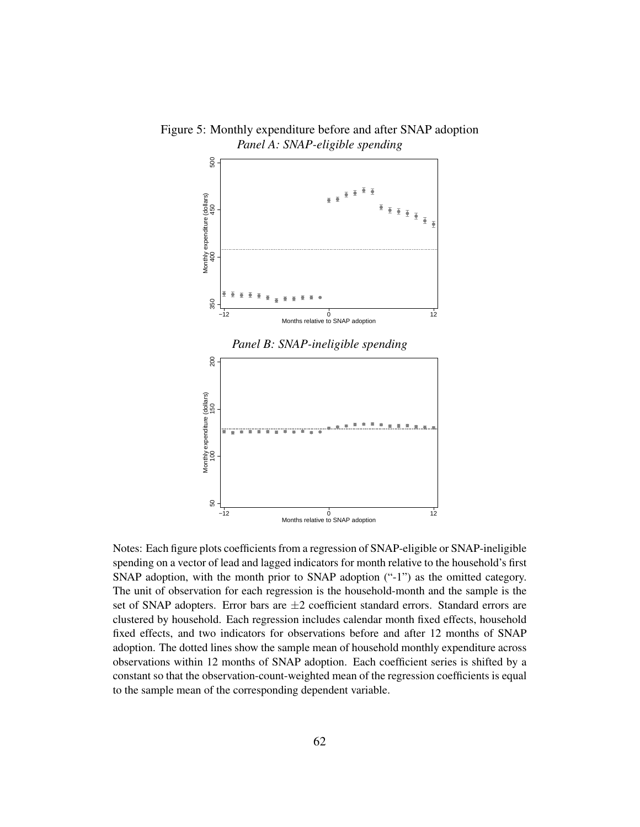

Figure 5: Monthly expenditure before and after SNAP adoption *Panel A: SNAP-eligible spending*

Notes: Each figure plots coefficients from a regression of SNAP-eligible or SNAP-ineligible spending on a vector of lead and lagged indicators for month relative to the household's first SNAP adoption, with the month prior to SNAP adoption ("-1") as the omitted category. The unit of observation for each regression is the household-month and the sample is the set of SNAP adopters. Error bars are  $\pm 2$  coefficient standard errors. Standard errors are clustered by household. Each regression includes calendar month fixed effects, household fixed effects, and two indicators for observations before and after 12 months of SNAP adoption. The dotted lines show the sample mean of household monthly expenditure across observations within 12 months of SNAP adoption. Each coefficient series is shifted by a constant so that the observation-count-weighted mean of the regression coefficients is equal to the sample mean of the corresponding dependent variable.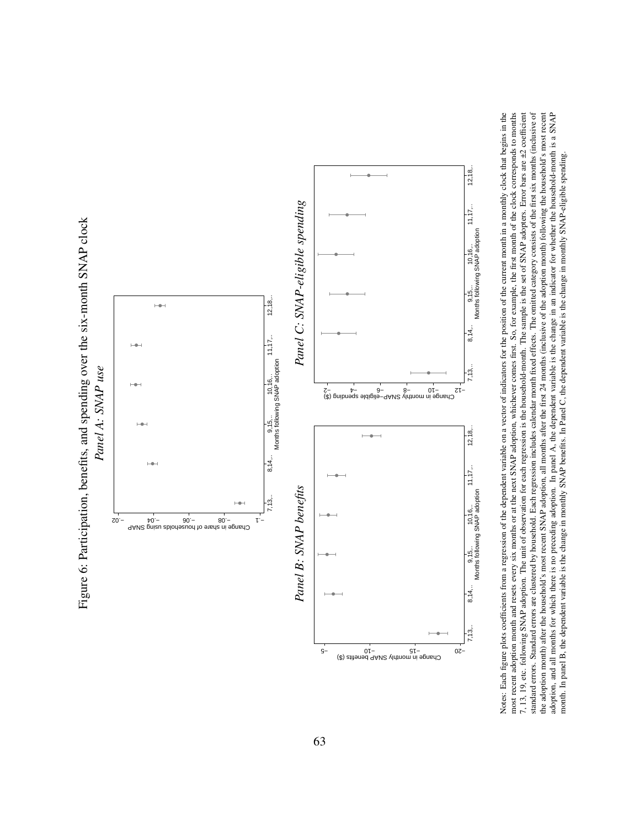

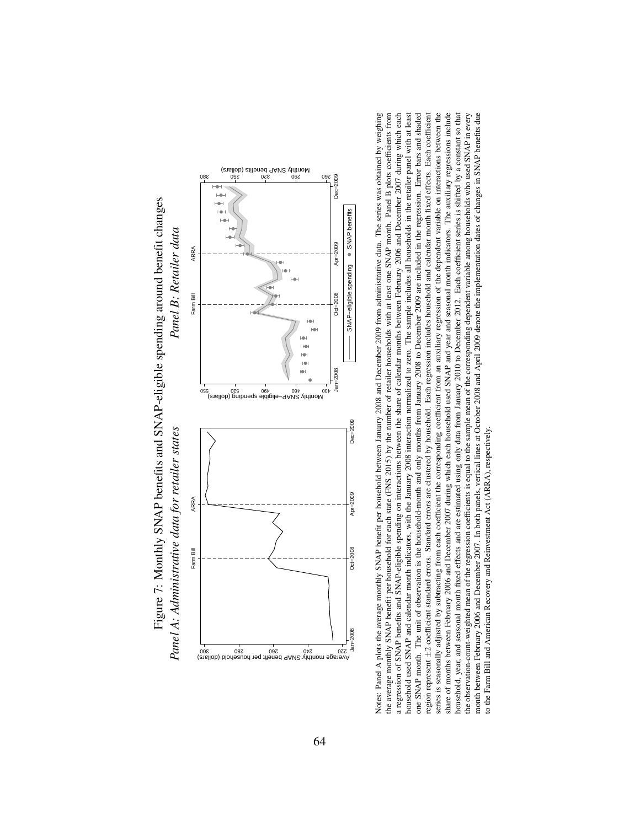

Notes: Panel A plots the average monthly SNAP benefit per household between January 2008 and December 2009 from administrative data. The series was obtained by weighing the average monthly SNAP benefit per household for each state (FNS 2015) by the number of retailer households with at least one SNAP month. Panel B plots coefficients from one SNAP month. The unit of observation is the household-month and only months from January 2008 to December 2009 are included in the regression. Error bars and shaded series is seasonally adjusted by subtracting from each coefficient the corresponding coefficient from an auxiliary regression of the dependent variable on interactions between the share of months between February 2006 and December 2007 during which each household used SNAP and year and seasonal month indicators. The auxiliary regressions include the observation-count-weighted mean of the regression coefficients is equal to the sample mean of the corresponding dependent variable among households who used SNAP in every the average monthly SNAP benefit per household for each state (FNS 2015) by the number of retailer households with at least one SNAP month. Panel B plots coefficients from<br>Figure of the least one of the state of the state a regression of SNAP benefits and SNAP-eligible spending on interactions between the share of calendar months between February 2006 and December 2007 during which each a regression of SNAP benefits and SNAP-eligible spending on interactions between the share of calendar months between February 2006 and December 2007 during which each household used SNAP and calendar month indicators, with the January 2008 interaction normalized to zero. The sample includes all households in the retailer panel with at least household used SNAP and calendar month indicators, with the January 2008 interaction normalized to zero. The sample includes all households in the retailer panel with at least one SNAP month. The unit of observation is the household-month and only months from January 2008 to December 2009 are included in the regression. Error bars and shaded region represent ±2 coefficient standard erros. Standard errors are clustered by household. Each regression includes household and calendar month fixed effects. Each coefficient ±2 coefficient standard errors. Standard errors are clustered by household. Each regression includes household and calendar month fixed effects. Each coefficient household, year, and seasonal month fixed effects and are estimated using only data from January 2010 to December 2012. Each coefficient series is shifted by a constant so that household, year, and seasonal month fixed effects and are estimated using only data from January 2010 to December 2012. Each coefficient series is shifted by a constant so that month between February 2006 and December 2007. In both panels, vertical lines at October 2008 and April 2009 denote the implementation dates of changes in SNAP benefits due Notes: Panel A plots the average monthly SNAP benefit per household between January 2008 and December 2009 from administrative data. The series was obtained by weighing series is seasonally adjusted by subtracting from each coefficient the corresponding coefficient from an auxiliary regression of the dependent variable on interactions between the share of months between February 2006 and December 2007 during which each household used SNAP and year and seasonal month indicators. The auxiliary regressions include the observation-count-weighted mean of the regression coefficients is equal to the sample mean of the corresponding dependent variable among households who used SNAP in every month between February 2006 and December 2007. In both panels, vertical lines at October 2008 and April 2009 denote the implementation dates of changes in SNAP benefits due to the Farm Bill and American Recovery and Reinvestment Act (ARRA), respectively. to the Farm Bill and American Recovery and Reinvestment Act (ARRA), respectively. region represent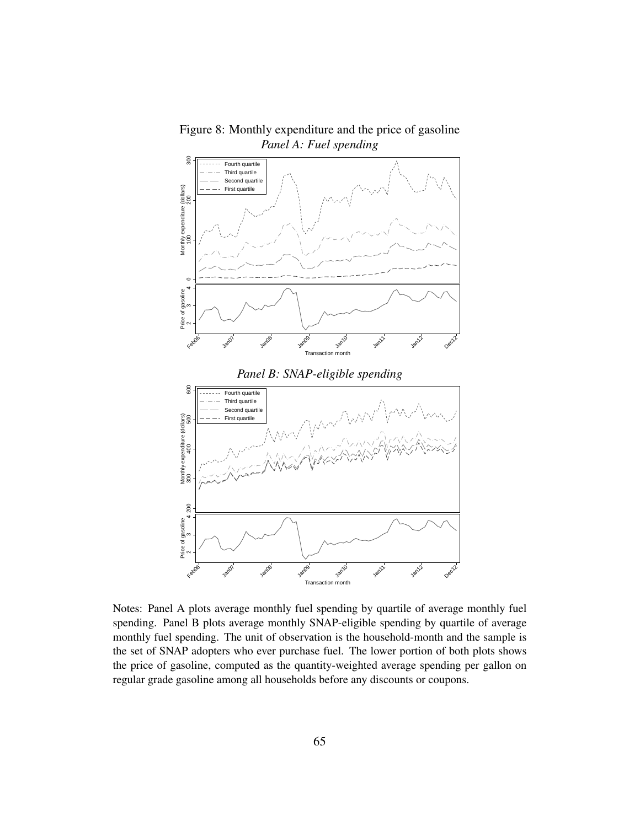

Figure 8: Monthly expenditure and the price of gasoline *Panel A: Fuel spending*

Notes: Panel A plots average monthly fuel spending by quartile of average monthly fuel spending. Panel B plots average monthly SNAP-eligible spending by quartile of average monthly fuel spending. The unit of observation is the household-month and the sample is the set of SNAP adopters who ever purchase fuel. The lower portion of both plots shows the price of gasoline, computed as the quantity-weighted average spending per gallon on regular grade gasoline among all households before any discounts or coupons.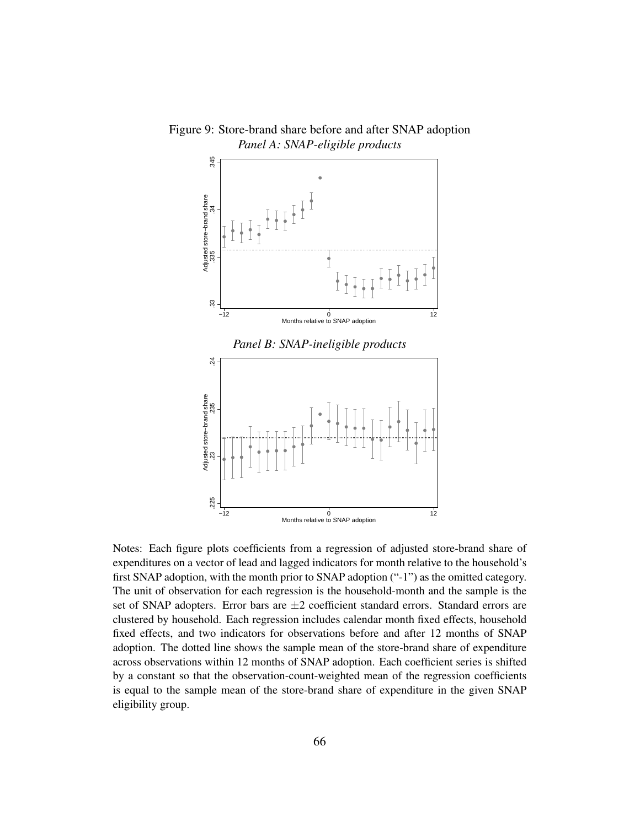

Figure 9: Store-brand share before and after SNAP adoption *Panel A: SNAP-eligible products*

Notes: Each figure plots coefficients from a regression of adjusted store-brand share of expenditures on a vector of lead and lagged indicators for month relative to the household's first SNAP adoption, with the month prior to SNAP adoption ("-1") as the omitted category. The unit of observation for each regression is the household-month and the sample is the set of SNAP adopters. Error bars are  $\pm 2$  coefficient standard errors. Standard errors are clustered by household. Each regression includes calendar month fixed effects, household fixed effects, and two indicators for observations before and after 12 months of SNAP adoption. The dotted line shows the sample mean of the store-brand share of expenditure across observations within 12 months of SNAP adoption. Each coefficient series is shifted by a constant so that the observation-count-weighted mean of the regression coefficients is equal to the sample mean of the store-brand share of expenditure in the given SNAP eligibility group.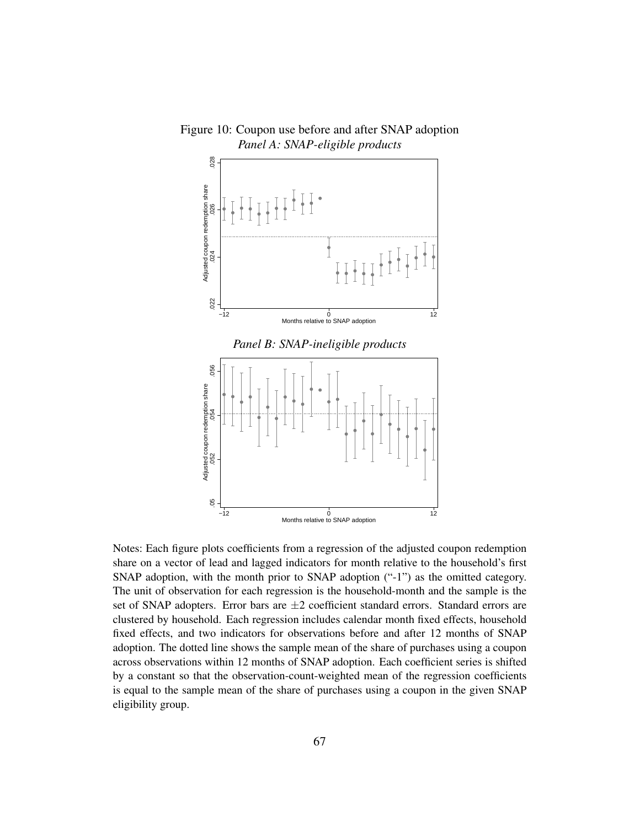

Figure 10: Coupon use before and after SNAP adoption *Panel A: SNAP-eligible products*

Notes: Each figure plots coefficients from a regression of the adjusted coupon redemption share on a vector of lead and lagged indicators for month relative to the household's first SNAP adoption, with the month prior to SNAP adoption ("-1") as the omitted category. The unit of observation for each regression is the household-month and the sample is the set of SNAP adopters. Error bars are  $\pm 2$  coefficient standard errors. Standard errors are clustered by household. Each regression includes calendar month fixed effects, household fixed effects, and two indicators for observations before and after 12 months of SNAP adoption. The dotted line shows the sample mean of the share of purchases using a coupon across observations within 12 months of SNAP adoption. Each coefficient series is shifted by a constant so that the observation-count-weighted mean of the regression coefficients is equal to the sample mean of the share of purchases using a coupon in the given SNAP eligibility group.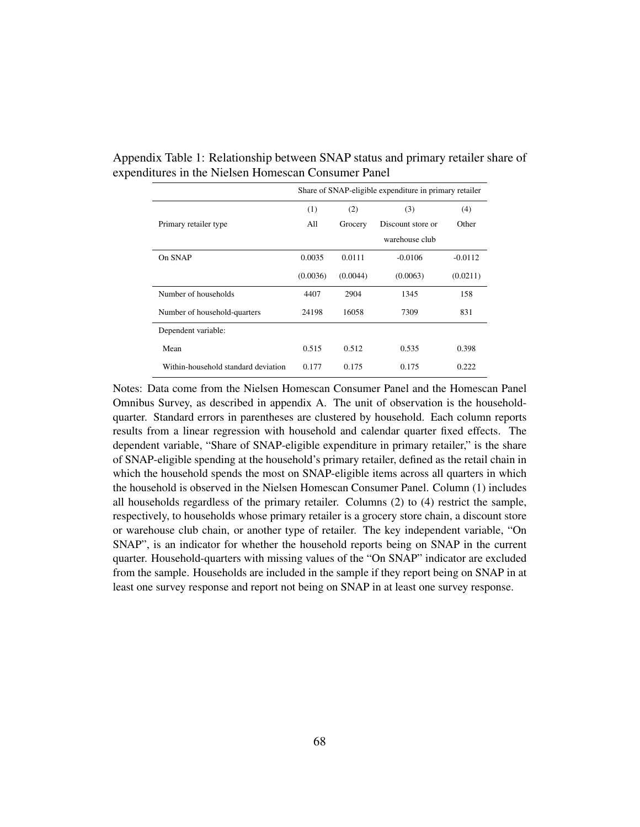|                                     |          | Share of SNAP-eligible expenditure in primary retailer |                   |           |  |  |  |
|-------------------------------------|----------|--------------------------------------------------------|-------------------|-----------|--|--|--|
|                                     | (1)      | (2)                                                    | (3)               | (4)       |  |  |  |
| Primary retailer type               | All      | Grocery                                                | Discount store or | Other     |  |  |  |
|                                     |          |                                                        | warehouse club    |           |  |  |  |
| On SNAP                             | 0.0035   | 0.0111                                                 | $-0.0106$         | $-0.0112$ |  |  |  |
|                                     | (0.0036) | (0.0044)                                               | (0.0063)          | (0.0211)  |  |  |  |
| Number of households                | 4407     | 2904                                                   | 1345              | 158       |  |  |  |
| Number of household-quarters        | 24198    | 16058                                                  | 7309              | 831       |  |  |  |
| Dependent variable:                 |          |                                                        |                   |           |  |  |  |
| Mean                                | 0.515    | 0.512                                                  | 0.535             | 0.398     |  |  |  |
| Within-household standard deviation | 0.177    | 0.175                                                  | 0.175             | 0.222     |  |  |  |

Appendix Table 1: Relationship between SNAP status and primary retailer share of expenditures in the Nielsen Homescan Consumer Panel

Notes: Data come from the Nielsen Homescan Consumer Panel and the Homescan Panel Omnibus Survey, as described in appendix A. The unit of observation is the householdquarter. Standard errors in parentheses are clustered by household. Each column reports results from a linear regression with household and calendar quarter fixed effects. The dependent variable, "Share of SNAP-eligible expenditure in primary retailer," is the share of SNAP-eligible spending at the household's primary retailer, defined as the retail chain in which the household spends the most on SNAP-eligible items across all quarters in which the household is observed in the Nielsen Homescan Consumer Panel. Column (1) includes all households regardless of the primary retailer. Columns (2) to (4) restrict the sample, respectively, to households whose primary retailer is a grocery store chain, a discount store or warehouse club chain, or another type of retailer. The key independent variable, "On SNAP", is an indicator for whether the household reports being on SNAP in the current quarter. Household-quarters with missing values of the "On SNAP" indicator are excluded from the sample. Households are included in the sample if they report being on SNAP in at least one survey response and report not being on SNAP in at least one survey response.